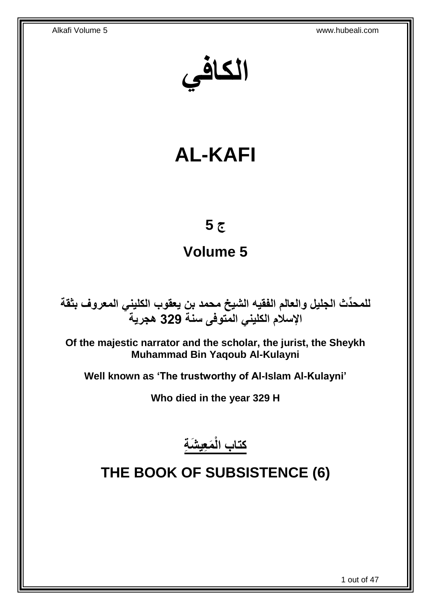**الكافي**

# **AL-KAFI**

## **ج 5**

# **Volume 5**

**دث الجليل والعالم الفقيه الشيخ محمد بن يعقوب الكليني المعروف بثقة للمح ِّ اإلسالم الكليني المتوفى سنة 329 هجرية**

**Of the majestic narrator and the scholar, the jurist, the Sheykh Muhammad Bin Yaqoub Al-Kulayni**

**Well known as 'The trustworthy of Al-Islam Al-Kulayni'**

**Who died in the year 329 H**

**َم ِعي َش ِة كتاب الْ**

# <span id="page-0-0"></span>**THE BOOK OF SUBSISTENCE (6)**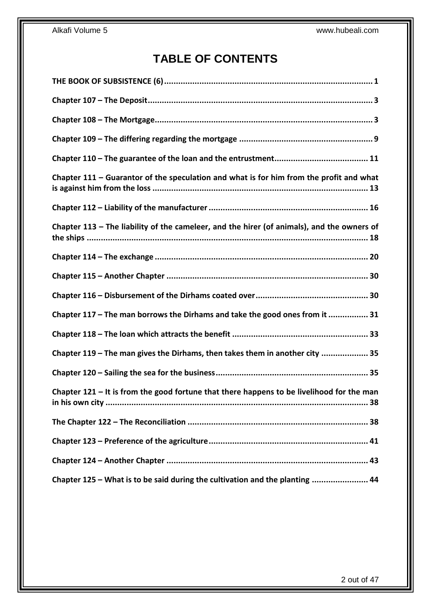## **TABLE OF CONTENTS**

| Chapter $111$ – Guarantor of the speculation and what is for him from the profit and what    |
|----------------------------------------------------------------------------------------------|
|                                                                                              |
| Chapter $113$ – The liability of the cameleer, and the hirer (of animals), and the owners of |
|                                                                                              |
|                                                                                              |
|                                                                                              |
| Chapter 117 - The man borrows the Dirhams and take the good ones from it  31                 |
|                                                                                              |
| Chapter 119 - The man gives the Dirhams, then takes them in another city  35                 |
|                                                                                              |
| Chapter $121 -$ It is from the good fortune that there happens to be livelihood for the man  |
|                                                                                              |
|                                                                                              |
|                                                                                              |
| Chapter 125 – What is to be said during the cultivation and the planting  44                 |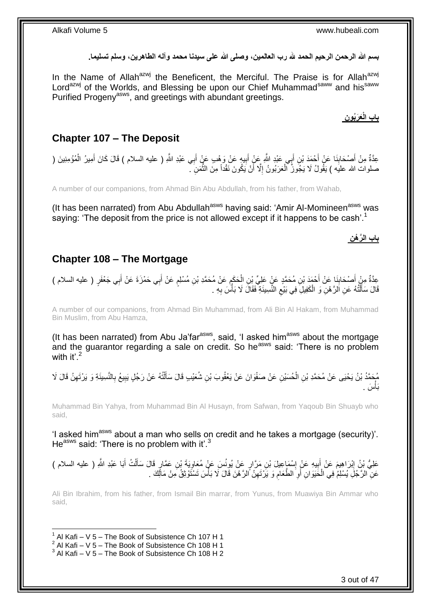بسم الله الرحمن الرحيم الحمد لله رب العالمين، وصلى الله على سيدنا محمد وآله الطاهرين، وسلم تسليما<sub>.</sub>

In the Name of Allah<sup>azwj</sup> the Beneficent, the Merciful. The Praise is for Allah<sup>azwj</sup> Lord<sup>azwj</sup> of the Worlds, and Blessing be upon our Chief Muhammad<sup>saww</sup> and his<sup>saww</sup> Purified Progeny<sup>asws</sup>, and greetings with abundant greetings.

<span id="page-2-0"></span>**Chapter 107 – The Deposit**

عِدَّةٌ مِنْ أَصْحَابِنَا عَنْ أَحْمَدَ بْنِ أَبِي عَبْدِ اللَّهِ عَنْ أَبِيهِ عَنْ وَهْبِ عَنْ أَبِي عَبْدِ اللَّهِ ( عليه السلام ) قَالَ كَانَ أَمِيرُ الْمُؤْمِنِينَ ( ِ َ َ َ ِ َ َ َ ْ صلوات الله عليَه ) يَقُولُ لَا يَجُوزُ ۗ الْعَرَبُونُ إِلَّا أَنْ يَكُونَ نَقْداً مِنَ النُّمَنِ ۖ. َّ َ ِ ْ

A number of our companions, from Ahmad Bin Abu Abdullah, from his father, from Wahab,

(It has been narrated) from Abu Abdullah<sup>asws</sup> having said: 'Amir Al-Momineen<sup>asws</sup> was saying: 'The deposit from the price is not allowed except if it happens to be cash'.<sup>1</sup>

**ال َّر ْه ِن باب** 

**َعَرُبو ِن باب الْ**

## <span id="page-2-1"></span>**Chapter 108 – The Mortgage**

عِدَّةٌ مِنْ أَصْحَابِذَا عَنْ أَحْمَدَ بْنِ مُحَمَّدٍ عَنٍْ عَلِيٍّ بْنِ الْحَكَمِ عَنْ مُحَمَّدِ بْنِ مُسْلِمٍ عَنْ أَبِي حَمْزَةَ عَنْ أَبِي جَعْفَرٍ ( عليه السلام )<br>رَ َ ٍ ِ ْ َ ِ َ قَالَ سَأَلْتُهُ عَنِ اَلْرَّهْنِ وَ الْكَفِيلِ فِي بَيْعِ النَّسِيئَةِ فَقَالَ لَا بَأَسَ بِهِ . ْ ֺ֦֖֦֧֦֧֦֧֦֦֦֦֪ׅ֧֦֦֪ׅ֧֦֧֦֧֧֦֧֦֧֝֟֟֓֕֟֓֕֝֓֓֟֓֓֡֟֓֡֟֓֓֞֓֞֓֞֓֞֓֞֓֞֓֡֟֓֡֟֓֡֟֓֡֟֓֟֓֡֟֓֟֓֟֓֝֬֝֬֞֞֝<br>֧֪֪֪֧֪֧֪֪֧֪֪֦֧֦֧֪֪֦֧֝֝֝֬֝֬ َ ِ ا<br>أا  $\zeta$ 

A number of our companions, from Ahmad Bin Muhammad, from Ali Bin Al Hakam, from Muhammad Bin Muslim, from Abu Hamza,

(It has been narrated) from Abu Ja'far $a<sup>asws</sup>$ , said, 'I asked him $a<sup>asws</sup>$  about the mortgage and the quarantor regarding a sale on credit. So he<sup>asws</sup> said: 'There is no problem with it' $^2$ 

مُحَمَّدُ بْنُ يَحْيَى عَنْ مُحَمَّدِ بْنِ الْحُسَيْنِ عَنْ صَفْوَانَ عَنْ يَعْقُوبَ بْنِ شُعَيْبِ قَالَ سَأَلْتُهُ عَنْ رَجُلٍ يَبِيعُ بِالنَّسِيئَةِ وَ يَرْتَهِنُ قَالَ لَا ْ ĺ ْ ِ ِ ِ بَأسَ . **ٔ** 

Muhammad Bin Yahya, from Muhammad Bin Al Husayn, from Safwan, from Yaqoub Bin Shuayb who said,

'I asked him<sup>asws</sup> about a man who sells on credit and he takes a mortgage (security)'. He<sup>asws</sup> said: 'There is no problem with it'.<sup>3</sup>

َ عَلِيُّ بْنُ إِبْرَاهِيمَ عَنْ أَبِيهِ عَنْ إِسْمَاعِيلَ بْنِ مَرَّارٍ عَنْ يُونُسَ عَنْ مُعَاوِيَةَ بْنِ عَمَّارٍ قَالَ سَأَلْتُ أَبَا عَبْدِ اللَّهِ ( عليه السلام ) ِ ِ **!** َ ِ َ ْ عَنِ ۗ الرَّجُلِّ يُسْلِمُ فِي الْحَيَوَانِ أَوِ الطَّعَامِ وَ يَرْتَهِنُ أَللَّ هَنَ قَالَ لَا بَأْسَ تَسْتَوْثِقُ مِنْ مَالِّكَ . ِ ِ **∶** َ ْ ْ

Ali Bin Ibrahim, from his father, from Ismail Bin marrar, from Yunus, from Muawiya Bin Ammar who said,

1

### Alkafi Volume 5 www.hubeali.com

 $1$  Al Kafi – V 5 – The Book of Subsistence Ch 107 H 1

 $2$  Al Kafi – V 5 – The Book of Subsistence Ch 108 H 1

 $3$  Al Kafi – V 5 – The Book of Subsistence Ch 108 H 2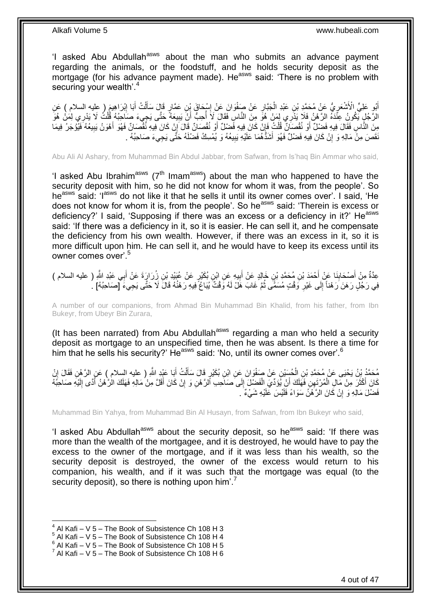'I asked Abu Abdullah<sup>asws</sup> about the man who submits an advance payment regarding the animals, or the foodstuff, and he holds security deposit as the mortgage (for his advance payment made). He<sup>asws</sup> said: 'There is no problem with securing your wealth'.<sup>4</sup>

أَبُو عَلِيٍّ الْأَشْعَرِيُّ عَنْ مُحَمَّدِ بْنِ عَبْدِ الْجَبَّارِ عَنْ صَفْوَانَ عَنْ إِسْحَاقَ بِنِ عَمَّارٍ قَالَ سَأَلْتُ أَبَا إِبْرَاهِيمَ ( عليه السلام ) عَنِ<br>وَيَسْمِدُ الْمَسْمَعِينَ مَنْ مُحَمَّدِ بْنِ عَبْدِ ا ِ ِ ْ ِ َ ِ َ ْ َ الرَّجُلٍ يَكُونُ عِنْدَهُ الرَّهْنُ فَلَا يَذَرِي لِمَنْ هُوَّ مِنَ النَّاسِ فَقَالَ لَا أُحِبُّ أَنْ يَبِيعَهُ حَتَّى يَجِيءَ صَاحِبُهُ قُلْتُ لَا يَدْرِي لِمَنْ هُوَ ِ َ j ِ ْ مِنَ النَّاسِ فَقَالَ فِيهِ فَضِيْلٌ أَوْ نُقْصِنَانٌ قُلْتُ فَإِنْ كَانَ فِيهِ فَضِيْلٌ أَوْ نُقْصَانٌ قَالَ إِنْ كَانَ فِيهِ نُقْصَانٌ فَهُوَ أَهْوَنُ يَبِيعُهُ فَيُؤْجَرُ فِيمَا َ ِ َ ِ ْ َ ِ ُفَصَ مِنْ مَالِهِ وَ إِنْ كَانَ فِيهِ فَضْلٌ فَهُوَ أَشَدُّهُمَا عَلَيْهِ بَبِيعُهُ وَ يُمْسِكُ فَضْلَهُ حَتّى يَجِيءَ صَاحِبُهُ . **!** ِ

Abu Ali Al Ashary, from Muhammad Bin Abdul Jabbar, from Safwan, from Is'haq Bin Ammar who said,

'I asked Abu Ibrahim<sup>asws</sup> ( $7<sup>th</sup>$  Imam<sup>asws</sup>) about the man who happened to have the security deposit with him, so he did not know for whom it was, from the people'. So he<sup>asws</sup> said: 'I<sup>asws</sup> do not like it that he sells it until its owner comes over'. I said, 'He does not know for whom it is, from the people'. So he<sup>asws</sup> said: 'Therein is excess or deficiency?' I said, 'Supposing if there was an excess or a deficiency in it?' He<sup>asws</sup> said: 'If there was a deficiency in it, so it is easier. He can sell it, and he compensate the deficiency from his own wealth. However, if there was an excess in it, so it is more difficult upon him. He can sell it, and he would have to keep its excess until its owner comes over'.<sup>5</sup>

ِن ز َرا ٍر َع ْن عَبْيِد ْب ِن ب َكْي ي ِه َع ِن اْب ب ِن َخالِ ٍد َع ْن أ ِن م َح َّمِد ْب ْح َمَد ْب َنا َع ْن أ ْص َحاب ِ ) عليه السالم ( ِم ْن أ ِي َعْبِد ََّّللا ِعَّدةٌ ب َرَة َع ْن أ ِ َ َ **∣** َ َ فِي رَجُلٍ رَهَنَ رَهْناً إِلَى غَيْرِ وَقْتٍ مُسَمًّى ثُمَّ غَابَ هَلْ لَهُ وَقْتٌ يُبَاعُ فِيهِ رَهْنُهُ قَالَ لَا حَتَّى يَجِيءَ [صَاحِبُهُ] .  $\ddot{\phantom{0}}$ ِ יִן<br>;

A number of our companions, from Ahmad Bin Muhammad Bin Khalid, from his father, from Ibn Bukeyr, from Ubeyr Bin Zurara,

(It has been narrated) from Abu Abdullah<sup>asws</sup> regarding a man who held a security deposit as mortgage to an unspecified time, then he was absent. Is there a time for him that he sells his security?' He<sup>asws</sup> said: 'No, until its owner comes over'.<sup>6</sup>

َبا َعْبِد ََّّللاِ ت أ ل ٍر َقا َل َسأ ِن ب َكْي َوا َن َع ِن اْب ِن َع ْن َصفْ ح َسْي م َح َّم د ْب ن َي ْحَيى َع ْن م َح َّمِد ْب ْن ِن ال ِن َفَقا َل إ ) عليه السالم ( َع ِن ال َّر ْه َ ْ اً<br>أ ْ ֧֦֧֦֧֦֧֦֧֦֧֦֧֦֧֦֧֦֧֦֧֦֚֬֜֜*֬* كَانَ أَكْثَرَ مِنْ مَالِ الْمُرْتَهِنِ فَهَلَكَ أَنْ يُؤَدِّيَ الْفَضْلَ إِلَى صَاحِب ٱلرَّ هْنِ وَ إِنْ كَانَ أَقَلَّ مِنْ مَالِهِ فَهَلَكَ الْرَّهْنُ أَدًى إِلَيْهِ صَاحِبُهُ ِ ْ اُ ْ َ لَ ِ َ َ ِ فَضْلَ مَالِهِ وَ إِنْ كَانَ الرَّهْنُ سَوَاءً فَلَيْسَ عَلَيْهِ شَيْءٌ ۚ . ا

Muhammad Bin Yahya, from Muhammad Bin Al Husayn, from Safwan, from Ibn Bukeyr who said,

'I asked Abu Abdullah<sup>asws</sup> about the security deposit, so he<sup>asws</sup> said: 'If there was more than the wealth of the mortgagee, and it is destroyed, he would have to pay the excess to the owner of the mortgage, and if it was less than his wealth, so the security deposit is destroyed, the owner of the excess would return to his companion, his wealth, and if it was such that the mortgage was equal (to the security deposit), so there is nothing upon him'.<sup>7</sup>

 $4$  Al Kafi – V 5 – The Book of Subsistence Ch 108 H 3

 $<sup>5</sup>$  Al Kafi – V 5 – The Book of Subsistence Ch 108 H 4</sup>

 $6$  Al Kafi – V 5 – The Book of Subsistence Ch 108 H 5

 $^7$  Al Kafi – V 5 – The Book of Subsistence Ch 108 H 6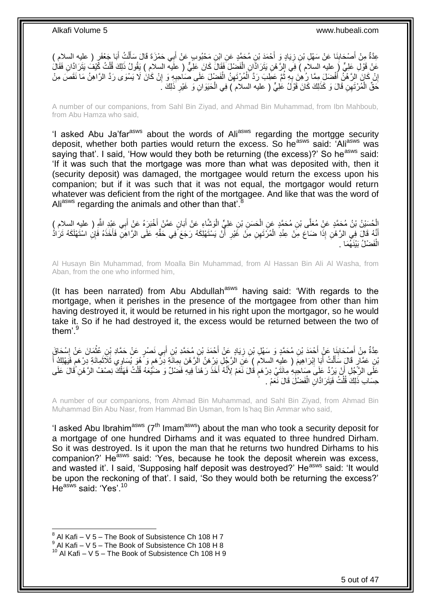ْح َياٍد َو أ ِن ز َنا َع ْن َس ْه ِل ْب ْص َحاب ٍر ِعَّدةٌ ) عليه السالم ( ِم ْن أ َبا َج ْعَف ت أ ل ِي َح ْم َزَة َقا َل َسأ ب ِن َم ْح بو ٍب َع ْن أ ِن م َح َّمٍد َع ِن اْب َمَد ْب َ **∶ ∣** َ َ ْ ĺ َ عَنْ قَوْلِ عَلِيٍّ ( عليه السلام ) فِي الرَّ مْنِ يَتَرَادَّانِ الْفَضْلَ فَقَالَ كَانَ عَلِيٌّ ( علَيه السلام ) يَقُولُ ذَلِكَ قُلْتُ كَيْفُ يَتَرَادَّانِ فَقَالُ ْ ْ إِنْ كَانَ الرَّهْنُ أَفْضَلَ مِمَّا رُهِنَ بِهِ ثُمَّ عَطِبَ رَدَّ اَلْمُرْتَهِنُ الْفَضْلَ عَلَى صَاحِبِهِ وَ إِنْ كَانَ لَا يَسْوَى رَدَّ الرَّاهِنُ مَا نَقَصَ مِنْ ِ ِ ْ ِ ْ  $\ddot{\phantom{0}}$ ِ َ ِ حَقِّ الْمُرْتَهِنِ قَالَ وَ كَذَلِكَ كَانَ قَوْلُ عَلِيٍّ ( عليه السلام ) فِي الْحَيَوَانِ وَ غَيْرِ ذَلِكَ ـ ْ ِ ْ

A number of our companions, from Sahl Bin Ziyad, and Ahmad Bin Muhammad, from Ibn Mahboub, from Abu Hamza who said,

'I asked Abu Ja'far<sup>asws</sup> about the words of Ali<sup>asws</sup> regarding the mortgge security deposit, whether both parties would return the excess. So he<sup>asws</sup> said: 'Ali<sup>asws</sup> was saying that'. I said, 'How would they both be returning (the excess)?' So he<sup>asws</sup> said: 'If it was such that the mortgage was more than what was deposited with, then it (security deposit) was damaged, the mortgagee would return the excess upon his companion; but if it was such that it was not equal, the mortgagor would return whatever was deficient from the right of the mortgagee. And like that was the word of Ali<sup>asws</sup> regarding the animals and other than that.

الْحُسَيْنُ بْنُ مُحَمَّدٍ عَنْ مُعَلَّى بْنِ مُحَمَّدٍ عَنِ الْحَسَنِ بْنِ عَلِيٍّ الْوَشَّاءِ عَنْ أَبَانٍ عَمَّنْ أَخْبَرَهُ عَنْ أَبِي عَبْدِ اللَّهِ ( عليه السلام )<br>ا َ َ ْ ْ َ أَيَّهُ قَالَ فِي الرَّهْنِ إِذَا ضَاعَ مِنْ عِنْدِ الْمُرَتَهِنِ مِنْ غَيْرِ أَنْ يَسْتَهْلِكَهُ رَجَعَ ًفِي حَقِّهِ عَلَى الرَّاهِنِّ فَأَخَذَهُ فَإِنِ اسْتَهْلَكَهُ تَرَادُّ َ َ َ **ٍ** ْ الْفَصْلُ بَيْنَهُمَا . ْ

Al Husayn Bin Muhammad, from Moalla Bin Muhammad, from Al Hassan Bin Ali Al Washa, from Aban, from the one who informed him,

(It has been narrated) from Abu Abdullah<sup>asws</sup> having said: 'With regards to the mortgage, when it perishes in the presence of the mortgagee from other than him having destroyed it, it would be returned in his right upon the mortgagor, so he would take it. So if he had destroyed it, the excess would be returned between the two of them<sup>'9</sup>

ِي ب ِن أ ِن م َح َّمِد ْب ْح َمَد ْب َياٍد َع ْن أ ِن ز ِن م َح َّمٍد َو َس ْه ِل ْب ْح َمَد ْب َنا َع ْن أ ْص َحاب ِعَّدةٌ ْس َحا َق ِم ْن أ َما َن َع ْن إ ِن عث َن ْص ٍر َع ْن َح َّماِد ْب َ َ **∶ ∣** َ ِ **ٔ** َانِ عَمَّارٍ قَالَ سَأَأَتُ أَبَا إِبْرَاهِيمَ ( عليه السلام ) عَنِ الرَّجُلِ يَرْهَنُ الرَّهْنَ بِمِائَةٍ دِرْهَمٍ وَ هُوَ يُسَاوِي ثَلَاثَمِائَةٍ دِرْهَمٍ فَيَهْلِكُ أَ ٍ ِ ِ َ ْ َ َ ֖֖֖֖֖֖֦֦֪֧֚֚֚֚֚֚֚֚֚֚֚֚֚֬֝֝֓֞֟֓֡֓֡֟֓֡֬֟֓֡֟֓֡֟֝֓ َ عَلَى الرَّجُلِ أَنْ يَرُدَّ عَلَى صَاحِبِهِ مِائَتَيْ دِرْهَمٍ قُالَ نَعَمْ لِأَنَّهُ أَخَذَ رَهْناً فِيهِ فَضلْ وَصَحَّيْعَهُ قُلْتُ فَهَلَّكَ نِصْفُ الرَّهْنِ قُالَ عَلَى َ ْ ֧֧֧֧֧֧֧֧֧֓֝֟֓֝֓֝֬֟֓֝֓֝֓֟֓֟֓֓֟֓<del>֛</del> حِسَابِ ذَلِكَ قُلْتُ فَيَتَرَ ادَّانِ الْفَضْلَ قَالَ نَعَمْ . ْ ْ

A number of our companions, from Ahmad Bin Muhammad, and Sahl Bin Ziyad, from Ahmad Bin Muhammad Bin Abu Nasr, from Hammad Bin Usman, from Is'haq Bin Ammar who said,

'I asked Abu Ibrahim<sup>asws</sup> ( $7<sup>th</sup>$  Imam<sup>asws</sup>) about the man who took a security deposit for a mortgage of one hundred Dirhams and it was equated to three hundred Dirham. So it was destroyed. Is it upon the man that he returns two hundred Dirhams to his companion?' He<sup>asws</sup> said: 'Yes, because he took the deposit wherein was excess, and wasted it'. I said, 'Supposing half deposit was destroyed?' He<sup>asws</sup> said: 'It would be upon the reckoning of that'. I said, 'So they would both be returning the excess?' He<sup>asws</sup> said: 'Yes'.<sup>10</sup>

 $^8$  Al Kafi – V 5 – The Book of Subsistence Ch 108 H 7

 $^9$  Al Kafi – V 5 – The Book of Subsistence Ch 108 H 8

 $10$  Al Kafi – V 5 – The Book of Subsistence Ch 108 H 9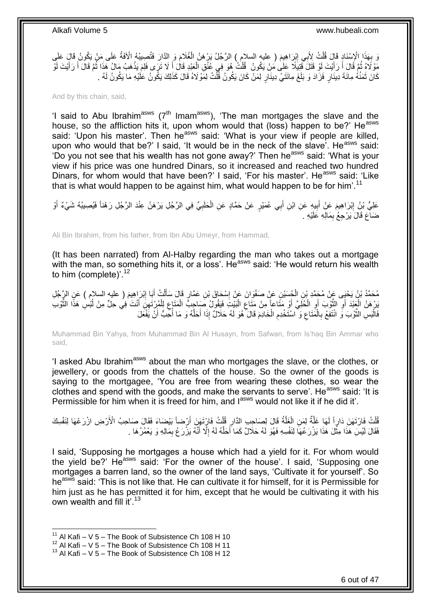، بِهَذَا الْإِسْنَادِ قَالَ قُلْتُ لِأَبِي إِبْرَاهِيمَ ( عليه السلام ) الرَّجُلُ يَرْهَنُ الْغُلَامَ وَ الدَّارَ فَتُصِيبُهُ الْآفَةُ عَلَى مَنْ يَكُونُ قَالَ عَلَى<br>يَدَوَّفُ مُرْضَعَ بِيَنَ عَقَدَ يَرْبَعُ الْإِسْلامِ ْ ِ ْ ِ مَوْلَاهُ قَالَ أَ رَأَيْتَ لَوْ قَتَلَ قَتِيَلًا عَلَىٰ مَنْ يَكُونُ ۖ قُلْتُ هُوَ فِي عُنُقِ الْعَبْدِ قَالَ أَلا تَرَى فَلِمَ يَذْهَبُ مَالٌ هَذَا ثُمَّ قَالَ أَ رَأَيْتَ لَوْ الْمَ َ ْ ْ َ َ  $\ddot{\phantom{a}}$ َ َ  $\ddot{\phantom{0}}$ **ٔ** كَانَ ثَمَنُهُ مِائَةَ دِينَارٍ فَزَادَ وَ بَلَغَ مِائَتَيْ دِينَارٍ لِمَنْ كَانَ يَكُونُ قُلْتُ لِمَوْلَاهُ قَالَ كَذَلِكَ يَكُونُ عَلَيْهِ مَا يَكُونُ لَهُ . ْ

And by this chain, said,

'I said to Abu Ibrahim<sup>asws</sup> ( $7<sup>th</sup>$  Imam<sup>asws</sup>), 'The man mortgages the slave and the house, so the affliction hits it, upon whom would that (loss) happen to be?' He<sup>asws</sup> said: 'Upon his master'. Then he<sup>asws</sup> said: 'What is your view if people are killed. upon who would that be?' I said, 'It would be in the neck of the slave'. He<sup>asws</sup> said: 'Do you not see that his wealth has not gone away?' Then he<sup>asws</sup> said: 'What is your view if his price was one hundred Dinars, so it increased and reached two hundred Dinars, for whom would that have been?' I said, 'For his master'. He<sup>asws</sup> said: 'Like that is what would happen to be against him, what would happen to be for him'.<sup>11</sup>

عَلِيُّ بْنُِ إِبْرَاهِيمَ عَنْ أَبِيهِ عَنِ ابْنِ أَبِي عُمَيْرٍ عَنْ حَمَّادٍ عَنِ الْحَلَبِيِّ فِي الرَّجُلِ بَرْهَنُ عِنْدَ الرَّجُلِ رَهْناً فَيُصِيبُهُ شَيْءٌ أَوْ ِ ْ َ **!** َ ضَاعَ قَالَ َيَرْجِعُ بِمَالِهِ عََلَيْهِ . ِ

Ali Bin Ibrahim, from his father, from Ibn Abu Umeyr, from Hammad,

(It has been narrated) from Al-Halby regarding the man who takes out a mortgage with the man, so something hits it, or a loss'. He<sup>asws</sup> said: 'He would return his wealth to him (complete)'. $12$ 

مُحَمَّدُ بْنُ يَحْيَى عَنْ مُجَمَّدِ بْنِ الْجُسَيْنِ عَنْ صَفْوَانَ عَنْ إِسْحَاقَ بْنِ عَمَّارٍ قَالَ سَأَلْتُ أَبَا إِبْرَاهِيمَ ( عليه السلام ) عَنِ الرَّجُلِ ِ َ ْ اً<br>أ ِ ْ َبِرْ هَنُ الْعَنْدَ أَوِّ الثَّوْبَ أَوِ الْحُلِّيَّ أَوْ مُتَاعاً مِنْ مَثَاعِ الْبَيْتِ فَيَقُولُ صِّبَاجِبُّ الْمَتَاعِ لِلْمُرِنْتَهِنِّ أَنْتَ فِي حِلِّ مِنْ لُبْسِ هَذَا الثَّوْب ة<br>أ **∶** اُ ْ ĺ َ ْ ِ ْ ْ ِ ْ **∶** َّ فَالْبَسِ الثَّوْبَ وَ انْتَفِعْ بِالْمَتَاعِ وَ اسْتَخْدِمِ الْخَادِمَ قَالَ ۖ هُوَ لَهُ حَلَالٌ إِذَا أَحَلَّهُ وَ مَا أُحِبُّ أَنْ يَفْعَلَ َّ َ ْ **ُ** ِ ْ **∶** ن<br>ا :<br>ا اُ ĺ

Muhammad Bin Yahya, from Muhammad Bin Al Husayn, from Safwan, from Is'haq Bin Ammar who said,

'I asked Abu Ibrahimasws about the man who mortgages the slave, or the clothes, or jewellery, or goods from the chattels of the house. So the owner of the goods is saying to the mortgagee, 'You are free from wearing these clothes, so wear the clothes and spend with the goods, and make the servants to serve'. He<sup>asws</sup> said: 'It is Permissible for him when it is freed for him, and l<sup>asws</sup> would not like it if he did it'.

ُفَلْتُ فَارْتَهَنَ دَارٍاً لَمَا غَلَّةٌ لِمَنِ الْغَلَّةُ قَالَ لِصَاحِبِ الذَّارِ قُلْتُ فَارْتَهَنَ أَرْضاً بَيْضَاءَ فَقَالَ صَاحِبُ الْأَرْضِ ازْرَعْهَا لِنَفْسِكَ َ ْ ِ َّ ْ َّ لَ ْ فَقَالَ لَيْسَ هَذَا مِثْلَ هَذَا يَرْرَعُهَاَ لِنَفْسِهِ فَهُوَ لَهُ حَلَالٌ كَمَا أَحَلَّهُ لَهُ إِلَّا أَنَّهُ يَزْرَعُ بِمَالِهِ وَ يَعْمُرُهَا . ة<br>. ِ َ ِ َّ َ

I said, 'Supposing he mortgages a house which had a yield for it. For whom would the yield be?' He<sup>asws</sup> said: 'For the owner of the house'. I said, 'Supposing one mortgages a barren land, so the owner of the land says, 'Cultivate it for yourself'. So he<sup>asws</sup> said: 'This is not like that. He can cultivate it for himself, for it is Permissible for him just as he has permitted it for him, except that he would be cultivating it with his own wealth and fill it'.<sup>13</sup>

<sup>&</sup>lt;sup>11</sup> Al Kafi – V 5 – The Book of Subsistence Ch 108 H 10

 $^{12}$  Al Kafi – V 5 – The Book of Subsistence Ch 108 H 11

 $13$  Al Kafi – V 5 – The Book of Subsistence Ch 108 H 12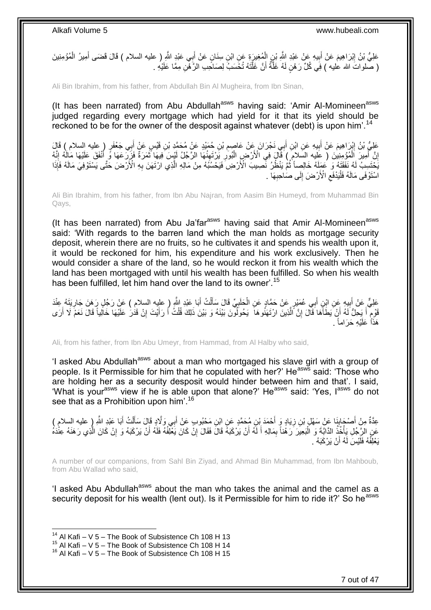عَلِيُّ بْنُ إِبْرَاهِيمَ عَنْ أَبِيهِ عَنْ عَبْدِ اللَّهِ بْنِ الْمُغِيرَةِ عَنِ ابْنِ سِنَانٍ عَنْ أَبِي عَبْدِ اللَّهِ ( عليه السلام ) قَالَ قَضَى أَمِيرُ الْمُؤْمِنِينَ َ ْ **!**  ِ ْ َ ( صَّلواتَ الله عليه ) فِي كُلِّ رَهْنٍ لَهُ غَلَّةٌ أَنَّ غَلَّتَهُ تُخَسَبُ لِصَاحِبِ الرَّهْنِ مِمَّا عَلَيْهِ . َّ اُ َّ

Ali Bin Ibrahim, from his father, from Abdullah Bin Al Mugheira, from Ibn Sinan,

(It has been narrated) from Abu Abdullah<sup>asws</sup> having said: 'Amir Al-Momineen<sup>asws</sup> judged regarding every mortgage which had yield for it that its yield should be reckoned to be for the owner of the desposit against whatever (debt) is upon him<sup>'14</sup>

عَلِّيُّ بْنُ إِبْرَاهِيمَ عَنْ أَبِيهِ عَنِ ابْنِ أَبِي نَجْرَانَ عَنْ عَاصِمِ بْنِ جُمَيْدٍ عَنْ مُحَمَّدِ بْنِ قَيْسٍ عَنْ أَبِي جَعْفَرٍ ( عليه السلام ) قَالَ<br>-ِ ِ َ َ إِنَّ آَمِيرَ اَلْمُؤْمِنِينَ ( عَليه السَلام ) فَأَل َ فِي الْأَرْضِ الْبُورِ يَرْتَفِنُهَا الرَّجُلُ لَيْسَ فِيهَا ثَمَرَةٌ فَزَرِّدَعَهَا وَّ أَنْفَقَ عَلَيْهَا مَالُهُ إِنَّهُ َ  $\ddot{\xi}$ ِ ْ ْ َ ِ ِ َ يَّخْتَسِبُ لَهُ نَفَقَتُهُ وَ كُمَلَهُ خَالِصِاً ثُمَّ يَنْظُرُ نَّصِيبَ الْأَرْضِ فَيَحْسُبُهُ مِنْ مَالِهِ الَّذِي ارْتَهَنَ بِهِ الْأَرْضَ حَتَّى يَسْتَوْفِيَ مَالَهُ فَإِذَا **∶** َّ  $\ddot{\phantom{0}}$ اسْتَوْفَى مَالَهُ فَلْيَدْفَعِ الْأَرْضَ إِلَى صَاحِبِهَا ۚ . **∶**  $\frac{1}{2}$  $\zeta$ ا<br>ا

Ali Bin Ibrahim, from his father, from Ibn Abu Najran, from Aasim Bin Humeyd, from Muhammad Bin Qays,

(It has been narrated) from Abu Ja'far<sup>asws</sup> having said that Amir Al-Momineen<sup>asws</sup> said: 'With regards to the barren land which the man holds as mortgage security deposit, wherein there are no fruits, so he cultivates it and spends his wealth upon it, it would be reckoned for him, his expenditure and his work exclusively. Then he would consider a share of the land, so he would reckon it from his wealth which the land has been mortgaged with until his wealth has been fulfilled. So when his wealth has been fulfilled, let him hand over the land to its owner'.<sup>15</sup>

عَلِيٌّ عَنْ أَبِيهِ عَنِ ابْنِ أَبِي عُمَيْرٍ عَنْ حَمَّادٍ عَنِ الْحَلَبِيِّ قَالَ سَأَلْتُ أَبَا عَبْدِ اللَّهِ ( عليه السلام ) عَنْ رَجُلٍ رَهَنَ جَارِيَتَهُ عِنْدَ َ ْ َ ِ ْ َ ِ ِ َ قَوْمِ أَ يَحِلُّ لَهُ أَنْ يَطَأَهَا َقَالَ إِنَّ الْذِينَ ارْتَهَنُوهَا ۖ يَحُولُونَ بَيْنَهُ وَ بَيْنَ ذَلِكَ قُلْتُ أَ رَأَيْتَ إِنْ قَدَٰرَ عَلَيْهَا خَالِياً قَالَ نَعَمْ لَا أَرَى َ ْ َّ יֲ<br>י َ اً َ م َ ِ هَذَاً عَلَيْهِ حَرَاماً .

Ali, from his father, from Ibn Abu Umeyr, from Hammad, from Al Halby who said,

'I asked Abu Abdullah<sup>asws</sup> about a man who mortgaged his slave girl with a group of people. Is it Permissible for him that he copulated with her?' Heasws said: 'Those who are holding her as a security desposit would hinder between him and that'. I said, 'What is your<sup>asws</sup> view if he is able upon that alone?' He<sup>asws</sup> said: 'Yes, l<sup>asws</sup> do not see that as a Prohibition upon him'.<sup>16</sup>

عِدَّةٌ مِنْ أَصْحَابِنَا عَنْ سَهْلٍ بْنِ زِيَادٍ وَ أَحْمَدَ بْنِ مُحَمَّدٍ عَنِ ابْنِ مَحْبُوبٍ عَنْ أَبِي وَلَّادٍ قَالَ سَأَلْتُ أَبَا عَبْدِ اللَّهِ ( عليه السلام )<br>-**∶** ِ َ ْ َ َ عَنِ الرَّجُلِ يَأْخُذُ الذَّابِّةَ وَ الْبَعِيْرَ رَهُناً بِمَالِهِ أَ لَهُ أَنْ يَرْكَبَهُ قَالَ فَقَالَ إِنُّ كَانَ يَغْلِفُهُ فَلَهُ أَنْ يَرْكَبَهُ وَ إِنْ كَانَ الَّذِي رَهَنَهُ عِنْدَهُ ِ َ لَ َ ِ ْ ة<br>أ َ َّ ِ يَعْلِفُهُ فَلَيْسَ لَـهُ أَنْ يَرْكَبَهُ .

A number of our companions, from Sahl Bin Ziyad, and Ahmad Bin Muhammad, from Ibn Mahboub, from Abu Wallad who said,

'I asked Abu Abdullah<sup>asws</sup> about the man who takes the animal and the camel as a security deposit for his wealth (lent out). Is it Permissible for him to ride it?' So he<sup>asws</sup>

<sup>&</sup>lt;sup>14</sup> Al Kafi – V 5 – The Book of Subsistence Ch 108 H 13

 $15$  Al Kafi – V  $5$  – The Book of Subsistence Ch 108 H 14

 $16$  Al Kafi – V 5 – The Book of Subsistence Ch 108 H 15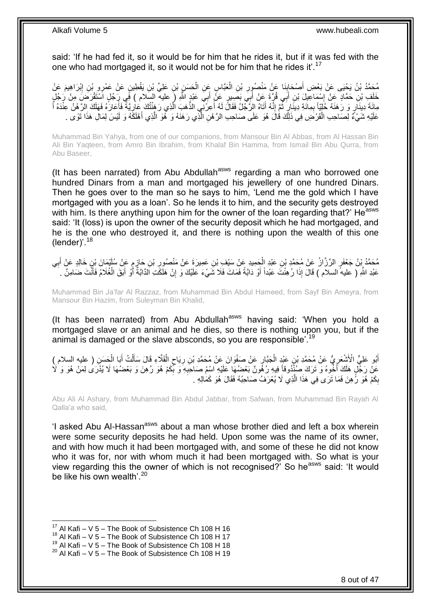said: 'If he had fed it, so it would be for him that he rides it, but if it was fed with the one who had mortgaged it, so it would not be for him that he rides it'.<sup>17</sup>

مُحَمَّدُ بْنُ يَحْيَى عَنْ بَعْضِ أَصْحَابِنَا عَنْ مَنْصُورِ بْنِ الْعَبَّاسِ عَنِ الْحَسَنِ بْنِ عَلِيٍّ بْنِ يَقْطِينٍ عَنْ عَمْرِو بْنِ إِبْرَاهِيمَ عَنْ<br>حَمَّدُ بْنُ يَحْيَى عَنْ بَعْضِ الْمَحَابِذَا عَنْ مَنْصُورِ ب ْ ْ **ٍ ∣** ِ خَلَفٍ بْنِ حَمَّادٍ عَنْ إِسْمَاعِيلَ بْنِ أَبَى قُرَّةَ عَنْ أَبِيَ بَصَبِيرٍ عَنَّ أَبِيَ عَبْدٍ اللَّهِ ( عليه السلام ) فَبِي رَجُلٍ اسْتَقْرَضَ مِنْ رَجُلٍ ِ َ َ َ َّ مِائَةَ دِينَارٍ وَ رَهَنَهُ حُلِّيًا بِمِائَةِ دِينَارٍ ثُمَّ إِنَّهُ أَتَاهُ الرَّجُلُ فَقَالَ لَهُ أَعِرَّنِي الذَّهَبَ الَّذِي رَهَنْتُكَ عَارِيَّةً فَأَعَارَهُ فَهَلَكَ الرَّهْنُ عِنْدَهُ أَ َ ِ  $\ddot{\phantom{0}}$ ِ َ َ ِ عَلَيْهِ شَيْءٌ لِصَاحِبِ الْقَرْضِ فِي ذَلِكَ قَالَ هُوَ عَلَى صَاحِبِ الرَّهْنِ الَّذِي رَهَنَهُ وَ هُوَ الَّذِي أَهْلَكَهُ وَ لَيْسَ لِمَالِ هَذَا تَوًى . َ َ َّ َّ ْ

Muhammad Bin Yahya, from one of our companions, from Mansour Bin Al Abbas, from Al Hassan Bin Ali Bin Yaqteen, from Amro Bin Ibrahim, from Khalaf Bin Hamma, from Ismail Bin Abu Qurra, from Abu Baseer,

(It has been narrated) from Abu Abdullah<sup>asws</sup> regarding a man who borrowed one hundred Dinars from a man and mortgaged his jewellery of one hundred Dinars. Then he goes over to the man so he says to him, 'Lend me the gold which I have mortgaged with you as a loan'. So he lends it to him, and the security gets destroyed with him. Is there anything upon him for the owner of the loan regarding that?' He<sup>asws</sup> said: 'It (loss) is upon the owner of the security deposit which he had mortgaged, and he is the one who destroyed it, and there is nothing upon the wealth of this one (lender)'. $^{18}$ 

مُحَمَّدُ بِنُ جَعْفَرِ الرَّزَّازُ عَنْ مُحَمَّدِ بْنِ عَنْدِ الْجَمِيدِ عَنْ سَيْفِ بْنِ عَمِيرَةَ عَنْ مَنْصُورِ بْنِ جَازِمٍ عَنْ سُلَيْمَانَ بِنِ خَالِدٍ عَنْ أَبِي ֧׆֧ ِ ِ ْ ِ َ عَبْدِ اللَّهِ ( عليه السلام ) قَالَ إِذَا رُهِنْتَ عَبْداً أَوْ دَابَةً فَمَاتَ فَلَا شَيْءَ عَلَيْكَ وَ إِنْ هَلَكَتِ الدَّابَةُ أَوْ أَبَقَ الْغُلَامُ فَأَنْتَ ضَامِنٌ . َ َ ْ َ أ ِ

Muhammad Bin Ja'far Al Razzaz, from Muhammad Bin Abdul Hameed, from Sayf Bin Ameyra, from Mansour Bin Hazim, from Suleyman Bin Khalid,

(It has been narrated) from Abu Abdullah<sup>asws</sup> having said: 'When you hold a mortgaged slave or an animal and he dies, so there is nothing upon you, but if the animal is damaged or the slave absconds, so you are responsible'.<sup>19</sup>

أَبُو عَلِيٍّ الْأَشْعَرِيُّ عَنْ مُحَمَّدِ بْنِ عَيْدٍ الْجَبَّارِ عَنْ صَفْوَانَ عَنْ مُحَمَّدِ بْنِ رِيَاحٍ الْقَلَّاءِ قَالَ سَأَلْتُ أَبَا الْحَسَنِ ( عليه السلام ) ¦ ْ ِ َ ْ َ ْ َ ْ ٍ **∶** عَنْ رَجُّلٍ هَلَكَ أَخُوهُ وَ تَرَكَ صُنْنُوقاً فِيهِ رُهُونٌ بَعْضُهَا عَلَيْهِ اسْمُ صَاحِبِهِ وَ بِّكِمْ هُوَ رُهِنَ وَ بَعْضُهَا لَا يُدْرَى لِمَنْ هُوَ وَ لَا ِ **∶** َ بِكَمْ هُوَ رُّهِنَ فَمَا تَرَى فِي هَذَا الَّذِي لَا يُعْرَفُ صَاحِبُهُ فَقَالَ هُوَ كَمَالِهِ . َّ ِ

Abu Ali Al Ashary, from Muhammad Bin Abdul Jabbar, from Safwan, from Muhammad Bin Rayah Al Qalla'a who said,

'I asked Abu Al-Hassan<sup>asws</sup> about a man whose brother died and left a box wherein were some security deposits he had held. Upon some was the name of its owner, and with how much it had been mortgaged with, and some of these he did not know who it was for, nor with whom much it had been mortgaged with. So what is your view regarding this the owner of which is not recognised? So heasws said: 'It would be like his own wealth'.  $20$ 

 $17$  Al Kafi – V 5 – The Book of Subsistence Ch 108 H 16

 $18$  Al Kafi – V 5 – The Book of Subsistence Ch 108 H 17

<sup>&</sup>lt;sup>19</sup> Al Kafi – V  $\frac{3}{5}$  – The Book of Subsistence Ch 108 H 18

 $20$  Al Kafi – V 5 – The Book of Subsistence Ch 108 H 19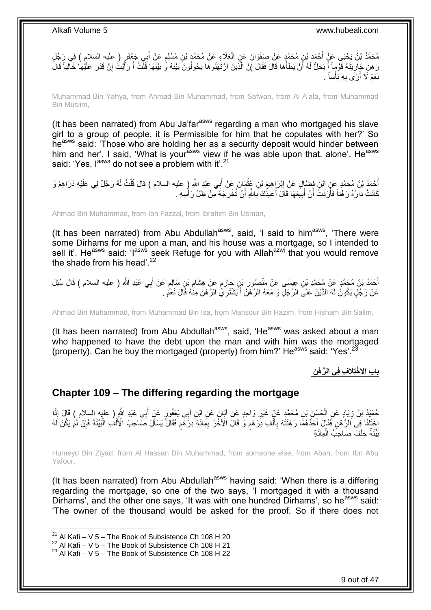مُحَمَّدُ بْنُ يَحْيَى عَنْ أَحْمَدَ بْنِ مُحَمَّدٍ عَنْ صَفْوَانَ عَنِ الْعَلَاءِ عَنْ مُحَمَّدٍ بْنِ مُسْلِمٍ عَنْ أَبِي جَعْفَرٍ ( عليه السلام ) فِي رَجُلٍ َ ֧֖֚֚֓֝֬֝֬֝ ْ رَ هَنَ جَارِيَتَهُ قَوْماً أَ يَحِلُّ لَهُ أَنْ يَطَأَهَا قَالَ فَقَالَ إِنَّ الَّذِينَ ارْتَهَنُوهَا يَحُولُونَ بَيْنَهُ وَّ بَيْنَهَا فَلْتُ أَ رَآَيْتُ إِنْ قَدَرَ عَلَيْهَا خَالِياً قَالَ ا<br>إ ِ َ اً ا<br>أ ِ ِ َ َ ْ نَعَمْ لَا أَرَى بِهِ بَأْساً . ْ **∶** اُ

Muhammad Bin Yahya, from Ahmad Bin Muhammad, from Safwan, from Al A'ala, from Muhammad Bin Muslim,

(It has been narrated) from Abu Ja'far<sup>asws</sup> regarding a man who mortgaged his slave girl to a group of people, it is Permissible for him that he copulates with her?' So he<sup>asws</sup> said: 'Those who are holding her as a security deposit would hinder between him and her'. I said, 'What is your<sup>asws</sup> view if he was able upon that, alone'. He<sup>asws</sup> said: 'Yes, l<sup>asws</sup> do not see a problem with it'.<sup>21</sup>

أَحْمَدُ بْنُ مُحَمَّدٍ عَنِ ابْنِ فَضَّإِلٍ عَنْ إِبْرَ إِهِيمَ بْنِ عُثْمَانَ عَنْ أَبِي عَبْدِ اللَّهِ إِ عليه السلام ) قَالَ قُلْتُ لَهُ رَجُلٌ لِي عَلَيْهِ دَرَاهِمُ وَ َ ْ ֦֦֧֦֦֧֦֧֦֧֦֧֦֧ׅ֦֧ׅ֦֧֦֧֦֧֦֧֦֧֦֧֦֧֦֧֦֧֦֧֦֧֦֧֦֧֦֧֦֧֦֧֦֧֧֦֧֦֧֦֧֦֧֦֚֚֚֚֚֚֚֚֝֘֝֝֜֜֓֡֜ ْ كَانَتْ دَارُهُ رَ هُٰنَاً فَأَرَدْتُ أَنْ أَبِيعَهَا ۖ قَالَ أُعِيذُكَ بِاللَّهِ أَنْ تُخْرِجَهُ مِنْ ظِلِّ رَأْسِهِ ۚ ا<br>أ ِ َ ِ **!** َ َ

Ahmad Bin Muhammad, from Ibn Fazzal, from Ibrahim Bin Usman,

(It has been narrated) from Abu Abdullah<sup>asws</sup>, said, 'I said to him<sup>asws</sup>, 'There were some Dirhams for me upon a man, and his house was a mortgage, so I intended to sell it'. Heasws said: 'lasws seek Refuge for you with Allahazwj that you would remove the shade from his head'.<sup>22</sup>

أَحْمَدُ بْنُ مُحَمَّدٍ بِّن عِيسَى عَنْ مَنْصُورِ بْنِ حَازِمٍ عَنْ هِشَامٍ بْنِ سَالِمٍ عَنْ أَبِي عَبْدِ اللَّهِ ( عليه السلام ) قَالَ سُئِلَ َ ٍ ∶∙ ֧֧֧֧֧֧֧֧֓֝֓֝֓֝֓֝֬֟֓֟֓֓֓֟֓֓֟֓֓<del>֛</del> ِ ِ عَنْ رَجُلٍ يَكُونُ لَهُ الدَّيْنُ عَلَى الرَّجُلِ وَ مَعَهُ الرَّهْنُ أَ يَشْتَرِيَّ الرَّهْنَ مِنَّهُ قَالَ نَعَمْ َ

Ahmad Bin Muhammad, from Muhammad Bin Isa, from Mansour Bin Hazim, from Hisham Bin Salim,

(It has been narrated) from Abu Abdullah<sup>asws</sup>, said, 'He<sup>asws</sup> was asked about a man who happened to have the debt upon the man and with him was the mortgaged (property). Can he buy the mortgaged (property) from him?' He<sup>asws</sup> said: 'Yes'.<sup>23</sup>

**َال ِف فِي ال َّر ْه ِن باب اِِل ْختِ**

### <span id="page-8-0"></span>**Chapter 109 – The differing regarding the mortgage**

حُمَّدُ بْنُ زِيَادٍ عَنِ الْحَسَنِ بْنِ مُحَمَّدٍ عَنْ غَيْرِ وَاحِدٍ عَنْ أَبَانٍ عَنِ ابْنِ أَبِي يَعْفُورٍ عَنْ أَبِي عَبْدِ الثَّمِ ( عليه السلام ) قَالَ إِذَا َ َ َ **∶** ْ ِ حْتَلَفَا فِي الرَّهْنِ فَقَالَ أَحَدُهُمَا رَهَنْتَهُ بِأَلْفِ ذِرْهَمٍ وَ قَالَ الْأَخَرُ بِمِائَةِ دِرْهَمٍ فَقَالَ يُسْأَلُ صَاحِبُ الْأَلْفِ الْبَيِّنَةَ فَإِنْ لَمْ يَكُنْ لَهُ ٍ ْ َ **∶** َ ∣ٍ إ ْ ْ Í ֧֖֖֖֖֧֧֧ׅ֧֧ׅ֧֚֚֚֚֚֚֚֚֚֓֝֝֬֝֟֓֝֓֝֓֝֓֜֟֓֟֓֟֓֝֬֜֝ ِ بَيِّنَةٌ حَلَفٌ صَاحِبُ الْمِائَةِ ْ

Humeyd Bin Ziyad, from Al Hassan Bin Muhammad, from someone else, from Aban, from Ibn Abu Yafour,

(It has been narrated) from Abu Abdullah<sup>asws</sup> having said: 'When there is a differing regarding the mortgage, so one of the two says, 'I mortgaged it with a thousand Dirhams', and the other one says, 'It was with one hundred Dirhams', so he<sup>asws</sup> said: 'The owner of the thousand would be asked for the proof. So if there does not

<sup>&</sup>lt;sup>21</sup> Al Kafi – V 5 – The Book of Subsistence Ch 108 H 20

<sup>22</sup> Al Kafi – V  $\overline{5}$  – The Book of Subsistence Ch 108 H 21

 $23$  Al Kafi – V 5 – The Book of Subsistence Ch 108 H 22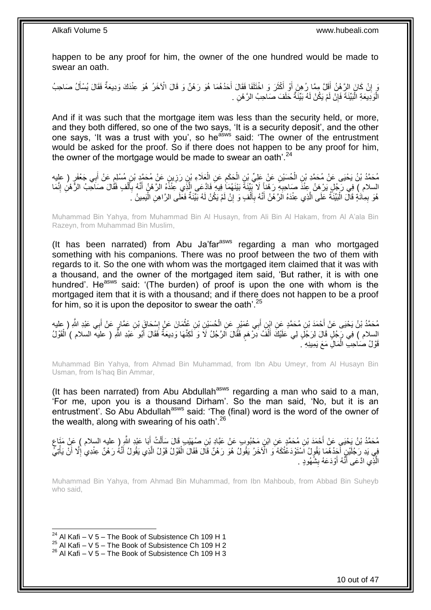happen to be any proof for him, the owner of the one hundred would be made to swear an oath.

يَ إِنْ كَانَ الرَّهْنُ أَقَلَّ مِمَّا رُهِنَ أَوْ أَكْثَرَ وَ اخْتَلَفَا فَقَالَ أَحَدُهُمَا هُوَ رَهْنٌ وَ قَالَ الْآخَرُ هُوَ عِنْدَكَ وَدِيعَةٌ فَقَالَ يُسْأَلُ صَاحِبُ َ َ َ َ َ الْوَدِيعَةِ الْبَيِّنَةَ فَإِنْ لَمْ يَكُنْ لَهُ بَيِّنَةٌ حَلَفَ صَاحِبُ الرَّ هْنِ . ِ ا<br>ا ا<br>ا

And if it was such that the mortgage item was less than the security held, or more, and they both differed, so one of the two says, 'It is a security deposit', and the other one says, 'It was a trust with you', so he<sup>asws</sup> said: 'The owner of the entrustment would be asked for the proof. So if there does not happen to be any proof for him, the owner of the mortgage would be made to swear an oath'. $24$ 

مُحَمَّدُ بْنُ يَحْيَى عَنْ مُحَمَّدِ بْنِ الْحُسَيْنِ عَنْ عَلِيِّ بْنِ الْحَكَمِ عَنِ الْعَلَاءِ بْنِ رَزِينٍ عَنْ مُحَمَّدٍ بْنِ مُسْلِمٍ عَنْ أَبِي جَعْفَرٍ ( عليه ِ ْ ِ ْ ْ َ ٍ السلام ) فِي رَجُلٍ يَرْهَنُ عِنْذَ صَاحِبِهِ رَهْناً لَا بَيِّنَةَ بَيْنَهُمَاۤ فِيهِ فَادَّعَى الَّذِي عِنْذَهُ الرَّهْنُ أَنَّهُ بِأَلْفٍ فَقَالَ صَاحِبُ الرَّهْنِ إِنَّمَا ْ َ ِ َ َّ **∶** ِ هُوَ بِمِائَةٍ قَالَ الْبَيِّنَةُ عَلَى الَّذِي عِنْدَهُ اَلرَّهْنُ أَنَّهُ بِأَلْفٍ وَ إِنْ لَمْ يَكُنْ لَهُ بَيِّنَةٌ فَغَلَى الرَّاهِنِ الْيَمِينُ  $\,$ ِ ْ َ ِ َ َّ :<br>ا ِ ْ لَ

Muhammad Bin Yahya, from Muhammad Bin Al Husayn, from Ali Bin Al Hakam, from Al A'ala Bin Razeyn, from Muhammad Bin Muslim,

(It has been narrated) from Abu Ja'far<sup>asws</sup> regarding a man who mortgaged something with his companions. There was no proof between the two of them with regards to it. So the one with whom was the mortgaged item claimed that it was with a thousand, and the owner of the mortgaged item said, 'But rather, it is with one hundred'. He<sup>asws</sup> said: '(The burden) of proof is upon the one with whom is the mortgaged item that it is with a thousand; and if there does not happen to be a proof for him, so it is upon the depositor to swear the oath'.<sup>25</sup>

مُحَمَّدُ بْنُ يَحْيَى عَنْ أَحْمَدَ بْنِ مُحَمَّدٍ عَنِ ابْنِ أَبِي عُمَيْرِ عَنِ الْحُسَيْنِ بْنِ عُثْمَانَ عَنْ إِسْحَاقٍَ بْنِ عَمَّارٍ عَنْ أَبِي عَبْدِ اللَّهِ ( عليه<br>مُحَمَّدُ بْنُ يَحْيَى عَنْ أَحْمَدَ بْنِ مُحَمَ َ ِ **ٔ** ْ َ السلام ) فِي رَجُلٍ قَالَ لِرَجُلٍ لِي عَلَيْكَ أَلْفُ دِرْهِم فَقَالَ الرَّجُلُ لَا وَ لَكِنَّهَا وَدِيعَةٌ فَقَالَ أَبُو عَبْدِ اللَّهِ ( عليه السلام ) الْقَوْلُ َ ٍ ْ َ ْ قَوْلُ صَاحِبِ الْمَالِ مَعَ يَمِينِهِ ۚ. ْ

Muhammad Bin Yahya, from Ahmad Bin Muhammad, from Ibn Abu Umeyr, from Al Husayn Bin Usman, from Is'haq Bin Ammar,

(It has been narrated) from Abu Abdullah<sup>asws</sup> regarding a man who said to a man, 'For me, upon you is a thousand Dirham'. So the man said, 'No, but it is an entrustment'. So Abu Abdullah<sup>asws</sup> said: 'The (final) word is the word of the owner of the wealth, along with swearing of his oath'.<sup>26</sup>

مُحَمَّدُ بْنُ يَحْيَى عَنْ أَحْمَدَ بْنِ مُحَمَّدٍ عَنِ ابْنٍ مَحْبُوبٍ عَنْ عَبَّادٍ بْنِ صُهَيْبٍ قَالَ سَأَلْتُ أَبَا عَبْدِ اللَّهِ ( عليه السلام ) عَنْ مَتَاعِ َ ْ ĺ َ ٍ فِي يَدِ رَجُلَيْنِ أَجَدُهُمَا يَقُولُ اَسْتَوْدَعْتُكَهُ وَ الْآخَرُ يَقُولُ هُوَ رَهْنٌ قَالَ فَقَالَ الْقَوْلُ قَوْلُ الَّذِي يَقُولُ أَنَّهُ رَهْنٌ عِنْدِي إِلَّا أَنْ يَأْتِي ا<br>ا ة<br>أ َ ِ َ َّ ْ الَّذِي ادَّعَى أَنَّهُ أَوْدَعَهُ بِشُهُودٍ . **!** َ َ َّ

Muhammad Bin Yahya, from Ahmad Bin Muhammad, from Ibn Mahboub, from Abbad Bin Suheyb who said,

<sup>&</sup>lt;sup>24</sup> Al Kafi – V 5 – The Book of Subsistence Ch 109 H 1

 $^{25}$  Al Kafi – V 5 – The Book of Subsistence Ch 109 H 2

 $26$  Al Kafi – V 5 – The Book of Subsistence Ch 109 H 3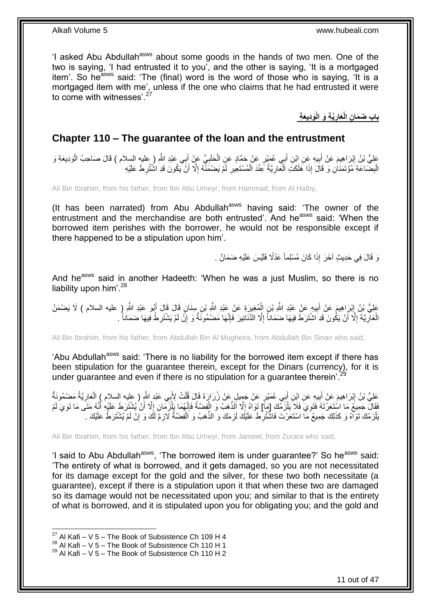'I asked Abu Abdullah<sup>asws</sup> about some goods in the hands of two men. One of the two is saying, 'I had entrusted it to you', and the other is saying, 'It is a mortgaged item'. So he<sup>asws</sup> said: 'The (final) word is the word of those who is saying, 'It is a mortgaged item with me', unless if the one who claims that he had entrusted it were to come with witnesses'.<sup>27</sup>

> **ِناب ضَمَانِ الْعَارِيَّةِ وَ الْوَدِيعَةِ ِ**

### <span id="page-10-0"></span>**Chapter 110 – The guarantee of the loan and the entrustment**

عَلِيُّ بْنُ إِبْرَاهِيمَ عَنْ أَبِيهِ عَنِ إِبْنِ أَبِي عُهَيْرٍ عَنْ حَمَّادٍ عَنِ الْحَلَبِيِّ عَنْ إِبِي عَبْدِ اللَّهِ ( عليهِ السلام ) قَالَ صَاحِبُ الْوَدِيعَةِ وَ َ ِ ْ َ  $\frac{1}{2}$ َ <u>֖֓</u> ْ ِ الْبِضَاعَةِ مُوُتَمَذَانِ وَ قَالَ إِذَا هَلَكَتِ اَلْعَارِيَّةُ عِنْدَ الْمُسْتَعِيرِ لَمْ يَصْمَذْهُ إِلَّا أَنَّ يَكُونَ قَدِ اشْتُرِطَ عَلَيْهِ ْ ِ ْ ِ ِ اُ ِ لَ

Ali Bin Ibrahim, from his father, from Ibn Abu Umeyr, from Hammad, from Al Halby,

(It has been narrated) from Abu Abdullah<sup>asws</sup> having said: 'The owner of the entrustment and the merchandise are both entrusted'. And he<sup>asws</sup> said: 'When the borrowed item perishes with the borrower, he would not be responsible except if there happened to be a stipulation upon him'.

نَ قَالَ فِي حَدِيثٍ آخَرَ إِذَا كَانَ مُسْلِماً عَدْلًا فَلَيْسَ عَلَيْهِ ضَمَانٌ .

And he<sup>asws</sup> said in another Hadeeth: 'When he was a just Muslim, so there is no liability upon him<sup>' 28</sup>

عَلِيُّ نِنُ إِبْرَاهِيمَ عَنْ أَبِيهِ عَنْ عَبْدِ اللَّهِ بْنِ الْمُغِيرَةِ عَنْ عَبْدِ اللَّهِ بْنِ سِنَانٍ قَالَ قَالَ أَبُو عَبْدِ اللَّهِ ( عليه السلام ) لَا يَضْمَنُ َ ْ **!** َ ِ الْعَالِّ يَّةً إِلَّا أَنْ يَكُونَ قَدِ اشْتَرَطَ فِيهَا ضَمَاناً إِلَّا الْذَّنَانِيرَ فَإِنَّهَا مَضْمُونَّةٌ وَ إِنَّ لَمْ يَشْتَرِطْ فِيهَا ضَمَاناً . ِ ِ ِ َ ِ **∶** ْ ِ

Ali Bin Ibrahim, from his father, from Abdullah Bin Al Mugheira, from Abdullah Bin Sinan who said,

'Abu Abdullah<sup>asws</sup> said: 'There is no liability for the borrowed item except if there has been stipulation for the guarantee therein, except for the Dinars (currency), for it is under guarantee and even if there is no stipulation for a guarantee therein'.<sup>29</sup>

عَلِيُّ بْنُ إِبْرَاهِيمَ عَنْ أَبِيهِ عَنِ ابْنِ أَبِي عُمَيْرٍ عَنْ جَمِيلٍ عَنْ زُرَارَةَ قَالَ قُلْتُ لِأَبِي عَبْدِ اللَّهِ ( عليه السلام ) الْعَارِيَّةُ مَضْمُونَةٌ ْ َ ِ َ ِ ِ ْ فَقَالَ جَمِيعُ مَا اسْتَعَرْتَهُ فَتَوِيَ فَلاَ يَلْزَمُكَ [مَ] تَوَاهُ إِلَّا الذَّهَبُ وَ الْفِضَّةُ فَإِنَّهُمَا بِأَزَيَّمَانِ إِلَّا أَنْ يُشْتَرَطَ عَلَيْهِ أَنَّهُ مَتَى مَا تَوِيَ لَمْ ْ ِ ِ َ َ **∶** ْ ِ ْ  $\frac{1}{2}$ َبْلْزَمْكَ تَوَاهُ وَ كَذَلِكَ جَمِيعُ مَا اسْتَعَرْتَ فَاشْتُرِطَ عَلَيْكَ لَزِمَكَ وَ الذَّهَبُ وَ اَلْفِضَّةُ لِّازِمٍّ لَّكَ وَ إِنْ لَمْ يُشْتَرَطْ عَلَيْكَ  $\,$ ِ ْ ِ ِ ِ لَ

Ali Bin Ibrahim, from his father, from Ibn Abu Umeyr, from Jameel, from Zurara who said,

'I said to Abu Abdullah<sup>asws</sup>, 'The borrowed item is under guarantee?' So he<sup>asws</sup> said: 'The entirety of what is borrowed, and it gets damaged, so you are not necessitated for its damage except for the gold and the silver, for these two both necessitate (a guarantee), except if there is a stipulation upon it that when these two are damaged so its damage would not be necessitated upon you; and similar to that is the entirety of what is borrowed, and it is stipulated upon you for obligating you; and the gold and

<sup>&</sup>lt;sup>27</sup> Al Kafi – V 5 – The Book of Subsistence Ch 109 H 4

<sup>28</sup> Al Kafi – V 5 – The Book of Subsistence Ch 110 H 1

 $29$  Al Kafi – V 5 – The Book of Subsistence Ch 110 H 2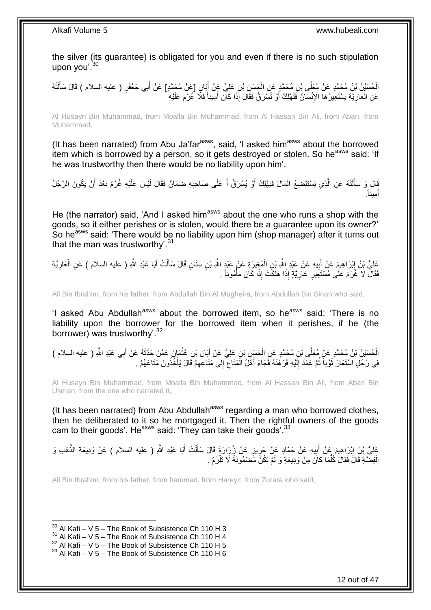the silver (its guarantee) is obligated for you and even if there is no such stipulation upon you'.<sup>30</sup>

الْحُسَيْنُ بْنُ مُحَمَّدٍ عَنْ مُعَلَّى بْنِ مُحَمَّدٍ عَنِ الْحَسِنِ بْنِ عَلِيٍّ عَنْ أَبَانٍ [عَنْ مُحَمَّدٍ] عَنْ أَبِي جَعْفَرٍ ( عليه السلام ) قَالَ سَأَلْتُهُ َ َ ْ ْ َ عَنِ الْمَارِيَّةِ يَسْتَعِيرُ هَا الْإِنْسَانُ فَتَهْلِكُ أَوْ تُسَرَقُ فَقَالَ إِذَا كَانَ أَمِيناً فَلَا خُرْمَ عَلَيْهِ َ َ ِ ْ

Al Husayn Bin Muhammad, from Moalla Bin Muhammad, from Al Hassan Bin Ali, from Aban, from Muhammad,

(It has been narrated) from Abu Ja'far<sup>asws</sup>, said, 'I asked him<sup>asws</sup> about the borrowed item which is borrowed by a person, so it gets destroyed or stolen. So he<sup>asws</sup> said: 'If he was trustworthy then there would be no liability upon him'.

َالَ وَ سَأَلْتُهُ عَنِ الَّذِي يَسْتَبْضِعُ الْمَالَ فَيَهْلِكُ أَوْ يُسْرَقُ أَ عَلَى صَاحِبِهِ ضَمَانٌ فَقَالَ لَيْسَ عَلَيْهِ غُرْمٌ بَعْدَ أَنْ يَكُونَ الرَّجُلُ ِ َ َ ْ َّ ֺ֦֦֪֦֧֦֦֖֦֦֪֦֧֦֪֦֧֦֪֪֦֧֦֪֦֪֪֦֧֦֪֦֧֦֧֦֪֦֧֦֧֦֪֪֦֧֪֦֧֪֦֧֦֧֦֧֝֟֟֟֟֟֟֟֟֟֟֟֟֟֟֟֟֟֟֟֟֟֟֓֕֬֟֓֡֟֓֟֓֞֟֟֓֞֟֟֟֟֟֟֟֩֓֞֟֟֟֟֟֟ َ . ِميناً َ أ

He (the narrator) said, 'And I asked him<sup>asws</sup> about the one who runs a shop with the goods, so it either perishes or is stolen, would there be a guarantee upon its owner?' So he<sup>asws</sup> said: 'There would be no liability upon him (shop manager) after it turns out that the man was trustworthy'.<sup>31</sup>

عَلِيُّ بْنُ إِبْرَاهِيمَ عَنْ أَبِيهِ عَنْ عَبْدِ اللَّهِ بْنِ الْمُغِيرَةِ عَنْ عَبْدٍ اللَّهِ بْنِ سِنَانٍ قَالَ سَأَلْتُ أَبَا عَبْدِ اللَّهِ ( عليه السلام ) عَنِ الْعَارِيَّةِ ْ ĺ ْ **!** َ ِ ِ ْ فَقَالَ لَا غُرْمَ عَلَى مُسْتَعِيرِ عَارِيَّةٍ إِذَا هَلَكَتْ إِذَا كَانَ مَأْمُوناً . ْ **ٍ** ِ

Ali Bin Ibrahim, from his father, from Abdullah Bin Al Mugheira, from Abdullah Bin Sinan who said,

'l asked Abu Abdullah<sup>asws</sup> about the borrowed item, so he<sup>asws</sup> said: 'There is no liability upon the borrower for the borrowed item when it perishes, if he (the borrower) was trustworthy'.<sup>32</sup>

الْحُسَيْنُ بْنُ مُحَمَّدٍ عَنْ مُعَلَّى بْنِ مُحَمَّدٍ عَنِ الْحَسِنِ بْنِ عَلِيٍّ عَنْ أَبَانِ بْنِ عُثْمَانَ عَمَّنْ حَدَّثَهُ عَنْ أَبِي عَبْدِ اللَّهِ ( عليه السلام )<br>. **ٔ** َ ْ َ َ فِي رَجُلٍ اسْتَعَارَ ۖ ثَوْباً ثُمَّ عَمَدَ إِلَيْهِ فَرَهَنَهُ فَجَاءَ أَهْلُ الْمَتَاعِ ۖ إِلَى مَتَاعَهُمْ قَالَ يَأْخُذُونَ مَتَاعَهُمْ ۔ ْ ِ ِ ِ ْ َ لَ ِ  $\ddot{\phantom{0}}$ ة<br>أ

Al Husayn Bin Muhammad, from Moalla Bin Muhammad, from Al Hassan Bin Ali, from Aban Bin Usman, from the one who narrated it,

(It has been narrated) from Abu Abdullah<sup>asws</sup> regarding a man who borrowed clothes, then he deliberated to it so he mortgaged it. Then the rightful owners of the goods cam to their goods'. He<sup>asws</sup> said: 'They can take their goods'.<sup>33</sup>

عَلِيُّ بْنُ إِبْرَاهِيمَ عَنْ أَبِيهِ عَنْ حَمَّادٍ عَنْ حَرِيزٍ عَنْ زُِرَارَةٍ قَالَ سَأَلْتُ أَبَا عَبْدِ اللَّهِ ( عليه السلام ) عَنْ وَدِيعَةِ الذَّهَبِ وَ َ ْ َ **∶** ِ َ <u>֖֚֚֚֓</u> الْفِضَّةِ قَالَ فَقَالَ كُلُّمَا كَانَ مِنْ وَدِيعَةٍ وَ لَمْ تَكُنْ مَّصْمُونَةً لَا تَلْزَمُ . ُّ ْ ْ لَ

Ali Bin Ibrahim, from his father, from hammad, from Hareyz, from Zurara who said,

 $30$  Al Kafi – V 5 – The Book of Subsistence Ch 110 H 3

 $31$  Al Kafi – V 5 – The Book of Subsistence Ch 110 H 4

 $32$  Al Kafi – V 5 – The Book of Subsistence Ch 110 H 5

 $33$  Al Kafi – V 5 – The Book of Subsistence Ch 110 H 6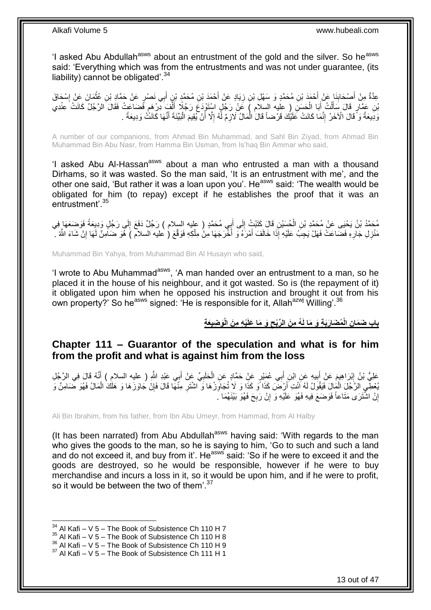'I asked Abu Abdullah<sup>asws</sup> about an entrustment of the gold and the silver. So he<sup>asws</sup> said: 'Everything which was from the entrustments and was not under quarantee. (its liability) cannot be obligated<sup>'.34</sup>

ِي َن ْص ٍر ب ِن أ ِن م َح َّمِد ْب ْح َمَد ْب َياٍد َع ْن أ ِن ز ِن م َح َّمٍد َو َس ْه ِل ْب ْح َمَد ْب َنا َع ْن أ ْص َحاب ِعَّدةٌ ْس َحا َق ِم ْن أ َما َن َع ْن إ ِن عث َع ْن َح َّماِد ْب َ َ ِ **∣** َ ِ **ٔ** بْنِ عَمَّارٍ قَالَ سَأَلْتُ أَبَا الْحَسَنَ ( عليه السِلاَم ) عَنْ رَجُلٍ اسْتَوْدَعَ رَجُلًا أَلْفَ دِّرْهِم فَضَاعَتْ فَقَالَ الرَّجُلُ كَانَتْ عِنْدِي ֧֖֖֖֧֧֖֧֧֧֧֧ׅ֧֧֧֧֧֚֚֚֚֓֝֝֝֝֟֓֟֓֝֬֝֓֝֓֝֬֟֓֟֓֟֓֟֓֝֬֝֬֝֓֝֬֜֓֝֬֝֓֝֬֝֬֝ ْ َ ْ َ ْ وَدِعَةً وَ ًقَالَ الْآخَرُ ۚ إِنَّمَا كَانَتْ عَلَيْكَ قَرْضناً قَالَ الْمَالُ لَازِمٌ لَّهُ إِلَّا أَنْ يُقِيمَ الْبَيِّنَةَ أَنَّهَا كَانَتُّ وَدِيعَةً . ْ اُ ِ **∶** ْ ֺ֧֖ׅ֧ׅ֧֧֚֚֚֚֚֚֚֚֚֚֚֚֚֚֝֝֬֓֡֡֓֡֟֡֡֡֡֡֡֬֓֡֟֓֡֟֓֡֟֓֡֡֡֬֩֓֓֩ ً َ

A number of our companions, from Ahmad Bin Muhammad, and Sahl Bin Ziyad, from Ahmad Bin Muhammad Bin Abu Nasr, from Hamma Bin Usman, from Is'haq Bin Ammar who said,

'I asked Abu Al-Hassan<sup>asws</sup> about a man who entrusted a man with a thousand Dirhams, so it was wasted. So the man said, 'It is an entrustment with me', and the other one said, 'But rather it was a loan upon you'. He<sup>asws</sup> said: 'The wealth would be obligated for him (to repay) except if he establishes the proof that it was an entrustment'.<sup>35</sup>

لَ ِ ِي م َح َّمٍد ) عليه السالم ( َر ج ٌل َدَف َع إ ب لَى أ ِن َقا َل َكَتْب ت إ ح َسْي م َح َّم د ْب ن َي ْحَيى َع ْن م َح َّمِد ْب َفَو َضَعَها ِفي ِن ال ى َر ج ٍل َوِدي َعةً ∣∣<br>∶ ْ مَنْزِلِ جَارِهِ فَضَاعَتْ فَهَلْ يَجِبُ عَلَيْهِ إِذَا خَالَفَ أَمْرَهُ وَ أَخْرَجَهَا مِنْ مِلْكِهِ فَوَقَّعَ ( عليه السلام ) هُوَ ضَامِنٌ لَهَا إِنْ شَاءَ اللَّهُ . **∶** ِ ِ ْ َ َ

Muhammad Bin Yahya, from Muhammad Bin Al Husayn who said,

'I wrote to Abu Muhammad<sup>asws</sup>, 'A man handed over an entrustment to a man, so he placed it in the house of his neighbour, and it got wasted. So is (the repayment of it) it obligated upon him when he opposed his instruction and brought it out from his own property?' So he<sup>asws</sup> signed: 'He is responsible for it, Allah<sup>azwj</sup> Willing'.<sup>36</sup>

> باب ضَمَانِ الْمُضَارَبَةِ وَ مَا لَهُ مِنَ الرِّبْحِ وَ مَا عَلَيْهِ مِنَ الْوَضِيعَةِ **ِ**

### <span id="page-12-0"></span>**Chapter 111 – Guarantor of the speculation and what is for him from the profit and what is against him from the loss**

عَلِيُّ بْنُ إِبْرَاهِيمَ عَنْ أَبِيهِ عَنِ ابْنِ أَبِي عُمَيْرٍ عَنِّ حَمَّادٍ عَنِ الْحَلَبِيِّ عَنْ أَبِي عَبْدِ اللَّهِ ( عليه السلام ) أَنَّهُ قَالَ فِي الرَّجُلِ<br>بِي اللَّهُ وَ اللَّهُ وَ اللَّهُ وَ بِنَّ مُنْ بَعْدِ ِ َ َ ِ ْ َ **!** َ ُنْعَظِي الرَّجُلَ الْمَالَ فَيَقُولُ لَهُ اَنْتِ أَرْضَنَ كَذَا وَ كَذَا وَ لَا تُجَاوِّزْهَا وَ اشْتَرِ مِنْهَا قَالَ فَإِنْ جَاوَزَهَا وَ هَلَكَ الْمَالُ فَهُوَ ضَامِنٌ وَ ∣ٍ إا ِ ِ َ ْ إِنْ اشْتَرَى مَتَاعاً فَوَضَعَ فِيهِ فَهُوَ عَلَيْهِ وَ إِنْ رَبِحَ فَهُوَ بَيْنَهُمَا ـُ ِ ֧<u>׀</u> اٍ

Ali Bin Ibrahim, from his father, from Ibn Abu Umeyr, from Hammad, from Al Halby

(It has been narrated) from Abu Abdullah<sup>asws</sup> having said: 'With regards to the man who gives the goods to the man, so he is saying to him, 'Go to such and such a land and do not exceed it, and buy from it'. He<sup>asws</sup> said: 'So if he were to exceed it and the goods are destroyed, so he would be responsible, however if he were to buy merchandise and incurs a loss in it, so it would be upon him, and if he were to profit, so it would be between the two of them'. $37$ 

 $34$  Al Kafi – V 5 – The Book of Subsistence Ch 110 H 7

 $35$  Al Kafi – V 5 – The Book of Subsistence Ch 110 H 8

 $36$  Al Kafi – V 5 – The Book of Subsistence Ch 110 H 9

 $37$  Al Kafi – V 5 – The Book of Subsistence Ch 111 H 1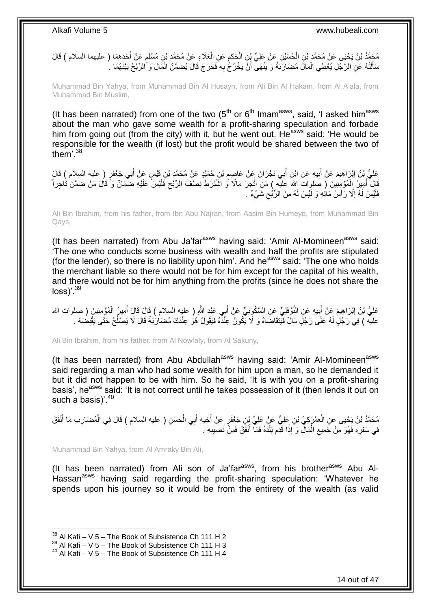مُحَمَّدُ بْنُ يَحْيَى عَنْ مُحَمَّدٍ بْنِ الْحُسَيْنِ عَنْ عَلِيِّ بِنِ الْحَكَمِ عَنِ الْعَلَاءِ عَنْ مُحَمَّدِ بْنِ مُسْلِمٍ عَنْ أُخَذِهِمَا ( عليهما السلام ) قَالَ<br>مُعَامِّدُ بْنُ يَجِّينِ مِن مِّن مُحَمَّدٍ بْنِ الْ ֧֖֧֖֖֖֖֧֧֚֚֚֚֚֚֝֝֟֓֓֝֓֟֓֓֝֓**֓** ْ ِ ْ ْ َ سَأَلْتُهُ عَنِ الرَّجْلِ يُعْطِي الْمَالَ مُضَارَبَةً وَ يَنْهَى ۖ أَنْ يَخْرُجَ بِهِ فَخَرَجَ قَالَ يُضَمَّنُ الْمَالَ وَ َالرِّبْحُ بَيْنَهُمَا ۚ ـ ِ َ ْ ֖֖֦֖֦֖֦֧֦֦֖֦֖֦֧֦֪֦֧֦֪֪֦֧֦֪֦֧֦֧֦֟֟֟֟֟֟֟֟֟֟֟֟֟֟֟֟֟֟֟֟֟֟֟֟֟֟֟֓֕֬֞֟֩֕֟֟֩֕֟֟֟֟֩֕֟֩֕֓֞֟֟֩֩֓֞֟֟֟֩֩֓֞ َ ْ

Muhammad Bin Yahya, from Muhammad Bin Al Husayn, from Ali Bin Al Hakam, from Al A'ala, from Muhammad Bin Muslim,

(It has been narrated) from one of the two  $(5<sup>th</sup>$  or  $6<sup>th</sup>$  Imam<sup>asws</sup>, said, 'I asked him<sup>asws</sup> about the man who gave some wealth for a profit-sharing speculation and forbade him from going out (from the city) with it, but he went out. He<sup>asws</sup> said: 'He would be responsible for the wealth (if lost) but the profit would be shared between the two of them'.<sup>38</sup>

عَلِيُّ بْنُ إِبْرَاهِيمَ عَنْ أَبِيهِ عَنِ ابْنِ أَبِي نَجْرَانَ عَنْ عَاصِمِ بْنِ حُمَيْدٍ عَنْ مُحَمَّدٍ بْنِ قَيْسٍ عَنْ أَبِي جَعْفَرٍ ( عليه السلام ) قَالَ ِ َ **!** َ َ قَالَ ۖ أَمِيرُ ۗ إِلْمُؤْ بِنَٰنِينَ ﴿ صَلْوِاتٌ اللهَ عَلَيْهِ ﴾ مَنِ اتَّجَرَ مَالًا وَ اشَّتَرَطَ نِصْفَ الرِّبْحِ فَلَيْسَ ۚ عَلَيْهِ ضَمَانٌ وَ ۗ قَالَ مَنْ ضَمَّنَ تَاجِر أَ ْ  $\zeta$ فَلَيْسَ لَـهُ إِلَّا رَأْسُ مَالِهِ وَ لَيْسَ لَـهُ مِنَ الرِّبْحِ شَيْءٌ . ِ ِ

Ali Bin Ibrahim, from his father, from Ibn Abu Najran, from Aasim Bin Humeyd, from Muhammad Bin Qays,

(It has been narrated) from Abu Ja'far $a$ <sup>asws</sup> having said: 'Amir Al-Momineen $a$ <sup>asws</sup> said: 'The one who conducts some business with wealth and half the profits are stipulated (for the lender), so there is no liability upon him'. And he<sup>asws</sup> said: 'The one who holds the merchant liable so there would not be for him except for the capital of his wealth, and there would not be for him anything from the profits (since he does not share the loss)'.<sup>39</sup>

عَلِيُّ بْنُ إِبْرَاهِيمَ عَنْ أَبِيهِ عَنِ النَّوْفَلِيِّ عَنِ السَّكُونِيِّ عَنْ أَبِي عَنْدِ اللَّهِ ( عليه السلام ) قَالَ قَالَ أَمِيرُ الْمُؤْمِنِينَ ( صلوات الله ِ َ ِ ْ َ َ عليه ) فِيَ رَجُلٍ لَهُ عَلَى رَجُلٍ مَالٌ فَيَتَقَاضَاهُ وَ لَا يَكُونُ عِنَّذَهُ فَيَقُولُ هُوَ عِنْدَكَ مُضَارْبَةً قَالَ لَا يَصْلُحُ حَتَّى يَقْبِضُهُ . ِ Ĺ

Ali Bin Ibrahim, from his father, from Al Nowfaly, from Al Sakuny,

(It has been narrated) from Abu Abdullah<sup>asws</sup> having said: 'Amir Al-Momineen<sup>asws</sup> said regarding a man who had some wealth for him upon a man, so he demanded it but it did not happen to be with him. So he said, 'It is with you on a profit-sharing basis', he<sup>asws</sup> said: 'It is not correct until he takes possession of it (then lends it out on such a basis)'. $40$ 

مُحَمَّدُ بْنُ يَحْيَى عَنِ الْعَمْرَكِيِّ بْنِ عَلِيٍّ عَنْ عَلِيٍّ بْنِ جَعْفَرٍ عَنْ أَخِيهِ أَبِي الْحَسَنِ ( عليه السلام ) قَالَ فِي الْمُضَارِبِ مَا أَنْفَقَ ْ َ َ ْ َ ِ ْ فِي سَفَرِهِ فَهُوَ مِنْ جَمِيعِ الْمَالِّ وَ َإِذَا قَدِمَ بَلَدَهُ فَمَاۤ أَنْفَقَ فَمِنَّ نَصِيبِهِ . ْ ِ ِ ِ َ

Muhammad Bin Yahya, from Al Amraky Bin Ali,

(It has been narrated) from Ali son of Ja'far $^{asws}$ , from his brother $^{asws}$  Abu Al-Hassan<sup>asws</sup> having said regarding the profit-sharing speculation: 'Whatever he spends upon his journey so it would be from the entirety of the wealth (as valid

 $38$  Al Kafi – V 5 – The Book of Subsistence Ch 111 H 2

 $39$  Al Kafi – V  $5$  – The Book of Subsistence Ch 111 H 3

<sup>40</sup> Al Kafi – V 5 – The Book of Subsistence Ch 111 H 4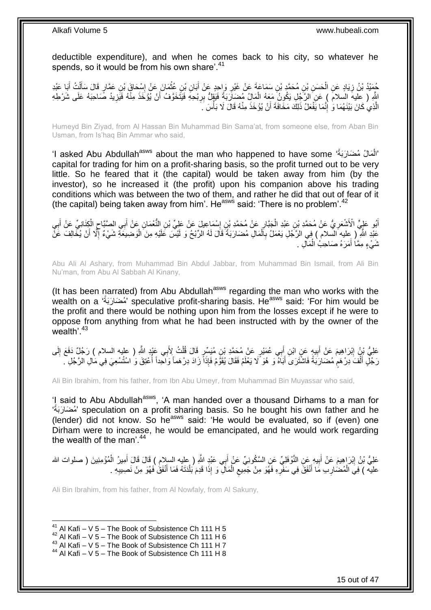deductible expenditure), and when he comes back to his city, so whatever he spends, so it would be from his own share'.<sup>41</sup>

كُمِيْدُ بْنُ زِيَادٍ عَنِ الْحَسَنِ بْنِ مُحَمَّدٍ بْنِ سَمَاعَةَ عَنْ غَيْرِ وَإِحِدٍ عَنْ أَبَانِ بْنِ عُقْمَانَ عَنْ إِسْحَاقَ بْنِ عَمَّارٍ قَالَ سَأَلْتُ أَبَا عَبْدِ ْ ِ َ ْ ĺ ∣∣<br>∶ ْ َ **∶** لَّهِ ( عليهَ السلامَ ) عَنِ الرَّجِلِ يَكُونُ مَعَهُ الْمَالُِ مُضَارَبَةً فَيَقِلُّ بِرِبْحِهِ فَيَتَّخَوَّفُ أَنْ يُؤْخَذَ مِنْهُ فَيَزِيدُ صَاحِبَهُ عَلَى شَرْطِهِ<br>" َ ِ ْ ِ الَّذِي كَانَ بَيْنَهُمَا وَ ۚ إِنَّمَا يَفْعَلُ ذَلِكَ مَخَافَةَ أَنْ يُؤْخَذَ مِنْهُ قَالَ لَا بَأْسَ ۖ َ **ٔ** اً יִי (ו َّ

Humeyd Bin Ziyad, from Al Hassan Bin Muhammad Bin Sama'at, from someone else, from Aban Bin Usman, from Is'haq Bin Ammar who said,

'I asked Abu Abdullah<sup>asws</sup> about the man who happened to have some ''أَلْمَالُ مُضَارَبَةً'' .<br>ا capital for trading for him on a profit-sharing basis, so the profit turned out to be very little. So he feared that it (the capital) would be taken away from him (by the investor), so he increased it (the profit) upon his companion above his trading conditions which was between the two of them, and rather he did that out of fear of it (the capital) being taken away from him'. He<sup>asws</sup> said: 'There is no problem'.<sup>42</sup>

أَبُو عَلِيٍّ الْأَشْعَرِيُّ عَنْ مُحَمَّدِ بْنِ عَبْدِ الْجَبَّارِ عَنْ مُحَمَّدِ بْنِ إِسْمَاعِيلَ عَنْ عَلِيِّ بْنِ النُّعْمَانِ عَنْ أَبِي الصَّبَّاحِ الْكِنَانِيِّ عَنْ أَبِي ِ َ ِ ِ ْ ِ ِ َ ْ  $\zeta$ عَبْدِ اللَّهِ ( عِليه السلام ) فِي الرَّجُلِ يَعْمَلُ بِاَلْمَالِ مُضَارَبَةً قَالَ لَهُ الرِّبْحُ وَ لَيْسَ عَلَيْهِ مِنَ الْوَضِيعَةِ شَيْءٌ إِلَّا أَنْ يُخَالِفَ عَنْ ْ ِ ْ َ ِ نْمَيْءٍ مِمَّا أَمَرَهُ صَاحِبُ الْمَالِ . ْ َ

Abu Ali Al Ashary, from Muhammad Bin Abdul Jabbar, from Muhammad Bin Ismail, from Ali Bin Nu'man, from Abu Al Sabbah Al Kinany,

(It has been narrated) from Abu Abdullah<sup>asws</sup> regarding the man who works with the wealth on a 'مُضَارَبَةُ' speculative profit-sharing basis. He<sup>asws</sup> said: 'For him would be the profit and there would be nothing upon him from the losses except if he were to oppose from anything from what he had been instructed with by the owner of the wealth<sup>'43</sup>

عَلِيُّ نِنْ إِبْرَاهِيمَ عَنْ أَبِيهٍ عَنِ ابْنِ أَبِي عُمَيْرٍ عَنْ مُحَمَّدِ بْنِ مُيَسِّرٍ قَالَ قُلْتُ لِأَبِي عَبْدٍ اللَّهِ ( عليه السلام ) رَجُلٌ دَفَعَ إِلَى َ **!** َ ِ لَ ِ ْ رَجُلٍ أَلْفَ دِرْهَمٍ مُضَارَبَةً فَاشْتَرَىَ أَبَاَهُ وَ هُوَ لَا يَعْلَمُ فَقَالَ يُقَوَّمُ فَإِذَا زَادَ دِرْهَماً وَاحِداً أُعْنِقَ وَ اسْتُسْعِيَ فِي مَالِ الرَّجُلِ . َ ֧֧֧֧֧֧֧֧֓֝֓֝֓֝֓֝֬֟֓֟֓֓֓֟֓֓֟֓֓<del>֛</del> ْ َ  $\ddot{ }$ 

Ali Bin Ibrahim, from his father, from Ibn Abu Umeyr, from Muhammad Bin Muyassar who said,

'I said to Abu Abdullah<sup>asws</sup>, 'A man handed over a thousand Dirhams to a man for مُضَارَبَةٌ' speculation on a profit sharing basis. So he bought his own father and he (lender) did not know. So he<sup>asws</sup> said: 'He would be evaluated, so if (even) one Dirham were to increase, he would be emancipated, and he would work regarding the wealth of the man'. $44$ 

عَلِيُّ بْنُ إِبْرَاهِيمَ عَنْ أَبِيهِ عَنِ النَّوْفَلِيِّ عَنِ السَّكُونِيِّ عَنْ أَبِي عَنْدِ اللَّهِ ( عليه السلام ) قَالَ قَالَ أَمِيرُ الْمُؤْمِنِينَ ( صلوات الله **!** َ ِ ْ َ َ عليه ) فِيَ الْمُضْارِبِ مَا أَنْفَقَ فِي سَفَرِهِ فَهُوَ مِنْ جَمِيعِ الْمَالَ وَ إِذَا قَدِمَ بُلْدَتَهُ فَمَا أَنْفَقُ فَهُوَ مِنْ نَصِيبِهِ . َ ْ ْ ِ **∶** َ **∶** ْ ِ

Ali Bin Ibrahim, from his father, from Al Nowfaly, from Al Sakuny,

 $41$  Al Kafi – V 5 – The Book of Subsistence Ch 111 H 5

 $42$  Al Kafi – V 5 – The Book of Subsistence Ch 111 H 6

 $43$  Al Kafi – V 5 – The Book of Subsistence Ch 111 H 7

<sup>44</sup> Al Kafi – V 5 – The Book of Subsistence Ch 111 H 8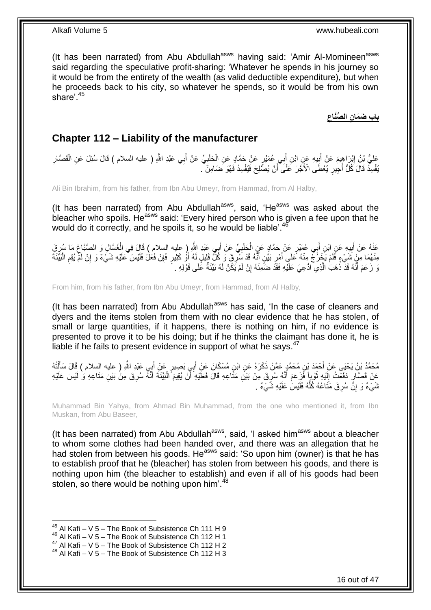(It has been narrated) from Abu Abdullah<sup>asws</sup> having said: 'Amir Al-Momineen<sup>asws</sup> said regarding the speculative profit-sharing: 'Whatever he spends in his journey so it would be from the entirety of the wealth (as valid deductible expenditure), but when he proceeds back to his city, so whatever he spends, so it would be from his own share'.<sup>45</sup>

> **ِ ِن ال ُّصَّناع باب َض َما**

### <span id="page-15-0"></span>**Chapter 112 – Liability of the manufacturer**

عْلِيُّ بْنُ إِبْرَاهِيمَ عَنْ أَبِيهِ عَنِِ ابْنِ أَبِي عُمَيْرٍ عَنْ حَمَّادٍ عَنِ الْحَلَبِيِّ عَنْ أَبِي عَبْدِ اللَّهِ ( عليه السلام ) قَالَ سُئِلَ عَنِ الْقَصَّارِ َ ِ ْ َ **∣** َ ِ ْ يُفْسِدُ قَالَ كُلُّ أَجِيْرٍ يُعْطَى الْأَجْرَ عَلَى ۖ أَنْ يُصَّلِحَ فَيُفْسِدُ فَهُوَ ضَامِنٌّ ۖ. اً َ

Ali Bin Ibrahim, from his father, from Ibn Abu Umeyr, from Hammad, from Al Halby,

(It has been narrated) from Abu Abdullah<sup>asws</sup>, said, 'He<sup>asws</sup> was asked about the heacher who spoils. He<sup>asws</sup> said: 'Every hired person who is given a fee upon that he would do it correctly, and he spoils it, so he would be liable<sup>'.46</sup>

ِي َعْبِد ََّّللاِ ) عليه السالم ( َقا َل ب ِّي َع ْن أ ب َحلَ ٍر َع ْن َح َّماٍد َع ِن ال ِي ع َمْي ب ِن أ ي ِه َع ِن اْب ب ه َع ْن أ َق َعنْ َما سر ِل َو ال َّصَّباغ َغ َّسا ِفي ال َ ِ ْ َ **!** َ ِ<br>پر ِ ْ مِنْهُمَا مِنْ شَيْءٍ فَلَمْ يَخْرُجُ مِنْهُ عَلَي أَمْرٍ بَيِّنٍ أَنَّهُ قَدْ مُبْرِقَ وَ كُلَّ قَلِيلٍ لَهُ أَوْ كَثِيرٍ فَإِنْ فَعَلَ فَلَيْسَ عَلَيْهِ شَيْءٌ وَ إِنْ لَمَّ يُقِمِ الْبَيِّنَة ِ َ ِ َ َ ْ ِ ِ نَ زَعَمَ أَنَّهُ قَدْ ذَهبَ الَّذِي اَدُّعِيَ عَلَيْهِ فَقَدَّ ضَمِّنَهُ إِنْ لَمْ يَكُنْ لَهُ بَيِّنَةٌ عَلَى قَوْلِهِ . ِ َّ َ

From him, from his father, from Ibn Abu Umeyr, from Hammad, from Al Halby,

(It has been narrated) from Abu Abdullah<sup>asws</sup> has said, 'In the case of cleaners and dyers and the items stolen from them with no clear evidence that he has stolen, of small or large quantities, if it happens, there is nothing on him, if no evidence is presented to prove it to be his doing; but if he thinks the claimant has done it, he is liable if he fails to present evidence in support of what he says.<sup>47</sup>

مُحَمَّدُ بْنُ يَحْيَى عَنْ أَحْمَدَ بْنِ مُحَمَّدٍ عَمَّنْ ذَكَرَهُ عَنِ ابْنِ مُسْكَانَ عَنْ أَبِي بَصِيرٍ عَنْ أَبِي عَبْدِ اللَّهِ ( عليه السلام ) قَالَ سَأَلْتُهُ َ َ ْ َ عَنْ قَصَّارٍ دَفَعْتُ إِلَيْهِ ثَوْباً فَزِعَمَ أَنَّهُ سُرِقَ مِنْ بَيْنِ مَثَاعِهِ قَالَ فَعَلَيْهِ أَنْ يُقِيمَ الْبَيِّنَةَ أَنَّهُ سُرِقَ مِنْ بَيْنِ مَثَاعِهِ وَ لَيْسَ عَلَيْهِ<br>حَيْنُ قَصَارٍ دَفَعْتُ إِلَيْهِ ثَو ِ َ ة<br>ا لَ ِ ِ َ ْ َ نَىِّيءٌ وَ إِنَّ سُرِقَ مَثَاعُهُ كُلُّهُ فَلَيْسَ عَلَيْهِ شَيْءٌ . ُّ **∶** יֲ<br>י

Muhammad Bin Yahya, from Ahmad Bin Muhammad, from the one who mentioned it, from Ibn Muskan, from Abu Baseer,

(It has been narrated) from Abu Abdullah<sup>asws</sup>, said, 'I asked him<sup>asws</sup> about a bleacher to whom some clothes had been handed over, and there was an allegation that he had stolen from between his goods. He<sup>asws</sup> said: 'So upon him (owner) is that he has to establish proof that he (bleacher) has stolen from between his goods, and there is nothing upon him (the bleacher to establish) and even if all of his goods had been stolen, so there would be nothing upon him'.<sup>48</sup>

 $45$  Al Kafi – V 5 – The Book of Subsistence Ch 111 H 9

<sup>46</sup> Al Kafi – V 5 – The Book of Subsistence Ch 112 H 1

<sup>47</sup> Al Kafi – V 5 – The Book of Subsistence Ch 112 H 2

 $48$  Al Kafi – V 5 – The Book of Subsistence Ch 112 H 3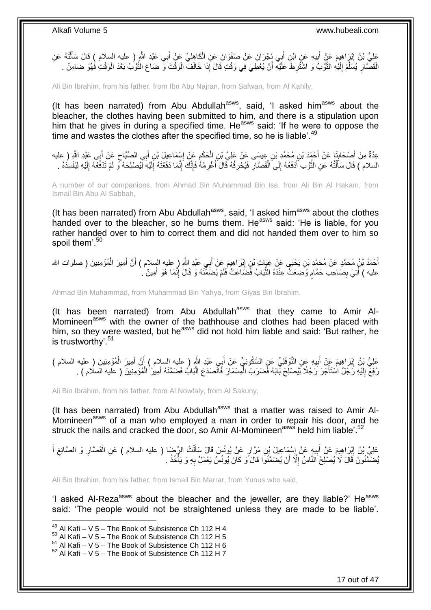عَلِيُّ بْنُ إِبْرَاهِيمَ عَنْ أَبِيهِ عَنِ ابْنِ أَبِي نَجْرَانَ عَنْ صَفْوَانَ عَنِ الْكَاهِلِيِّ عَنْ أَبِي عَبْدِ اللَّهِ ( عليه السلام ) قَالَ سَأَلْتُهُ عَنِ ِ اً<br>أ َ ْ َ **!** ْ الْقَصَّارِ يُسَلَّمُ إِلَيْهِ النُّوْبُ وَ اشْتُرِطَ عَلَيْهِ أَنْ يُعْطِيَ فِي وَقْتٍ قَالَ إِذَا خَالَفَ الْوَقْتَ وَ ضَاعَ الثُّوْبُ بَعْدَ الْوَقْتِ فَهُوَ ضَامِنٌ . ْ َ ِ َّ لَ ∣∣<br>∶ َّ ِ ْ ْ َّ

Ali Bin Ibrahim, from his father, from Ibn Abu Najran, from Safwan, from Al Kahily,

(It has been narrated) from Abu Abdullah $a<sup>asws</sup>$ , said, 'I asked him $a<sup>asws</sup>$  about the bleacher, the clothes having been submitted to him, and there is a stipulation upon him that he gives in during a specified time. He<sup>asws</sup> said: 'If he were to oppose the time and wastes the clothes after the specified time, so he is liable'.<sup>49</sup>

عِدَّةٌ مِنْ أَصْحَابِذَا عَنْ أَحْمَدَ بْنِ مُحَمَّدِ بْنِ عِيسَى عَنْ عَلِيِّ بْنِ الْحَكَمِ عَنْ إِسْمَاعِيلَ بْنِ أَبِي الصَّبَّاحِ عَنْ أَبِي عَبْدِ اللَّهِ ( عليه<br>جَدَّةٌ مِنْ أَصْحَابِيًا، حَمَّدَ الْجَمَعَةِ بِمَع ।<br>इ َ َ ِ َ ِ ֺ֖֧֧֪֧ׅ֧ׅ֧ׅ֧ׅ֧ׅ֧֧ׅ֧֚֚֚֚֚֚֚֚֚֚֚֚֚֚֚֚֚֚֚֚֚֚֚֚֚֝֝֘֝֝֓֝֟֓֡֡֝֓֜֓֡֜֓֡֜֓֡֜֓֡֜֓֝֬֜֡ ْ السلام ) قَالَ سَأَلْتُهُ عَنِ الثَّوْبِ أَدْفَعُهُ إِلَى الْقَصَّارِ فَيُحْرِقُهُ قَالَ أَغْرِمْهُ فَإِنَّكَ إِنَّمَا دَفَعْتَهُ إِلَيْهِ لَيُفْسِدَهُ . ِ ׀ו<br>ِי ِ َ **∶** ِ ْ ِ َ ة<br>ا ֺ֧֦֧֦֧֦֦֦֦֖֦֪֦֪֦֧֦֪֦֪֦֪֪֦֪֪֦֪֪֦֪֦֪֪֦֝֟֟֟֟֟֟֟֟֟֟֟֟֟֟֟֟֟֟֟֟֟֟֓֕֟֓֟֓֟֓֟֓֟֓֟֓֟֓֟֓֟֓֟֓֟֟֟֝֟֟֟֟֟֟֟֝֟ َ ِ لَ ِ لَ

A number of our companions, from Ahmad Bin Muhammad Bin Isa, from Ali Bin Al Hakam, from Ismail Bin Abu Al Sabbah,

(It has been narrated) from Abu Abdullah $a_{\text{sws}}$ , said, 'I asked him $a_{\text{sws}}$  about the clothes handed over to the bleacher, so he burns them. He<sup>asws</sup> said: 'He is liable, for you rather handed over to him to correct them and did not handed them over to him so spoil them'.<sup>50</sup>

أَحْمَدُ بْنُ مُحَمَّدٍ عَنْ مُحَمَّدِ بْنِ يَحْيَى عَنْ غِيَاثٍ بْنِ إِبْرَاهِيمَ عَنْ أَبِي عَبْدِ اللَّهِ ( عليه السلام ) أَنَّ أَمِيرَ الْمُؤْمِنِينَ ( صلوات الله ْ َ َ َ ِ عليه ) أَتِيَ بِصَاحِبِ حَمَّامٍ وُضِعَتْ عِنْدَهُ الثَّيَابُ فَضَاعَتْ فَلَمْ يُضَمَّنْهُ وَ قَالَ إِنَّمَا هُوَ أَمِينٌ ۚ ـ َ ِ ِّ ٍ ِ 

Ahmad Bin Muhammad, from Muhammad Bin Yahya, from Giyas Bin Ibrahim,

(It has been narrated) from Abu Abdullah<sup>asws</sup> that they came to Amir Al-Momineen<sup>asws</sup> with the owner of the bathhouse and clothes had been placed with him, so they were wasted, but he<sup>asws</sup> did not hold him liable and said: 'But rather, he is trustworthy'.<sup>51</sup>

عَلِيُّ بِْنُ إِبْرَاهِيمَ عَنْ أَبِيهِ عَنِ النَّوْفَلِيِّ عَنِ السَّكُونِيِّ عَنْ أَبِي عَبْدِ اللَّهِ ( عِليه السلام ) أَنَّ أَمِيرَ الْمُؤْمِنِينَ ( عليه السلام ) َ َ ِ َ <u>֖֚֚֚֓</u> ْ َ رُفِعَ إِلَيْهِ رَجُلٌ اسْتَأْجَرَ رَجُلًا لِيُصْلِحَ بَابَهُ فَضَرَبَ الْمِسْمَارَ فَانْصَدَعَ الْبَابُ فَضَمَّنَهُ أَمِيرُ ٰ الْمُؤْمِنِينَ ( عليه السلام ) . **ٔ** لَ  $\frac{1}{2}$ ْ َ ْ ْ

Ali Bin Ibrahim, from his father, from Al Nowfaly, from Al Sakuny,

(It has been narrated) from Abu Abdullah $a$ sws that a matter was raised to Amir Al-Momineen<sup>asws</sup> of a man who employed a man in order to repair his door, and he struck the nails and cracked the door, so Amir Al-Momineen<sup>asws</sup> held him liable'.<sup>52</sup>

عَلِيُّ بْنُ إِبْرَاهِيمَ عَنْ أَبِيهٍ عَنْ إِسْمَاعِيلَ بْنِ مَرَّارٍ عَنْ يُونُسَ قَالَ سَأَلْتُ الرِّضَا ( عليه السلام ) عَنِ الْقَصَّارِ وَ الصَّائِغِ أَ **∶ !** َ ِ َ ِ ِ ْ ْ َ يُضَمَّنُونَ قَالَ لَا يُصلِّحُ النَّاسُ إِلَّا أَنْ يُضَمَّنُوا قَالَ ًو كَانَ يُونُسُ يَعْمَلُ بِهِ وَ يَأْخُذُ . ْ ِ َ ِ

Ali Bin Ibrahim, from his father, from Ismail Bin Marrar, from Yunus who said,

'I asked Al-Reza<sup>asws</sup> about the bleacher and the jeweller, are they liable?' He<sup>asws</sup> said: 'The people would not be straightened unless they are made to be liable'.

 $49$  Al Kafi – V 5 – The Book of Subsistence Ch 112 H 4

 $50$  Al Kafi – V 5 – The Book of Subsistence Ch 112 H 5

 $\frac{51}{10}$  Al Kafi – V 5 – The Book of Subsistence Ch 112 H 6

 $52$  Al Kafi – V 5 – The Book of Subsistence Ch 112 H 7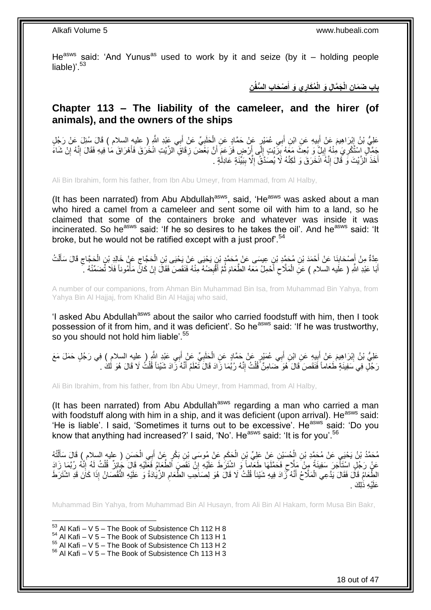He<sup>asws</sup> said: 'And Yunus<sup>as</sup> used to work by it and seize (by it – holding people liable)<sup>'.53</sup>

> **ِن ْص َحا ِب ال ُّسفُ ِي َو أ ُم َكار َج َّما ِل َو الْ ِن الْ باب َض َما َ**

### <span id="page-17-0"></span>**Chapter 113 – The liability of the cameleer, and the hirer (of animals), and the owners of the ships**

عَلِيُّ بْنُ إِبْرَاهِيمَ عَنْ أَبِيهِ عَنِ ابْنِ أَبِي عُمَيْرٍ عَنْ حَمَّادٍ عَنِ الْحَلَبِيِّ عَنْ أَبِي عَبْدِ اللَّهِ ( عِليهِ السلام ) قَالَ سُئِلَ عَنْ رَجُلٍ َ ِ َ َ ِ ْ َمَيْالٍ الْشُّكْرِيَ مِنْهُ إِبِلٌ ۖ وَ بُعِثَ مَعَهُ بِزَّيْتٍ إِلَى أَرْضٍ فَزَعَمَ أَنَّ بَعْضَ زِقَاقِ الزَّيْتِ انْخُرَقَ فَأَهْرَاقَ مَا فِيهِ فَقَالَ إِنَّهُ إِنْ شَاءً **ٍ** اُ اُ ِ ِ ِ ِ ِ ِ ِ أَخَذَ الزَّيْتَ وَ قَالَ إِنَّهُ انْخَرَقَ وَ لَكِنَّهُ لَا يُصَدَّقُ إِلَّا بِبَيِّنَةٍ عَادِلَٰةٍ .  $\frac{1}{2}$ ِ ِ َ

Ali Bin Ibrahim, form his father, from Ibn Abu Umeyr, from Hammad, from Al Halby,

(It has been narrated) from Abu Abdullah<sup>asws</sup>, said, 'He<sup>asws</sup> was asked about a man who hired a camel from a cameleer and sent some oil with him to a land, so he claimed that some of the containers broke and whatever was inside it was incinerated. So he<sup>asws</sup> said: 'If he so desires to he takes the oil'. And he<sup>asws</sup> said: 'It broke, but he would not be ratified except with a just proof.<sup>54</sup>

ِ عِدَّةٌ مِنْ أَصْحَابِذَا عَنْ أَحْمَدَ بْنِ مُحَمَّدِ بْنِ عِيسَى عَنْ مُحَمَّدٍ بْنِ يَحْيَى عَنْ يَحْيَى بْنِ الْحَجَّاجِ فَإِلَي بْنِ الْحَجَّاجِ قَالَ سَأَلْتُ<br>يَجْمَعُ مِنْ أَصْحَابِذَا عَنْ أَحْمَدَ بْنِ مُحَمَّدٍ ْ َ **∣** َ ْ َ ِ ْ أَبَا عَبْدِ اللَّهِ ( علَيه السلام ) عَنِ الْمَلَّاحِ أَحْمِلُ مَعَهُ الطَّعَامَ ثُمَّ أَقْبِضُهُ مِنْهُ فَنَقَصَ فَقَالَ إِنْ كَانٍّ مَأْمُوناً فَلَا تُضَمِّنْهُ ۚ ِ ِ  $\ddot{\phantom{0}}$ َ  $\zeta$ ْ َ :<br>أ

A number of our companions, from Ahman Bin Muhammad Bin Isa, from Muhammad Bin Yahya, from Yahya Bin Al Hajjaj, from Khalid Bin Al Hajjaj who said,

'I asked Abu Abdullah<sup>asws</sup> about the sailor who carried foodstuff with him, then I took possession of it from him, and it was deficient'. So he<sup>asws</sup> said: 'If he was trustworthy, so you should not hold him liable'.<sup>55</sup>

عَلِيُّ بْنُ إِبْرَاهِيمَ عَنْ أَبِيهِ عَنِ ابْنِ أَبِي عُمَيْرِ عَنْ حَمَّادٍ عَنِ الْحَلَبِيِّ عَنْ أَبِي عَبْدِ الثَّيرِ ( عِليه السلام ) فِي رَجُلٍ حَمَلَ مَعَ َ **∶** ْ َ ِ َ ِ رَجُلٍ فِي سَفِينَةٍ طَعَاماً فَنَقَصَ قَالَ هُوَ ضَامِنٌ قُلْتُ إِنَّهُ رُبَّمَا زَادَ قَالَ تَعْلَمُ أَنَّهُ زَادَ شَيْئاً قُلْتُ لَا قَالَ هُوَ لَكَ . ِ ْ ْ َ

Ali Bin Ibrahim, from his father, from Ibn Abu Umeyr, from Hammad, from Al Halby,

(It has been narrated) from Abu Abdullah<sup>asws</sup> regarding a man who carried a man with foodstuff along with him in a ship, and it was deficient (upon arrival). He<sup>asws</sup> said: 'He is liable'. I said, 'Sometimes it turns out to be excessive'. He<sup>asws</sup> said: 'Do you know that anything had increased?' I said, 'No'. He<sup>asws</sup> said: 'It is for you'.<sup>56</sup>

مُحَمَّدُ بْنُ يَحْيَى عَنْ مُحَمَّدِ بْنِ الْحُسَيْنِ عَنْ عَلِيِّ بْنِ الْحَكَمِ عَنْ مُوسَى بْنِ بَكْرٍ عَنْ أَبِي الْحَسَنِ ( عليه السلام ) قَالَ سَأَلْتُهُ ْ َ ِ ْ ْ ْ ĺ عَنْ رَجُلٍ اسْتَأْجَرَ سَفِينَةً مِنْ مَلِّاحٍ فَحَمَّلَهَا طَعِلْماً وَ اشْتَرَٰطَ عَلَيْهِ إِنّْ نَقَصَ الطَّعَامُ فَعِلَّيْهِ قَالَ جَائِزٌ قُلْتُ لِهُ إِنَّهُ رُبَّمَا زَادَ ِ ٍ ا<br>ا ِ ْ الطَّعَامُ قَاْلَ فَقَالَ يَدَّعِي الْمَلَّاحُ أَنَّهُ نَّزَادَ فِيهِ شَيْئاً قُلْتُ لَا قَالَ هُوَ لِصَاحِبِ الطَّعَامِ الزِّيَادَةُ وَ عَلَيْهِ النُّقْصَانُ إِذَا كَانَ قَدِ اشْتَرَطَ ِ ْ َ ْ عَلَيْهِ ذَٰلِكَ .

Muhammad Bin Yahya, from Muhammad Bin Al Husayn, from Ali Bin Al Hakam, form Musa Bin Bakr,

1  $53$  Al Kafi – V 5 – The Book of Subsistence Ch 112 H 8

 $54$  Al Kafi – V 5 – The Book of Subsistence Ch 113 H 1

 $55$  Al Kafi – V  $5 -$  The Book of Subsistence Ch 113 H 2

 $56$  Al Kafi – V 5 – The Book of Subsistence Ch 113 H 3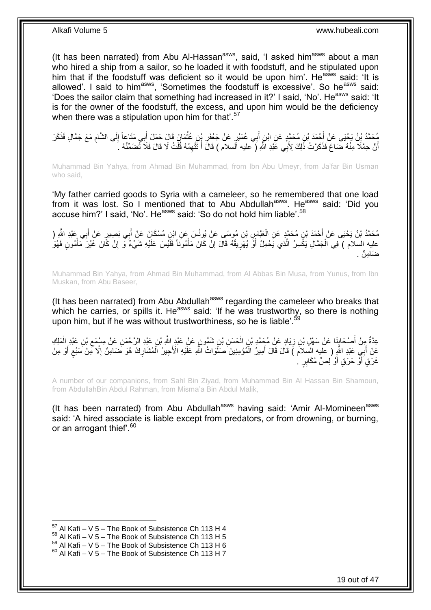(It has been narrated) from Abu Al-Hassan<sup>asws</sup>, said, 'I asked him<sup>asws</sup> about a man who hired a ship from a sailor, so he loaded it with foodstuff, and he stipulated upon him that if the foodstuff was deficient so it would be upon him'. He<sup>asws</sup> said: 'It is allowed'. I said to him<sup>asws</sup>, 'Sometimes the foodstuff is excessive'. So he<sup>asws</sup> said: 'Does the sailor claim that something had increased in it?' I said, 'No'. He<sup>asws</sup> said: 'It is for the owner of the foodstuff, the excess, and upon him would be the deficiency when there was a stipulation upon him for that'.<sup>57</sup>

ِ مُحَدٌّدُ بِنُ يَجْيَى عَنْ أَحْمَدَ بْنِ مُحَمَّدٍ عَنِ ابْنِ أَبِي عُمَيْرٍ عَنْ جَعْفَرِ بِنِ عُثْمَارٍ; قَالَ حَمَلَ أَبِي مَتَاعاً إِلَى الشَّامِ مَعَ جَمَّالٍ فَذَكَرَ<br>يَهْمَدُ بِنُ يَجْيَى عَنْ أَحْدَ بْنِ مُحَمَّد ِ ِ َ ْ أَنَّ حِمْلًا مِنْهُ ضَاعَ فَذَكَرْتُ ذَٰلِكَ لِأُبِي عََبْدِ الَّلْهِ (ۖ عليه الِّسلام ) قَالَ أَ تَتَّهِمُهُ قُلْتُ لَا قَالَ فَلَا تَضَمِّنْهُ ۚ أَ ْ ِ َ اً

Muhammad Bin Yahya, from Ahmad Bin Muhammad, from Ibn Abu Umeyr, from Ja'far Bin Usman who said,

'My father carried goods to Syria with a cameleer, so he remembered that one load from it was lost. So I mentioned that to Abu Abdullah<sup>asws</sup>. He<sup>asws</sup> said: 'Did you accuse him?' I said, 'No'. He<sup>asws</sup> said: 'So do not hold him liable'.<sup>58</sup>

مُحَمَّدُ بْنُ يَحْيَى عَنْ أَحْمَدَ بْنِ مُحَمَّدٍ عَنِ الْعَيَّاسِ بْنِ مُوسَى عَنْ يُونُسَ عَنِ ابْنِ مُسْكَانَ عَنْ أَبِي بَصِيرٍ عَنْ أَبِي عَبْدِ الثَّهِ ( َ ْ َ َ عليه السلام ) فِي الْجَمَّالِ يَكْسِرُ الَّذِي يَحْمِلُ أَوَّ يُهَرِيقُهُ قَالَ إِنْ كَانَ مَأْمُونَا فَلَيْسَ عَلَيْهِ شَيْءٌ وَّ إِنْ كَانَ غَيْرَ مَأْمُونٍ فَهُوَ َّ ْ ِ **∶** ْ ِ ضَامِنٌ .

Muhammad Bin Yahya, from Ahmad Bin Muhammad, from Al Abbas Bin Musa, from Yunus, from Ibn Muskan, from Abu Baseer,

(It has been narrated) from Abu Abdullah<sup>asws</sup> regarding the cameleer who breaks that which he carries, or spills it. He<sup>asws</sup> said: 'If he was trustworthy, so there is nothing upon him, but if he was without trustworthiness, so he is liable'.<sup>5</sup>

َ عِدَّةٌ مِِنْ أَصْحَابِنَا عَنْ سَهْلِ بْنِ زِيَادٍ عَنْ مُجَمَّدِ بْنِ الْحَسَنِ بْنِ شَمُّونٍ عَنْ عَبْدٍ اللَّهِ بْنِ عَيْدِ الرَّحْمَنِ عَنْ مِسْمَع بْنِ عَبْدِ الْمَلِكِ ْ ِ **↓** ْ ِ عَنْ أَبِيِّ عَبْدِ اللَّهِ ( عليه السلام ) قَالَ قَالَ أَمِيرُ الْمُؤْمِنِينَ صَلَّوَاتُ اللَّهِ عَلَيْهِ الْأَجِيرُ الْمُشَارِكُ هُوَ ضَامِنٌ إِلَّا مِنْ سَبُعٍ أَوْ مِنْ ْ َ َ **≀** ِ ِ ْ غَرَقٍ أَوْ حَرَقٍ أَوْ لِصٍّ مُكَابِرٍ ۚ . َ اً

A number of our companions, from Sahl Bin Ziyad, from Muhammad Bin Al Hassan Bin Shamoun, from AbdullahBin Abdul Rahman, from Misma'a Bin Abdul Malik,

(It has been narrated) from Abu Abdullah<sup>asws</sup> having said: 'Amir Al-Momineen<sup>asws</sup> said: 'A hired associate is liable except from predators, or from drowning, or burning, or an arrogant thief'.<sup>60</sup>

 $57$  Al Kafi – V 5 – The Book of Subsistence Ch 113 H 4

 $58$  Al Kafi – V 5 – The Book of Subsistence Ch 113 H 5

 $^{59}$  Al Kafi – V 5 – The Book of Subsistence Ch 113 H 6

 $60$  Al Kafi – V 5 – The Book of Subsistence Ch 113 H 7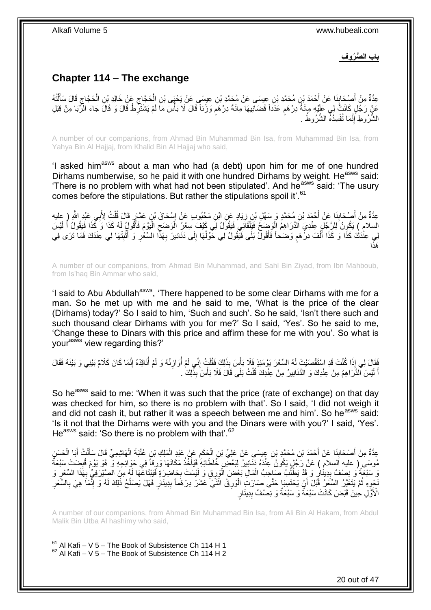**باب ال ُّص ُرو ِف**

## <span id="page-19-0"></span>**Chapter 114 – The exchange**

عِدَّةٌ مِنْ أَصْدَابِنَا عَنْ أَحْمَدَ بْنِ مُحَمَّدِ بْنِ عِيسَى عَنْ مُحَمَّدِ بْنِ عِيسَى عَنْ يَحْيَى بْنِ الْحَجَّاجِ عَنْ خَالِدِ بْنِ الْحَجَّاجِ قَالَ سَأَلْتُهُ ِ ْ َ **∣** َ ْ َ ِ ْ ٍ عَنْ رَجۡلٍ كَانَتۡ لِي عَلَيۡهِ مِائَةٌ دِرْهَمٖ عَدَدًا قَضَالِيهَا مِائَةَ دِرْهَمۡ وَرَٰناً قَالَ لَا بَأْسَ مَا لَمْ يَشْتَرِطْ قَالَ وَ قَالَ جَاءَ الرِّبَا مِنْ قِبَلِ ٍ ِ :<br>أ الشَّرُوطِ إِنَّمَا تُفْسِدُهُ الشُّرُوطُ . ِ

A number of our companions, from Ahmad Bin Muhammad Bin Isa, from Muhammad Bin Isa, from Yahya Bin Al Hajjaj, from Khalid Bin Al Hajjaj who said,

'I asked him<sup>asws</sup> about a man who had (a debt) upon him for me of one hundred Dirhams numberwise, so he paid it with one hundred Dirhams by weight. He<sup>asws</sup> said: 'There is no problem with what had not been stipulated'. And he<sup>asws</sup> said: 'The usury comes before the stipulations. But rather the stipulations spoil it'.<sup>61</sup>

عِدَّةٌ مِنْ أَصْحَابِنَا عَنْ أَحْمَدَ بْنِ مُحَمَّدٍ وَ سَهْلِ بْنِ زِيَادٍ عَنِ ابْنِ مَحْبُوبٍ عَنْ إِسْحَاقَ بْنِ عَمَّارٍ قَالَ قُلْتُ لِأَبِي عَبْدِ الثَّهِ ( عليه<br>وَالْمُسْتَمَّرَ مِنْ الْمَعْدِينَ مَنْ أَحْمَدَ بِ ِ ِ َ **∣** َ ْ َ السلام ) يَكُونُ لِلرَّجُلِ عِنْدِيَ اَلدَّرَاهِمُ الْوَضِحُ فَيَلْقَانِي فَيَقُولُ لِي كَيْفَ سِعْرُ الْوَضَحِ الْيَوْمَ فَأَقُولُ لَهُ كَذَا وَ كَذَا فَيَقُولُ أَ لَيْسَ ْ ِ ْ ْ ْ لَ َ لِي عِنْْدَكَ كَذَا وَ كَذَا أَلْفَ دِرْهُم وَضَحاً فَأَقُولُ بَلَى فَيَقُولُ لِي حَوِّلْهَا إِلَى دَنَانِيرَ بِهَذَا السِّعْرِ وَ أَتْبِتْهَا لِي عِنْدَكَ فَمَا تَرَى فِي َ ٍ ْ َ ِ **ٔ** َ **∶** ِ ِ ْ ا َهذَ

A number of our companions, from Ahmad Bin Muhammad, and Sahl Bin Ziyad, from Ibn Mahboub, from Is'haq Bin Ammar who said,

'I said to Abu Abdullah<sup>asws</sup>, 'There happened to be some clear Dirhams with me for a man. So he met up with me and he said to me, 'What is the price of the clear (Dirhams) today?' So I said to him, 'Such and such'. So he said, 'Isn't there such and such thousand clear Dirhams with you for me?' So I said, 'Yes'. So he said to me, 'Change these to Dinars with this price and affirm these for me with you'. So what is your<sup>asws</sup> view regarding this?'

فَقَالَ لِي إِذَا كُنْتَ قَدِ اسْتَقْصَنْتَ لَهُ السِّعْرَ يَوْمَئِذٍ فَلَا بَأْسَ بِذَلِكَ فَقُلْتُ إِنِّي لَمْ أَوازِنْهُ وَ لَمْ أَنَاقِدْهُ إِنَّمَا كَانَ كَلاَمٌ بَيْنِي وَ بَيْنَهُ فَقَالَ ِ Í ِ Í ِ ْ اً لَيْسَ الذَّرَ اهِمُ مِنْ عِنْدِكَ وَ الذَّنَانِيرُ مِنْ عِنْدِكَ قُلْتُ بَلَى قَالَ فَلَا بَأْسَ بِذَٰلِكَ ْ ْ لَ َ

So he<sup>asws</sup> said to me: 'When it was such that the price (rate of exchange) on that day was checked for him, so there is no problem with that'. So I said, 'I did not weigh it and did not cash it, but rather it was a speech between me and him'. So he<sup>asws</sup> said: 'Is it not that the Dirhams were with you and the Dinars were with you?' I said, 'Yes'. He<sup>asws</sup> said: 'So there is no problem with that'.<sup>62</sup>

عِدَّةٌ مِنْ أَصْحَابِذَا عَنْ أَحْمَدَ بْنِ مُحَمَّدٍ بْنِ عِيسَى عَنْ عَلِيِّ بْنِ الْحَكَمِ عَنْ عَبْدِ الْمَلِكِ بْنِ عُتْبَةَ الْهَاشِمِيِّ قَالَ سَأَلْتُ أَبَا الْحَسَنِ ْ ِ ْ َ **!** َ َ ْ ْ َ ْ مُوسَى ( عليه اَلسلام ) عَنْ رَجُلٍ بَكُونُ عِنْدَهُ دَنَانِيرُ لِبَعْضٍ خُلَطَائِهِۚ فَيَأْخُذُ مَكَانَهَا وَرِقاً فِي حَوَائِجِهِ وَ ۖ هُوَ يَوْمَ قُبِضَتْ سَبْعَةٌ ِ :<br>أ ِ ِّه سَبْعَةٌ وَ نِصْفٌ بِدِينَارٍ وَ قَدْ يَطْلُبُ صَاحِبُ الْمَالِ بَعْضَ الْوَرِقِ وَ لَيْسَتْ بِحَاضِرَةٍ فَيَيْتَاعَهَا لَهُ مِنَ الْصَيْرَفِيِّ بِهَذَا السِّعْرِ وَ ْ ĺ ¦ ِ ِ **∶** ْ َنْجِوِهِ ثُمَّ يَتَغَيَّرُ السَّعْرُ قَبْلَ أَنْ يَحْتَسِبَا حَتَّى صَارَتِ الْوَرِقُ اثْنَيْ عَشَرَ دِرْهَماً بِدِينَارٍ فَهَلْ يَصْلُحُ ذَلِكَ لَهُ وَ إِنَّمَا هِيَ بِالسَّعْرِ ِ **ٔ ∶** ْ َ į ِ ِ  $\overline{a}$ ِ **∶** الْأَوَّلِ حِينَ قَبَضَ كَانَتْ سَبْعَةٌ وَ سَبْعَةٌ وَ بِصَّفٌ بِدِينَارٍ **∣** 

A number of our companions, from Ahmad Bin Muhammad Bin Isa, from Ali Bin Al Hakam, from Abdul Malik Bin Utba Al hashimy who said,

 $61$  Al Kafi – V 5 – The Book of Subsistence Ch 114 H 1  $62$  Al Kafi – V 5 – The Book of Subsistence Ch 114 H 2

1

20 out of 47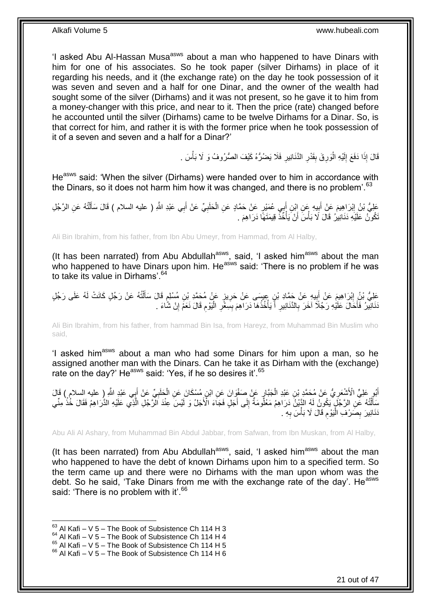'I asked Abu Al-Hassan Musa<sup>asws</sup> about a man who happened to have Dinars with him for one of his associates. So he took paper (silver Dirhams) in place of it regarding his needs, and it (the exchange rate) on the day he took possession of it was seven and seven and a half for one Dinar, and the owner of the wealth had sought some of the silver (Dirhams) and it was not present, so he gave it to him from a money-changer with this price, and near to it. Then the price (rate) changed before he accounted until the silver (Dirhams) came to be twelve Dirhams for a Dinar. So, is that correct for him, and rather it is with the former price when he took possession of it of a seven and seven and a half for a Dinar?'

> ا<br>ا قَالَ إِذَا دَفَعَ إِلَيْهِ الْوَرِقَ بِقَدْرِ الدَّنَانِيرِ فَلَا يَضُرُّهُ كَيْفَ الصُّرُوفُ وَ لَا بَأْسَ . لَ ∣∣<br>∶ ْ ِ ِ **∣** ِ

He<sup>asws</sup> said: 'When the silver (Dirhams) were handed over to him in accordance with the Dinars, so it does not harm him how it was changed, and there is no problem<sup>'.63</sup>

عَلِيُّ بْنُ إِبْرَاهِيمَ عَنْ أَبِيهِ عَنِ إِبْنِ أَبِي عُمَيْرٍ عَنْ حَمَّادٍ عَنِ الْحَلَبِيِّ عَنْ أَبِي عَبْدِ اللَّهِ ( عليه السلام ) قَالَ سَأَلْتُهُ عَنِ الرَّجُلِ َ ِ ْ َ **∣** َ <u>֖֓</u> ْ َ تَكُونُ عَلَيْهِ دَنَانِيرُ ۚ قَالَ لَا بَأْسَ أَنْ يَأْخُذُ قِيمَتَهَا دَرَاهِمَ . ْ َ **ٔ** 

Ali Bin Ibrahim, from his father, from Ibn Abu Umeyr, from Hammad, from Al Halby,

(It has been narrated) from Abu Abdullah $a$ <sup>asws</sup>, said, 'I asked him $a$ <sup>asws</sup> about the man who happened to have Dinars upon him. He<sup>asws</sup> said: 'There is no problem if he was to take its value in Dirhams'.<sup>64</sup>

عَلِيُّ بْنُ إِبْرَاهِيمَ عَنْ أُبِيهِ عَنْ حَمَّادِ بْنِ عِيسَى عَنْ حَرِيزٍ عَنْ مُحَمَّدِ بْنِ مُسْلِمٍ قَالَ سَأَلْتُهُ عَنْ رَجُلٍ كَانَتْ لَهُ عَلَى رَجُلٍ ْ َ ٍ ِ **!** َ َنَانِيْرُ فَأَحَالَ عَلَيْهِ رَجُلًا آخَرَ بِالنَّنَانِيرِ أَ يَأْخُذُهَا دَرَاهِمَ بِسِعْرِ الْيَوْمِ قَالَ نَعَمْ إِنْ شَاءَ . ة<br>أ َ ِ **∶** َ ِ ِ :<br>ا ِ **!** 

Ali Bin Ibrahim, from his father, from hammad Bin Isa, from Hareyz, from Muhammad Bin Muslim who said,

'I asked him<sup>asws</sup> about a man who had some Dinars for him upon a man, so he assigned another man with the Dinars. Can he take it as Dirham with the (exchange) aborghod and the main with the Binate: Barring take it.

أَبُو عَلِيٍّ الْأَشْعَرِ يُّ عَنْ مُحَمَّدٍ بْنِ عَبْدِ الْجَبَّارِ عَنْ صَفْوَانَ عَنِ ابْنِ مُسْكَانَ عَنِ الْحَلَبِيِّ عَنْ أَبِي عَبْدِ اللَّهِ ( عليه السلام ) قَالَ<br>أَبُو عَلِيٍّ الْأَشْعَرِ يُّ عَنْ مُحَمَّدٍ بْنِ ع **∶** ْ ِ ْ ِ ِ سَأَلْتُهُ عَّنِ الرَّجُلِّ يَكُونُ لَهُ الدَّنِينُ دَرَاهِمُ مَعْلُومَةٌ إِلَى أَجَلٍ فَجَاءَ الْأَجَلُ وَ لَيْسَ عِنْدَ الرَّجُلِ الَّذِي عَلَيْهِ الذَّرَاهِمُ فَقَالَ خُذْ مِنِّي َ ∣∣<br>∶ ֖֖֦֖֦֖֦֧֦֦֖֦֖֦֧֦֪֦֧֦֪֪֦֧֦֪֦֧֦֧֦֟֟֟֟֟֟֟֟֟֟֟֟֟֟֟֟֟֟֟֟֟֟֟֟֟֟֟֓֕֬֞֟֩֕֟֟֩֕֟֟֟֟֩֕֟֩֕֓֞֟֟֩֩֓֞֟֟֟֩֩֓֞ **ٔ** َّ دَنَانِيرَ بِصَرْفِ الْيَوْمِ قَالَ لَا بَأْسَ بِهِ . **ٔ** ِ أ.<br>إ ِ ِ

Abu Ali Al Ashary, from Muhammad Bin Abdul Jabbar, from Safwan, from Ibn Muskan, from Al Halby,

(It has been narrated) from Abu Abdullah<sup>asws</sup>, said, 'I asked him<sup>asws</sup> about the man who happened to have the debt of known Dirhams upon him to a specified term. So the term came up and there were no Dirhams with the man upon whom was the debt. So he said, 'Take Dinars from me with the exchange rate of the day'. He<sup>asws</sup> said: 'There is no problem with it'.<sup>66</sup>

 $63$  Al Kafi – V 5 – The Book of Subsistence Ch 114 H 3

 $64$  Al Kafi – V 5 – The Book of Subsistence Ch 114 H 4

 $65$  Al Kafi – V  $5$  – The Book of Subsistence Ch 114 H 5

 $66$  Al Kafi – V 5 – The Book of Subsistence Ch 114 H 6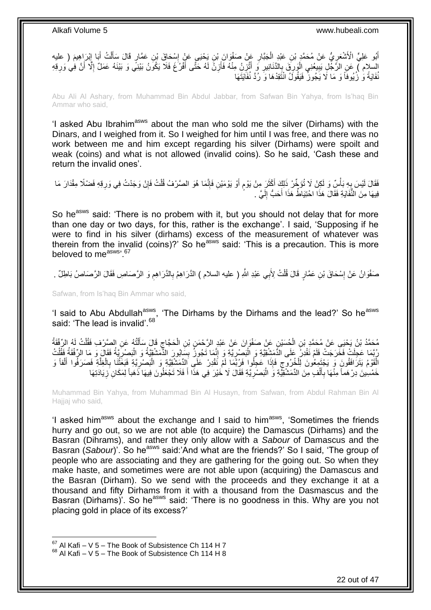أَبُو عَلِيٍّ الْأَشْعَرِيُّ عَنْ مُحَمَّدٍ بْنِ عَبْدٍ الْجَبَّارِ عَنْ صَفْوَانَ بْنِ يَحْيَي عَنْ إِسْحَاقَ بْنِ عَمَّارٍ قَالَ سَأَلْتُ أَبَا إِبْرَاهِيمَ ( عليه ِ ِ َ ْ َ ∣l<br>∶ ِ ْ السلام ) عَنِ الرَّجْلِ يَبِيعُنِي الْوَرِقَ بِالدَّنَانِيرِ وَ أَتَّزِنُ مِنْهُ فَأَزِنُ لَهُ حَتَّى أَفْرُغَ فَلَا يَكُونُ بَيْنِي وَ بَيْنَهُ عَمَلٌ إِلَّا أَنَّ فِي وَرِقِهِ<br>استعلام العربي َ ِ َ ِ َ ِ ِ ¦ ا<br>ا ِ ِ َ ِ نُفَايَةً وَ زُيُوفاً وَ مَا لَا يَجُوزُ ۖ فَيَقُولَٰ انْتَقِدْهَا وَ رُدَّ نُفَاَيَتَهَا

Abu Ali Al Ashary, from Muhammad Bin Abdul Jabbar, from Safwan Bin Yahya, from Is'haq Bin Ammar who said,

'I asked Abu Ibrahim<sup>asws</sup> about the man who sold me the silver (Dirhams) with the Dinars, and I weighed from it. So I weighed for him until I was free, and there was no work between me and him except regarding his silver (Dirhams) were spoilt and weak (coins) and what is not allowed (invalid coins). So he said, 'Cash these and return the invalid ones'.

ْ فَقَالَ لَيْسَ بِهِ بَأْسٌ وَ لَكِنْ لَا تُؤَخِّرْ ذَلِكَ أَكْثَرَ مِنْ يَوْمٍ أَوْ يَوْمَيْنِ فَإِنَّمَا هُوَ الصَّرْفُ قُلْتُ فَإِنْ وَجَدْتُ فِي وَرِقِهِ فَضْلًا مِقْدَارَ مَا ׀ו<br>ְי ٍ َ َ **ٔ** ِ ِ ِ فِيهَا مِنَ النُّفَايَةِ فَقَالَ هَذَا احْتِيَاطٌ هَذَا أَحَبُّ إِلَيَّ ا لَ ∣l<br>∶

So he<sup>asws</sup> said: 'There is no probem with it, but you should not delay that for more than one day or two days, for this, rather is the exchange'. I said, 'Supposing if he were to find in his silver (dirhams) excess of the measurement of whatever was therein from the invalid (coins)?' So he<sup>asws</sup> said: 'This is a precaution. This is more beloved to measws, 67

صَفْوَانُ عَنْ إِسْحَاقَ بْنِ عَمَّارٍ قَالَ قُلْتُ لِأَبِي عَبْدِ اللَّهِ ( عليه السلام ) الذَّرَاهِمْ بِالذَّرَاهِمِ وَ الرَّصَاصِ فَقَالَ الرَّصَاصُ بَاطِلٌ . ْ ِ ِ ِ

Safwan, from Is'haq Bin Ammar who said,

'I said to Abu Abdullah<sup>asws</sup>, 'The Dirhams by the Dirhams and the lead?' So he<sup>asws</sup> said: 'The lead is invalid'.<sup>68</sup>

مُحَمَّدُ بْنُ يَحْيَى عَنْ مُحَمَّدٍ بْنِ الْحُسَيْنِ عَنْ صَفْوَانَ عَنْ عَبْدٍ الرَّحْمَنِ بْنِ الْحَجَّاجِ قَالَ سَأَلْتُهُ عَنِ الصَّرْفِ فَقُلْتُ لَهُ الرِّفْقَةُ<br>يُسَمِّدُ بِّنُ يَحْيَى عَنْ مُحَمَّدٍ بِهِ الْحُسَي ْ َ ِ ْ ْ ْ رُّبَّمَا عَجِلَتْ فَخَرَجَتْ فَلَمْ نَقْدِزٌ عَلَى الدَّمَشْقِيَّةِ وَ الْبَصِبْرِيَّةِ وَ إِنَّمَا تَجُوزُ بِسَابُورَ الدَّمَشْقِيَّةُ وَ الْبَصْرِيَّةُ فَقَالَ وَ مَا الرِّفْقَةُ فَقُلْتُ ِ ِ :<br>ا ْ ِ ْ ِ ْ الْقَوْمُ يَتَرَافَقُونَ وَ يَجْتَمِعُونَ لِلْخُرُوجِ فَإِذَا عَجِلُوا فَرُبَّمَا لَمْ نَقْدِرْ عَلَى الدِّمَشْقِيَّةِ وَ الْبَصْرِيَّةِ فَبَعَثْنَا بِالْغِلَّةِ فَصَرَفُوا أَلْفاً وَ ِ َّ ْ ِ ْ ِ ْ َ خَمْسِينَ دِرْ هَماً مِنْهَا بِأَلْفٍ مِنَ الدِّمَشْقِيَّةِ وَ الْبَصْرِيَّةِ فَقَالَ لَا خَيْرَ فِي هَذَا أَ فَلَا تَجْعَلُونَ فِيهَا ذَهَباً لِمَكَانِ َزِيَادَتِهَا ِ :<br>ا ْ َ ِ ِ َ

Muhammad Bin Yahya, from Muhammad Bin Al Husayn, from Safwan, from Abdul Rahman Bin Al Hajjaj who said,

'I asked him<sup>asws</sup> about the exchange and I said to him<sup>asws</sup>, 'Sometimes the friends hurry and go out, so we are not able (to acquire) the Damascus (Dirhams) and the Basran (Dihrams), and rather they only allow with a *Sabour* of Damascus and the Basran (*Sabour*)<sup>'</sup>. So he<sup>asws</sup> said:'And what are the friends?' So I said, 'The group of people who are associating and they are gathering for the going out. So when they make haste, and sometimes were are not able upon (acquiring) the Damascus and the Basran (Dirham). So we send with the proceeds and they exchange it at a thousand and fifty Dirhams from it with a thousand from the Dasmascus and the Basran (Dirhams)'. So he<sup>asws</sup> said: 'There is no goodness in this. Why are you not placing gold in place of its excess?'

 $67$  Al Kafi – V 5 – The Book of Subsistence Ch 114 H 7

 $68$  Al Kafi – V 5 – The Book of Subsistence Ch 114 H 8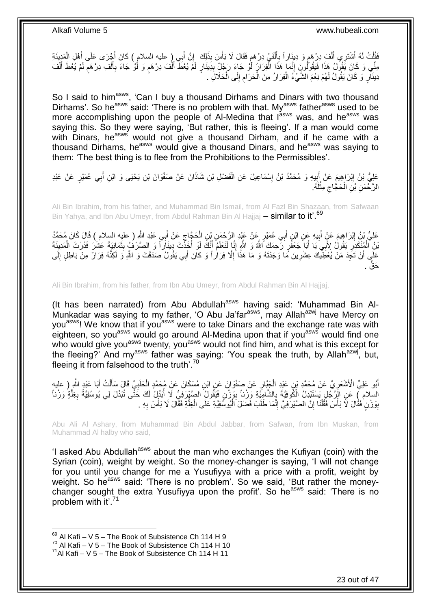فَقُلْتُ لَهُ أَتَشْرَمِي أَلْفَ دِرْهَمٍ وَ دِينَاراً بِأَلْفَيْ دِرْهَمٍ فَقَالَ لَا بَأْسَ بِذَلِكَ ۚ إِنَّ أَبِي ( عليه السلام ) كَانَ أَجْرَى عَلَى أَهْلِ الْمَدِينَةِ<br>يَبْسَدُ بَينَ مَنْ الْفَجَاءَ وَلَا يَسْتَمِمُو َ ْ ֧֚֚֚֚֚֚֚֚֚֚֚֓֝֝֘֝֓֡׆֧ ْ َ ِ ٍ ْ ْ َ َ َ ِ ْ مِنِّي وَ كَانَ يَقُولُ هَذَا فَيَقُوَّلُونَ إِنَّمَا هَذَا الْفِرَارُ أَوْ جَاءَ رَجُلٌ بِدِينَارٍ لَمَّ يُعْطَ أَلْفَ دِرْهَمٍ وَ لَوْ جَاءَ بِأَلْفِ دِرْهَمٍ لَمْ يُعْطَ أَلْفَ ِ ْ ֧֦֦֧֦֧֦֧֦֧֦֧֦֧ׅ֧֦֧ׅ֧֦֧֧֦֧֚֚֚֚֚֚֚֚֝֝֝֝֓֡֝֓֡֜֓֡֜֓֡֓ ْ َ لَ **ื** ْ َ ِ ֧֖֧֖֖֖֖֖֧֖֖֖֖֧֧֧֧֧֧֧֧֧֧֧֧֧֧֧֧֧֚֚֚֚֚֚֚֚֚֚֚֝֝֟֓֝֓֝֓֝֬֟֓֝֬֟֓֝֬֝֓֝֓֝֬֝֓֝֬֝֬֝֓֝֬֝֬֓֝֬֝֬֝֬ ْ َ دِينَآرٍ وَ كَانَ يَقُولُ لَهُمْ نِعْمَ الشَّيْءُ الْفِرَارُ مِنَ الْحَرَامِ إِلَى الْحَلَالِ ۚ . ْ ِ ِ ْ ْ

So I said to him<sup>asws</sup>, 'Can I buy a thousand Dirhams and Dinars with two thousand Dirhams'. So he<sup>asws</sup> said: 'There is no problem with that. My<sup>asws</sup> father<sup>asws</sup> used to be more accomplishing upon the people of Al-Medina that I<sup>asws</sup> was, and he<sup>asws</sup> was saying this. So they were saying, 'But rather, this is fleeing'. If a man would come with Dinars, heasws would not give a thousand Dirham, and if he came with a thousand Dirhams, he<sup>asws</sup> would give a thousand Dinars, and he<sup>asws</sup> was saying to them: 'The best thing is to flee from the Prohibitions to the Permissibles'.

عَلِيُّ بْنُ إِبْرَاهِيمَ عَنْ أَبِيهِ وَ مُحَمَّدُ بْنُ إِسْمَاعِيلَ عَنِ الْفَضْلِ بْنِ شَاذَانَ عَنْ صَفْوَانَ بْنِ يَحْيَى وَ ابْنِ أَبِي عُمَيْرٍ عَنْ عَبْدِ  $\ddot{\phantom{a}}$ َ ِ َ ْ ׇ**֓** الرَّحْمَنِ بْنِ الْحَجَّاجِ مِثْلُهُ. لَ ْ ِ ْ

Ali Bin Ibrahim, from his father, and Muhammad Bin Ismail, from Al Fazl Bin Shazaan, from Safwaan Bin Yahya, and Ibn Abu Umeyr, from Abdul Rahman Bin Al Hajjaj - similar to it'.<sup>69</sup>

عْلِيُّ بْنُ إِبْرَاهِيمَ عَنٍْ أَبِيهِ عَنِ ابْنِ أَبِي عُمَيْرٍ عَنْ عَيْدِ إِلرَّجْمَنِ بِّنِ الْحَجَّاجِ عَنْ أَبِي عَبْدِ الثَّهِ ( عليه السلام ) قَالَ كَانَ مُحَمَّدُ َ ِ ْ َ **!** َ ِ َبْنُ ٱلْمُنْكَذِرِ ۖ يَقُولُ لِأَبِيَ يَا أَبَاۤ جَعْفَرٍ رَحِمَكَ ٱللَّهُ وَ اللَّهِ إِنَّا لَنَعْلَمُ أَنَّكَ لَوْ أَخَذْتَ دِينَاراً وَ الصَّرْفُ بِثَمَانِيَةَ عَشْنَ فَدُرْتَ الْمَدِينَةَ ْ َ َ ِ َ ِ ْ ْ َ ! عَلَى أَنْ تَجِدَ مَنْ يُعْطِّيكَ عِشْرِينَ مَا وَجَدْتَهُ وَ مَا هَذَا َإِلَّا فِرَاٰراً وَ كَانَ أَبِي يَقُولُ صَدَقْتَ وَ اللَّهِ وَ لَكِنَّهُ فِرَارٌ مِنْ بَاطِلٍ إِلَى **∶** لَ ∣∣<br>ِ َ ِ حَقٌّ .

Ali Bin Ibrahim, from his father, from Ibn Abu Umeyr, from Abdul Rahman Bin Al Hajjaj,

(It has been narrated) from Abu Abdullah<sup>asws</sup> having said: 'Muhammad Bin Al-Munkadar was saying to my father, 'O Abu Ja'far<sup>asws</sup>, may Allah<sup>azwj</sup> have Mercy on you<sup>asws</sup>! We know that if you<sup>asws</sup> were to take Dinars and the exchange rate was with eighteen, so you<sup>asws</sup> would go around Al-Medina upon that if you<sup>asws</sup> would find one who would give you<sup>asws</sup> twenty, you<sup>asws</sup> would not find him, and what is this except for the fleeing?' And my<sup>asws</sup> father was saying: 'You speak the truth, by Allah<sup>azwj</sup>, but, fleeing it from falsehood to the truth'. $70$ 

ِ أَبُو عَلِيٍّ الْأَشْعَرِيُّ عَنْ مُحَمَّدِ بْنِ عَيْدِ الْجَيَّارِ عَنْ صَفْوَانَ عَنِ ابْنِ مُسْكَانَ عَنْ مُحَمَّدٍ الْحَلَبِيِّ قَالَ سَأَلْتُ أَبَا عَيْدٍ اللَّهِ ( عليهِ َ َ ْ ĺ ِ ْ ِ ْ السلام ِّ) عَنِ الْإِنَّجُلِ يَسْتَبْدِلُ الْكُوفِيَّةَ بِالشَّامِِيَّةِ وَزْناً بِوَزْنٍ فَيَقُولُ الصَّيْرِ فِيُّ لَا أُبَدِّلُ لَكَ حَتَّى تُبَدِّلَ لِي يُوسُفِيَّةً بِغِلَّةٍ وَزْناً ِ ِ َّ ِ í بِوَرْنٍ فَقَالَ لَا بَأْسَ فَقُلْنَا إِنَّ الصَّيْرَفِيَّ إِنَّمَا طَلَبَ فَضْلَ الْيُوسُفِيَّةِ عَلَى الْغِلَّةِ فَقَالَ لَا بَأْسَ بِهِ . َّ ْ ْ ِ ِ ْ ،<br>ا ِ **∶** ْ

Abu Ali Al Ashary, from Muhammad Bin Abdul Jabbar, from Safwan, from Ibn Muskan, from Muhammad Al halby who said,

'I asked Abu Abdullah<sup>asws</sup> about the man who exchanges the Kufiyan (coin) with the Syrian (coin), weight by weight. So the money-changer is saying, 'I will not change for you until you change for me a Yusufiyya with a price with a profit, weight by weight. So he<sup>asws</sup> said: 'There is no problem'. So we said, 'But rather the moneychanger sought the extra Yusufiyya upon the profit'. So he<sup>asws</sup> said: 'There is no problem with it'.<sup>71</sup>

 $69$  Al Kafi – V 5 – The Book of Subsistence Ch 114 H 9

 $70$  Al Kafi – V 5 – The Book of Subsistence Ch 114 H 10

 $71$ Al Kafi – V 5 – The Book of Subsistence Ch 114 H 11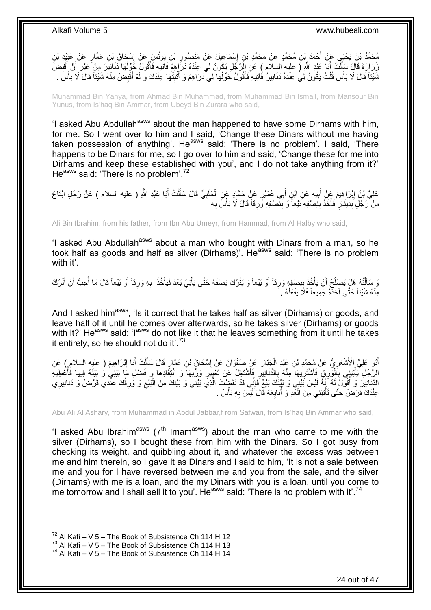مُحَمَّدُ بْنُ يَحْيَى عَنْ أَحْمَدَ بْنِ مُحَمَّدٍ عَنْ مُحَمَّدِ بْنِ إِسْمَاعِيلَ عَنْ مَنْصُورِ بْنِ يُونُسِ عَنْ إِسْحَاقَ بْنِ عَمَّارٍ عَنْ غُبَيْدٍ بْنِ ِ ِ ِ ِّرُرَارَةَ قَالَ سَأَلْتُ أَبَا عَبْدِ اللَّهِ ( عليه السلام ) عَنِ الزَّجُلِ يَكُونُ لِي عِنْدَهُ دَرَّ إِهِمَ فَآتِيهِ فَأَقُولُ حَوِّلْهَا دَنَانِيَرَ مِنْ غَيْرِ أَنْ أُقْضِنَ<br>زِي الْمَرْسِمِينَ عَيْرِ أَنْ أُقْضِرَ َ ْ َ ِ َ َ ِ ْ َ ثَنَيْئاً قَالَ لَا بَأْسَ قُلْتُ يَكُونُ لِي عِنْدَهُ دَنَانِيرٌ فَآتِيهِ فَأَقُولُ حَوِّلْهَا لِي دَرَاهِمَ وَ أَثْبِتُهَا عِنْدَكَ وَ لَمْ أَقْبِضْ مِنْهُ شَيْئاً قَالَ لَا بَأْسَ . ِ **ٔ** َ ْ َ ْ **ٔ** ِ َ ْ

Muhammad Bin Yahya, from Ahmad Bin Muhammad, from Muhammad Bin Ismail, from Mansour Bin Yunus, from Is'haq Bin Ammar, from Ubeyd Bin Zurara who said,

'I asked Abu Abdullah<sup>asws</sup> about the man happened to have some Dirhams with him, for me. So I went over to him and I said, 'Change these Dinars without me having taken possession of anything'. He<sup>asws</sup> said: 'There is no problem'. I said, 'There happens to be Dinars for me, so I go over to him and said, 'Change these for me into Dirhams and keep these established with you', and I do not take anything from it?' He<sup>asws</sup> said: 'There is no problem'.<sup>72</sup>

عَلِيُّ بْنُ إِبْرَاهِيمَ عَنْ أَبِيهِ عَنِ ابْنٍ أَبِي عُمَيْرٍ عَنٍْ حَمَّادٍ عَنِ الْحَلَبِيِّ قَالَ سَأَلْتُ أَبَا عَبْدِ اللَّهِ ( عليه السلام ) عَنْ رَجُلٍ ابْتَاعَ َ ْ ĺ ِ ْ َ **!** َ **ٔ** ِمِنْ رَجُلٍ بِدِينَارٍ فَأَخَذَ بِنِصْفِهِ بَيْعاً وَ بِنِصْفِهِ ؤَرِقاً قَالَ لَا بَأْسَ بِهِ ِ ِ ِ َ **∣** ِ

Ali Bin Ibrahim, from his father, from Ibn Abu Umeyr, from Hammad, from Al Halby who said,

'I asked Abu Abdullah<sup>asws</sup> about a man who bought with Dinars from a man, so he took half as goods and half as silver (Dirhams)'. He<sup>asws</sup> said: 'There is no problem with it'.

وَ سَأَلْتُهُ هَلْ يَصْلُحُ أَنْ يَأْخُذَ بِنِصْفِهِ وَرِقاً أَوْ بَيْعاً وَ يَتْرُكَ نِصْفَهُ حَتَّى يَأْتِيَ بَعْدُ فَيَأْخُذَ بِهِ وَرِقاً أَوْ بَيْعاً قَالَ مَا أُحِبُّ أَنْ أَتْرُكَ ْ **ائستان** َ ِ **∣** ْ ļ ֺ֦֦֪֦֧֦֦֖֦֦֪֦֧֦֪֦֧֦֪֪֦֧֦֪֦֪֪֦֧֦֪֦֧֦֧֦֪֦֧֦֧֦֪֪֦֧֪֦֧֪֦֧֦֧֦֧֝֟֟֟֟֟֟֟֟֟֟֟֟֟֟֟֟֟֟֟֟֟֟֓֕֬֟֓֡֟֓֟֓֞֟֟֓֞֟֟֟֟֟֟֟֩֓֞֟֟֟֟֟֟ َ َ َ ِ **∶** مِنْهُ شَيْئاً حَتَّى آخُذُهُ جَمِيعاً فَلَا يَفْعَلْهُ . ْ

And I asked him<sup>asws</sup>, 'Is it correct that he takes half as silver (Dirhams) or goods, and leave half of it until he comes over afterwards, so he takes silver (Dirhams) or goods with it?' He<sup>asws</sup> said: 'I<sup>asws</sup> do not like it that he leaves something from it until he takes it entirely, so he should not do it'.<sup>73</sup>

أَبُو عَلِيٍّ الْأَشْعَرِ يُّ عَنْ مُحَمَّدِ بْنِ عَبْدِ الْجَنَّارِ عَنِْ صَفْوَانَ عَنْ إِسْحَاقَ بْنِ عَمَّارٍ قَالَ سَأَلْتُ أَبَا إِبْرَاهِيمَ ( عليه السلامِ ) عَنِ ْ َ ِ ِ ْ ِ َ ِ َ الرَّجُلِ يَأْتِينِي بِالْوَرِقِ فَأَشْتَرِيهَا مِنْهُ بِالذَّنَانِيَرِ فَأَشْتَغِلُ عَنْ تَعْيِيَرِ وَرْنِهَا وَ انْتِقَادِهَا وَ فَضل مَا بَيْنِي وَ بَيْنَهُ فِيهَا فَأَعْطِيهَ **ٍ** ِ َ **∶ ∶** ِ َ ْ ِ ْ ĺ الذَّنَانِيرَ وَ أَقُولُ لَهُ إِنَّهُ لَيْسَ بَيْنِي وَ بَيْنَكَ بَيْعٌ فَإِنِّي قَدْ نَقَضِيْتُ الَّذِي بَيْنِي وَ بَيْنَكَ مِنَ الْبَيْعِ وَ وَرِقُكَ عِنْدِي قَرْضٌ وَ دَنَانِيرِي ׀ו<br>ְי ∣<br>¦ ِ ِ ِ ْ َّ عِنْدَكَ قَرْضٌ حَتَّى تَأْتِيَنِي مِنَ الْغَدِ وَ أَبَايِعَهُ قَالَ لَيْسَ بِهِ بَأْسٌ . **ٔ ∶** ِ ֧֧֧֧֧֧֦֧֧֧֧֧֧֧֧֧֧֧֧֧֧֧֧֧֝֝֝֟֝֟֝֟֓֟֓֟֓֟֓֟֓֕֓֝֟֓֝֬֝֓֟֓֟֓֟֓֟֓֝֓֝֬֟֓֝֬֝֓֝֬֝֬֝֓֝֬֝֬֝֓֝֬֝֬֝֬֝֬֝֬֝֬֝֬ ْ ْ

Abu Ali Al Ashary, from Muhammad in Abdul Jabbar,f rom Safwan, from Is'haq Bin Ammar who said,

'I asked Abu Ibrahim<sup>asws</sup> ( $7<sup>th</sup>$  Imam<sup>asws</sup>) about the man who came to me with the silver (Dirhams), so I bought these from him with the Dinars. So I got busy from checking its weight, and quibbling about it, and whatever the excess was between me and him therein, so I gave it as Dinars and I said to him, 'It is not a sale between me and you for I have reversed between me and you from the sale, and the silver (Dirhams) with me is a loan, and the my Dinars with you is a loan, until you come to me tomorrow and I shall sell it to you'. He<sup>asws</sup> said: 'There is no problem with it'.<sup>74</sup>

 $72$  Al Kafi – V 5 – The Book of Subsistence Ch 114 H 12

 $73$  Al Kafi – V 5 – The Book of Subsistence Ch 114 H 13

 $74$  Al Kafi – V 5 – The Book of Subsistence Ch 114 H 14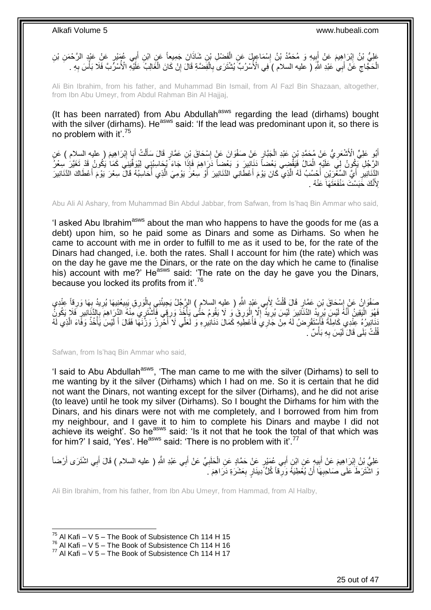عَلِيُّ بْنُ إِبْرَاهِيمَ عَنْ إَبِيهِ وَ مُحَمَّدُ بْنُ إِسْمَاعِيلٍ عَنِ الْفَضْلِ بْنِ شَاذَانَ جَمِيعاً عَنِ ابْنِ أَبِي عُمْيْرٍ عَنْ عَبْدٍ الرَّحْمَنِ بْنِ َ ْ ِ **! ֽו** الْحَجَّاجِ عَنْ أَبِي عَبْدِ اللَّهِ ( عليه السلام ) فِي الْأُسْرُبِّ يُشْتَرَى بِالْفَضَّةِ قَالَ إِنْ كَانَ الْغَالِبُّ عَلَّيْهِ الْأُسْرِّبَّ فَلَا بَأْسَ بِهِ . ْ ِ ْ ِ َ ِ ْ ِ ْ

Ali Bin Ibrahim, from his father, and Muhammad Bin Ismail, from Al Fazl Bin Shazaan, altogether, from Ibn Abu Umeyr, from Abdul Rahman Bin Al Hajjaj,

(It has been narrated) from Abu Abdullah<sup>asws</sup> regarding the lead (dirhams) bought with the silver (dirhams). He<sup>asws</sup> said: 'If the lead was predominant upon it, so there is no problem with it'.<sup>75</sup>

أُمُو عَلِيٍّ الْأَشْعَرِيُّ عَنْ مُحَمَّدٍ بْنِ عَبْدِ الْجَبَّارِ عَنْ صَفْوَانَ عَنْ إِسْحَاقَ بْنِ عَمَّارٍ قَالَ سَأَلْتُ أَيَا إِبْرَاهِيمَ ( عليه السلام ) عَنِ<br>وَيَسْمِدُ الْمَسْلِمِينَ الْأَشْعَرِيُّ عَنْ مُحَمَّد ْ َ ا<br>؛ ِ ْ ِ َ ِ َ الرَّجُلِ يَكُونُ لِيَ عَلَيْهِ الْمَالُ فَيَقْضِِي بَعْضاً دَنَانِيرَ وَ بَعْضِاً دَرَاهِمَ فَإِذَا جَاءَ يُجَاسِبُنِي لِيُوَفِّينِي كَمَا يَكُونُ قَدْ تَغَيَّرَ سِعْرُ ْ النَّذَانِيرِ أَيَّ السِّغْرَيْنِ أَحْسُبُ لَهُ الَّذِي كَانَ يَوْمَ أَعْطَانِي الدَّنَانِيرَ أَوْ سِعْرََ يَوْمِيَ الَّذِي أُحَاسِبُهُ قَالَ سِعْرَ يَوْمَ أَعْطَاكَ الدَّنَانِيرَ َّ َ َّ َ ِ َ لِأَنَّكَ خََبَسْتَ مَنْفَعَثَهَاً عَنْهُ .

Abu Ali Al Ashary, from Muhammad Bin Abdul Jabbar, from Safwan, from Is'haq Bin Ammar who said,

'I asked Abu Ibrahim<sup>asws</sup> about the man who happens to have the goods for me (as a debt) upon him, so he paid some as Dinars and some as Dirhams. So when he came to account with me in order to fulfill to me as it used to be, for the rate of the Dinars had changed, i.e. both the rates. Shall I account for him (the rate) which was on the day he gave me the Dinars, or the rate on the day which he came to (finalise his) account with me?' He<sup>asws</sup> said: 'The rate on the day he gave you the Dinars, because you locked its profits from it'.<sup>76</sup>

صَفُوَانُ عَنْ إِسْحَاقَ بْنِ عَمَّارٍ قَالَ قُلْتُ لِأَبِي عَبْدٍ اللَّهِ ( عليه السلامِ ) الرَّجُلُ يَجِيئُنِي بِالْوَرِقِ يَبِيعُنِيهَا يُرِيدُ بِهَا وَرِقاً عِنْدِي<br>يَا نَّسَفُ أَنْ يَسْتَمِمُونَ مِنْ يَقِيَّتُ فَانَ ْ ֦֧֦֧֦֧֦֧֦֧֦֧֦֧ׅ֦֦֧֦֧֦֧֦֧֦֧֦֧֦֧֦֧֦֧֦֧֦֧֦֧֦֚֝֟֝֟֝֜ ِ ِ ِ ِ ْ ِ َفَهُوَ الْيَقِينُ أَنَّهُ لَئِسَ يُرِيِّدُ الدَّنَاْنِينَ لَئِسَ يُرِيدُ ۖ إِلَّا إِلْوَرِقَ وَ لَا يَقُومُ حَتَّى يَأْخُذَ وَرِقِي فَأَشْتَرِيِّ مِّئْهُ الزَّرَاهِمَ بِالدَّنَانِيرِ فَلَا يَكُونُ ِ ا<br>أ **∶** ْ ِ **∶** ِ َ ا<br>ا ِ ِ نَانِيرُهُ عِنْدِي كَامِلَةً فَأَسْتَقْرِضُ لَهُ مِنْ جَارِيَ فَأُعْطَِيهِ كَمَالَ دَنَانِيرِهِ وَ لَعَلِّي لَا أُخْرِزُ وَزْنَهَا فَقَالَ أَ لَيْسَ يَأْخُذُ وَفَاءَ الَّذِي لَهُ<br>أَوْ مُرِيَّةٍ وَجَزَئِهِ وَجَزَئِهِ مَنْ ِ j ِ j ِ َ َّ ْ لَ َ قُلْتُ بَلَى قَالَ لَيْسَ بِهِ بَأْسٌ ۚ ֦֦֧֦֧֦֧֦֧֦֧֦֧֦֧֦֧֝֟֟֓֟֓֟֓֕֝<sup>֓</sup>֓ **∶** ْ

Safwan, from Is'haq Bin Ammar who said,

'I said to Abu Abdullah<sup>asws</sup>, 'The man came to me with the silver (Dirhams) to sell to me wanting by it the silver (Dirhams) which I had on me. So it is certain that he did not want the Dinars, not wanting except for the silver (Dirhams), and he did not arise (to leave) until he took my silver (Dirhams). So I bought the Dirhams for him with the Dinars, and his dinars were not with me completely, and I borrowed from him from my neighbour, and I gave it to him to complete his Dinars and maybe I did not achieve its weight'. So he<sup>asws</sup> said: 'Is it not that he took the total of that which was for him?' I said, 'Yes'. He<sup>asws</sup> said: 'There is no problem with it'.<sup>77</sup>

عَلِيُّ بْنُ إِبْرَاهِيمَ عَنْ أَبِيهٍ عَنِ ابْنِ أَبِي عُمَيْرٍ عَنْ حَمَّادٍ عَنِ الْحَلَبِيِّ عَنْ أَبِي عَبْدِ اللَّهِ ( عليه السلام ) قَالَ أَبِي اشْتَرَى أَرْضاً َ **!** َ <u>֖֓</u> َ َ َ **∶** ْ وَ اشْتَرَطَ عَلَى صَاحِبِهَا أَنْ يُعْطِيَهُ وَرِّقاً كُلُّ دِينَارٍ بِعَشَرَةِ دَرَاهِمَ ۗ. ِ **∶ ∶** 

Ali Bin Ibrahim, from his father, from Ibn Abu Umeyr, from Hammad, from Al Halby,

 $^{75}$  Al Kafi – V 5 – The Book of Subsistence Ch 114 H 15

 $^{76}$  Al Kafi – V 5 – The Book of Subsistence Ch 114 H 16

 $77$  Al Kafi – V 5 – The Book of Subsistence Ch 114 H 17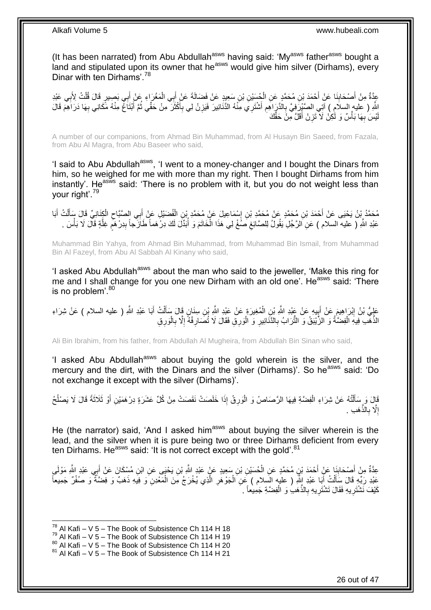(It has been narrated) from Abu Abdullah<sup>asws</sup> having said: 'My<sup>asws</sup> father<sup>asws</sup> bought a land and stipulated upon its owner that he<sup>asws</sup> would give him silver (Dirhams), every Dinar with ten Dirhams'<sup>78</sup>

عِدَّةٌ مِنْ أَصْحَابِنَا عَنْ أَحْمَدَ بْنِ مُحَمَّدٍ عَنِ الْجُسَيْنِ بْنِ سَعِيدٍ عَنْ فَضَالَةَ عَنْ أَبِي الْمَغْرَاءِ عَنْ أَبِي بَصِيرٍ قَالَ قُلْتُ لِأَبِي عَبْدِ **∣** َ ْ َ ْ َ ْ ِ اللَّهِ ( عليه السلام ) آتِي الصَّيْرَفِيَّ بِالذَّرَ اهِمِ أَشْتَرِي مِنْهُ الدَّنَانِيرَ فَيَزِنُ لِي بِأَكْثَرَ مِنْ حَقِّي ثُمَّ أَبْتَاغٌ مِنْهُ مَّكَانِي بِهَا دَرَاهِمَ قَالَ<br>أَمْسَمَ الْمَسَلِمِينَ الْمَسَلَمِينَ َ َ ِ ِ َ ِ **∶** ِ َ  $\ddot{\phantom{0}}$ يْسَ بِهَا بَأْسٌ وَ لَكِنْ لَا ْتَزِنْ أَقَلَّ مِنْ حَقِّكَ َ ِ **ٔ ∶** لَ

A number of our companions, from Ahmad Bin Muhammad, from Al Husayn Bin Saeed, from Fazala, from Abu Al Magra, from Abu Baseer who said,

'I said to Abu Abdullah<sup>asws</sup>, 'I went to a money-changer and I bought the Dinars from him, so he weighed for me with more than my right. Then I bought Dirhams from him instantly'. He<sup>asws</sup> said: 'There is no problem with it, but you do not weight less than your right'.<sup>79</sup>

ِن ْس َما ِعي َل َع ْن م َح َّمِد ْب ِن إ ِن م َح َّمٍد َع ْن م َح َّمِد ْب ْح َمَد ْب م َح َّم د ْب ن َي ْحَيى َع ْن أ َبا ت أ ل ِكَناِن ِّي َقا َل َسأ ال ِي ال َّصَّباح ب ِل َع ْن أ َضْي ف ال ֺ֦֦֦֦֦֦֦֦֦֦֦֦֧֦֧֦֧֦֧֦֧֦֧֦֧֦֧֦֧֦֧֦֧֦֧֦֧֦֧ׅ֧֦֚֚֚֚֝֝֝֝֘֝֝֓֡֝֝֘֝֝֜ َ ْ َ ْ ِ َ ْ عَبْدِ اللَّهِ ( عليه السلام ) عَنِ اَلرَّجُلِ يَقُولُ لِلصَّائِغِ صَنْغْ لِي هَذَا الْخَاتَمَ وَ أَبَدَّلَ لَكَ دِرْهَماً طَازَجاً بِدِرْهَمٍ غِلَّةٍ قَالَ لَا بَأْسَ . j ْ ِ ْ َّ ֧֖֧֖֖֖֖֖֧֖֖֧֧֧֧ׅ֧֧֧֧֧֧֧֧֧֧֧֧֚֚֚֚֚֚֚֚֝֝֟֓֝֓֝֓֝֬֟֓֟֓֝֬֝֬֝֓֝֬֜֓֝֬֜֓֝֬֝֓֝֬֝֓֝֬֝֬֓֝֬֝֬֝ ِ

Muhammad Bin Yahya, from Ahmad Bin Muhammad, from Muhammad Bin Ismail, from Muhammad Bin Al Fazeyl, from Abu Al Sabbah Al Kinany who said,

'I asked Abu Abdullah<sup>asws</sup> about the man who said to the jeweller, 'Make this ring for me and I shall change for you one new Dirham with an old one'. He<sup>asws</sup> said: 'There is no problem'.<sup>80</sup>

عَلِيُّ بْنُ اِبْرَاهِيمَ عَنْ أَبِيهِ عَنْ عَبْدِ اللَّهِ بْنِ الْمُغِيرَةِ عَنْ عَبْدِ اللَّهِ بْنِ سِنَانٍ قَالَ سَأَلْتُ أَبَا عَبْدِ اللَّهِ ( عليه السلام ) عَنْ شِرَاءِ ْ َ ْ **∣** َ ِ َ الذَّهَّب فِيهِ الْفِضَّةُ وَ الزَّيْبَقُ وَ التُّرَابُ بِالدَّنَانِيرِ وَ الْوَرِقِ فَقَالَ لَا تُصَارِفْهُ إِلَّا بِالْوَرِقِ ْ ْ **∶** ا<br>ا **∶** ْ **ٍ ∶** 

Ali Bin Ibrahim, from his father, from Abdullah Al Mugheira, from Abdullah Bin Sinan who said,

'I asked Abu Abdullah<sup>asws</sup> about buying the gold wherein is the silver, and the mercury and the dirt, with the Dinars and the silver (Dirhams)'. So he<sup>asws</sup> said: 'Do not exchange it except with the silver (Dirhams)'.

قَالَ وَ ٍسَأَلْتُهُ عَنْ شِرَاءِ الْفِضَّةِ فِيهَا الرَّصَاصُ وَ الْوَرِقُ إِذَا خَلَصَتْ نَقَصَتْ مِنْ كُلِّ عَشَرَةٍ دِرْهَمَيْنِ أَوْ ثَلَاثَةً قَالَ لَا يَصْلُحُ **∶** ر<br>ا ْ ْ  $\bigcup$ َ َ إِلَّا بِالذَّهَبِ . ِ ِ

He (the narrator) said, 'And I asked him<sup>asws</sup> about buying the silver wherein is the lead, and the silver when it is pure being two or three Dirhams deficient from every ten Dirhams. He<sup>asws</sup> said: 'It is not correct except with the gold'.<sup>81</sup>

عِدَّةٌ مِنْ أَصِحَابِنَا عَنْ أَحْمَدَ بْنِ مُحَمَّدٍ عَنِ الْحُسَيْنِ بْنِ سَعِيدٍ عَنْ عَبْدٍ اللَّهِ بَنِ يَحْيَى عَنِ ابْنِ مُسِكَانَ عَنْ أَبِي عَبْدِ اللَّهِ مَوْلَى ْ **∣** َ َ عَبْدِ رَبِّهِ قَالَ سَأَلْتُ أَبَا عَبْدِ إِلَّهِ ( عليه السلام ) عَنِ الْجَوْهُرِ الَّذِي يُخْرَجُ مِنَ الْمَعْدِنِ وَ فِيهِ ذَهَبٌ وَ فِضَّةٌ وَ صُفْرٌ جَمِيعاً ْ َّ ِ ْ َ ْ َ كَيْفَ نَشْتَرِيهِ فَقَالَ تَشْتَرِيهِ بِالذَّهَبِۢ وَ الْفِضَّةِ جَمِيعاً . ِ ِ ْ ِ

 $^{78}$  Al Kafi – V 5 – The Book of Subsistence Ch 114 H 18

 $79$  Al Kafi – V 5 – The Book of Subsistence Ch 114 H 19

 $80$  Al Kafi – V  $5$  – The Book of Subsistence Ch 114 H 20

 $81$  Al Kafi – V 5 – The Book of Subsistence Ch 114 H 21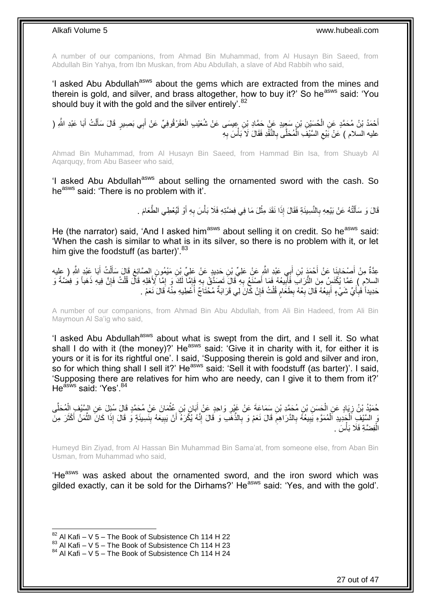A number of our companions, from Ahmad Bin Muhammad, from Al Husayn Bin Saeed, from Abdullah Bin Yahya, from Ibn Muskan, from Abu Abdullah, a slave of Abd Rabbih who said,

'I asked Abu Abdullah<sup>asws</sup> about the gems which are extracted from the mines and therein is gold, and silver, and brass altogether, how to buy it?' So he<sup>asws</sup> said: 'You should buy it with the gold and the silver entirely'. $82$ 

أَحْمَدُ بْنُ مُحَمَّدٍ عَنِ الْحُسَيْنِ بْنِ سَعِيدٍ عَنْ حَمَّادِ بْنِ عِيسَى عَنْ شُعَيْبِ الْعَقَرْقُوفِيِّ عَنْ أَبِي بَصِيرٍ قَالَ سَأَلْتُ أَبَا عَبْدِ الثَّهِ ( ْ َ َ ْ َ َ ْ عليه السلام ) عَنْ بَيْع السَّيْفَ الْمُحَلَّى بِالنَّقْدِ فَقَالَ لَا َبَأْسَ بِهِ **∶** ْ **∶** ْ  $\zeta$ 

Ahmad Bin Muhammad, from Al Husayn Bin Saeed, from Hammad Bin Isa, from Shuayb Al Aqarquqy, from Abu Baseer who said,

'I asked Abu Abdullah<sup>asws</sup> about selling the ornamented sword with the cash. So he<sup>asws</sup> said: 'There is no problem with it'.

> قَالَ وَ سَأَلْتُهُ عَنْ بَيْعِهِ بِالنَّسِيئَةِ فَقَالَ إِذَا نَقَدَ مِثْلَ مَا فِي فِضَّتِهِ فَلَا بَأْسَ بِهِ أَوْ لَيُعْطِي الطَّعَامَ . ْ **∶** ֺ֦֦֪֦֧֦֦֖֦֦֪֦֧֦֪֦֧֦֪֪֦֧֦֪֦֪֪֦֧֦֪֦֧֦֧֦֪֦֧֦֧֦֪֪֦֧֪֦֧֪֦֧֦֧֦֧֝֟֟֟֟֟֟֟֟֟֟֟֟֟֟֟֟֟֟֟֟֟֟֓֕֬֟֓֡֟֓֟֓֞֟֟֓֞֟֟֟֟֟֟֟֩֓֞֟֟֟֟֟֟ َ َ **∶** ْ

He (the narrator) said, 'And I asked him<sup>asws</sup> about selling it on credit. So he<sup>asws</sup> said: 'When the cash is similar to what is in its silver, so there is no problem with it, or let him give the foodstuff (as barter)'.<sup>83</sup>

عِدَّةٌ مِنْ أَصْدَابِنَا عَنْ أَحْمَدَ بْنِ أَبِي عَبْدِ اللَّهِ عَنْ عَلِيٍّ بْنِ حَدِيدٍ عَنْ عَلِيٍّ بْنِ مَيْمُونٍ الصَّائِغِ قَالَ سَأَلْتُ أَبَا عَبْدِ اللَّهِ ( عِليه َ َ ِ َ َ ْ َ ِ ِ السلام ) عَمَّا يُكْنَسِ مِنَ النُّرَابِ فَأَلِّيعُهُ فَمَا أَصْنَعُ بِهِ ۖ قَالَ تَصَدَّقُ بِهِ فَإِمَّا لَكَ وَ إِمَّا لِأَهْلِهِ قَالَ قُلْتُ فَإِنَّ فِيهِ ذَهَباً وَ فِضَةً وَ **!** َ ।।<br>़ ْ ∣∣<br>ٌ ا ِ حَدِيداً فَبِأَيِّ شَيْءٍ أَبِيعُهُ قَالَ بِعْهُ بِطَعَامِ قُلْتُ فَإِنْ كَانَ لِي قَرَابَةٌ مُحْتَاجٌ أَعْطِيهِ مِنْهُ قَالَ نَعَمْ . َ ِ j ِ ْ ֧֧֧֧֧֧֧֧֓֝֓֝֓֝֓֝֬֟֓֟֓֓֓֟֓֓֟֓֓<del>֛</del> **∶** ِ **!** 

A number of our companions, from Ahmad Bin Abu Abdullah, from Ali Bin Hadeed, from Ali Bin Maymoun Al Sa'ig who said,

'I asked Abu Abdullah<sup>asws</sup> about what is swept from the dirt, and I sell it. So what shall I do with it (the money)?' He<sup>asws</sup> said: 'Give it in charity with it, for either it is yours or it is for its rightful one'. I said, 'Supposing therein is gold and silver and iron, so for which thing shall I sell it?' He<sup>asws</sup> said: 'Sell it with foodstuff (as barter)'. I said, 'Supposing there are relatives for him who are needy, can I give it to them from it?' He<sup>asws</sup> said: 'Yes'.<sup>84</sup>

حُمَيْدُ بْنُ زِيَادٍ عَنِ الْجَسَنِ بْنِ مُحَمَّدِ بْنِ سَمَاعَةَ عَنْ غَيْرِ وَاحِدٍ عَنْ أَبَانٍ بْنِ عُثْمَانَ عَنْ مُحَمَّدٍ قَالَ سُئِلَ عَنِ السَّنْفِ الْمُحَلَّى **ٔ** َ ِ ْ ِ ْ َّ ِ مَ السَّيْفِ اَلْجَدِيدِ اَلْمُمَوَّهِ يَبِيعُهُ بِالدَّرَاهِمِ قَالَ نَعَمْ وَ بِالذَّهَبِ وَ قَالَ إِنَّهُ يُكْرَهُ أَنْ يَبِيعَهُ بِنَسِيئَةٍ وَ قَالَ إِذَا كَانَ الثَّمَنُ أَكْثَرَ مِنَ َ ِ **∶** ِ **∶ !** ْ َ َ َّ ِ الْفِضَّةِ فَلَا بَأْسَ . ֦֦֧֦֧֦֧֦֧֦֧֦֧֦֧֦֧֝֟֟֓֟֓֟֓֕֝<sup>֓</sup>֓ ْ

Humeyd Bin Ziyad, from Al Hassan Bin Muhammad Bin Sama'at, from someone else, from Aban Bin Usman, from Muhammad who said,

'He<sup>asws</sup> was asked about the ornamented sword, and the iron sword which was gilded exactly, can it be sold for the Dirhams?' He<sup>asws</sup> said: 'Yes, and with the gold'.

 $82$  Al Kafi – V 5 – The Book of Subsistence Ch 114 H 22

 $83$  Al Kafi – V  $5$  – The Book of Subsistence Ch 114 H 23

 $84$  Al Kafi – V 5 – The Book of Subsistence Ch 114 H 24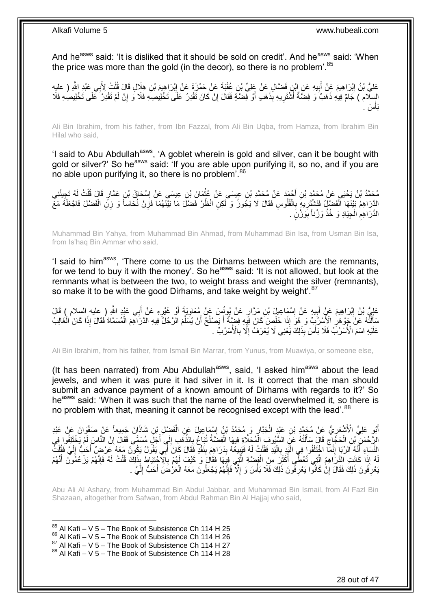And he<sup>asws</sup> said: 'It is disliked that it should be sold on credit'. And he<sup>asws</sup> said: 'When the price was more than the gold (in the decor), so there is no problem'.<sup>85</sup>

عَلِيُّ بْنُ إِبْرَاهِيمَ عَنْ أَبِيهِ عَنِ إِبْنِ فَضَّالٍ عَنْ عَلِيٍّ بْنِ عُقْبَةَ عَنْ حَمْزَةَ عَنْ إِبْرَاهِيمَ بْنِ هِلَالٍ قَالَ قُلْتُ لِأَبِي عَبْدِ اللَّهِ ( عليهِ **!** َ ِ ْ ِ السِلّام ) جَامٌ فِيهِ ذَهَبٌ وَ فِضَّةٌ أَشْتَرِيهِ بِذَهَبٍ أَوْ فَضَّةٍ فَقَالَ إِنْ كَانَ تَقْدِرُ عَلَى تَخْلِيصِهِ فَلَا وَ إِنْ لَمْ تَقْدِرُ ۚ عَلَى تَخْلِيصِهِ فَلَا ِ َ ِ َ ِ َس . **ٔ** َبأ

Ali Bin Ibrahim, from his father, from Ibn Fazzal, from Ali Bin Uqba, from Hamza, from Ibrahim Bin Hilal who said,

'I said to Abu Abdullah<sup>asws</sup>, 'A goblet wherein is gold and silver, can it be bought with gold or silver?' So he<sup>asws</sup> said: 'If you are able upon purifying it, so no, and if you are no able upon purifying it, so there is no problem<sup>'.86</sup>

مُحَمَّدُ بْنُ يَحْيَى عَنْ مُحَمَّدِ بْنِ أَجْمَدَ عَنْ مُحَمَّدِ بْنِ عِيسَى عَنْ عَثْمَانَ بْنِ عِيسَى عَنْ إِسْحَاقَ بْنِ عَمَّارٍ قَالَ قُلْتُ لَهُ تَجِيئُنِي ِ **ٔ** َ ْ **ٍ** الَّذَرَاهِمُ بَيْنَهَا الْفَضْلِّيُ فَنَشْتَزِيهِ بِالْفُلُوسِ فَقَالَ لَا يَجُوزُ وَ لَكِنِ انْظُرْ فَضْلَ مَا بَيْنَهُمَا فَزِنْ نُحَاساً وَ زِنِّ الْفَضْلَ فَاجْعَلْهُ مَعَّ ْ **∶** ِ ْ ْ ْ الذَّرَاهِمِ الْجِيَادِ وَ خُذْ وَزْناً بِوَزْنٍ <sub>.</sub> ِ **ٔ** ْ **ُ** 

Muhammad Bin Yahya, from Muhammad Bin Ahmad, from Muhammad Bin Isa, from Usman Bin Isa, from Is'haq Bin Ammar who said,

'I said to him<sup>asws</sup>, 'There come to us the Dirhams between which are the remnants, for we tend to buy it with the money'. So he<sup>asws</sup> said: 'It is not allowed, but look at the remnants what is between the two, to weight brass and weight the silver (remnants), so make it to be with the good Dirhams, and take weight by weight.<sup>87</sup>

عَلِيُّ بْنُ إِبْرَاهِيمَ عَنْ أَبِيهِ عَنْ إِسْمَاعِيلَ بْنِ مَرَّارٍ عَنْ يُونُسَ عَنْ مُعَاوِيَةَ أَوْ غَيْرِهِ عَنْ أَبِي عَبْدٍ اللَّهِ ( عليه السلام ) قَالَ ِ ِ َ َ **∶** َ ِ سَأَلَٰٓتُهُ عَنْ بِجَوْ هَلِ الْأَسْرُبَّ) وَ هُوَ إِذَا خَلَصٍ كَانَ فَيِهِ فِصَيِّةٌ أَ يَصْلُحُ أَنْ يُسَلِّمَ الْرَجُلُ فِيهِ الذَّرَاهِمَ الْمُسَمَّاةَ فَقَالَ إِذَا كَانَ الْغَالِبُ ِّ Ĺ َ ِ ֦֖֦֖֦֪֦֪֦֖֦֪֦֖֧֦֪֦֧֦֪֦֪֦֪֦֪֦֧֦֪֦֖֦֪֪֦֧֘֝֟֟֘֝֟֟֟֟֟֟֟֟֟֟֟֘֝֟֟֟֟֟֟֟֟֟֟֟֟֩֞֟֟֓֞֟֟֓֞֟֟֟֟֩֓֞֟֟֟֟֟֟֝֟ َ ْ ْ عَلَيْهِ اسْمَ الْأُسْرُبِّ فَلَا بَأْسَ بِذَلِكَ يَُعْنِي لَا يُعْرَفُ إِلَّا بِالْأُسْرُبِّ . ِ ِ ،<br>ا

Ali Bin Ibrahim, from his father, from Ismail Bin Marrar, from Yunus, from Muawiya, or someone else,

(It has been narrated) from Abu Abdullah<sup>asws</sup>, said, 'I asked him<sup>asws</sup> about the lead jewels, and when it was pure it had silver in it. Is it correct that the man should submit an advance payment of a known amount of Dirhams with regards to it?' So he<sup>asws</sup> said: 'When it was such that the name of the lead overwhelmed it, so there is no problem with that, meaning it cannot be recognised except with the lead'.<sup>88</sup>

أَبُو عَلِيٍّ الْأَشْعَرِيُّ عَنْ مُحَمَّدِ بْنِ عَيْدِ الْجَنَّارِ وَ مُحَمَّدُ بْنُ إِسْمَاعِيلَ عَنِ الْفَضْلِ بْنِ شَاذَانَ جَمِيعاً عَنْ صَفْوَانَ عَنْ عَيْدِ<br>أَو علي الْأَشْعَرِيُّ عَنْ مُحَمَّدِ بْنِ غَيْدِ ْ ِ ¦ ْ ِ الرَّحْمَنِ ۖ بْنِ الْحَجَّاجِ قَالَ سَأَلْتُهُ عَنِ السُّيُوفِ الْمُحَلَّاةِ فِيهَا الْفِضَّةُ تُبَاعُ بِالذَّهَبِ إِلَى أَجَلَ مُسَمًّى فَقَالَ إِنَّ النَّاسَ لَمْ يَخْتَلِفُوا فِي َ ِ ِ ْ ْ ֺ֦֧֦֦֧֦֧֦֦֧֦֧֦֪֦֧֦֪֦֪֦֪֦֪֦֪֦֧֦֪֦֪֪֦֪֪֦֝֟֟֟֟֟֟֟֟֟֟֟֟֟֟֟֟֟֟֟֟֟֓֟֟֟֓֟֓֟֓֕֟֓֟֓֟֓֟֓֟֓֟֟֓֟֟֓֟֟֟֟֟֟֟֟ َ ِ ْ ِ النَّسَاءِ أَنَّهُ اَلرِّيَا إِنَّمَا اخْتَلَفُوا فِي الْبَدِ بِالْيَدِ فَقُلْتُ لَهُ فَيَبِيعُهُ بِدَرَاهِمَ بِنَقْدٍ فَقَالَ كَانَ أَبِي يَقُولُ يَكُونُ مَعَهُ عَرْضٍ أَحَبُّ إِلَيَّ فَقُلْتُ ֺ֧ׅ֧ׅ֧֧֚֚֚֚֚֚֚֚֚֚֚֚֚֚֚֚֚֝֝֬֓֡֡֡֡֡֡֡֬֓֡֟֓֡֟֓֡֟֓֡֡֡֬֓֡֡֬֩֓֓֬֩ َ  $\frac{1}{2}$ َ َ **!**  $\frac{1}{2}$ ِ ْ ،<br>ا **∶** ْ لَ لَهُ إِذَا كَانَتِ الدَّرَاهِمُ الَّتِي تُعْطِّى أَكْثَرَ مِنَ الْفِضَةِ الَّتِي فِيَهَا فَقَالَ وَ كَيْفَ لَهُمْ بِاَلِاَجْتِيَاطِ بِذَلِكَ قُلْتُ لَهُ فَإِنَّهُمْ يَزْعُمُونَ أَنَّهُمْ ِ َّ ْ َ َ َّ َ  $\frac{1}{2}$ ْ َ بَعْرِ فُونَ ذَلِكَ فَقَالَ إِنْ كَانُوا يَعْرِ فُونَ ذَلِكَ فَلَا بَأْسَ وَ إِلَّا فَإِنَّهُمْ يَجْعَلُونَ مَعَهُ الْعَرْضَ أَحَبُّ إِلَيَّ . ْ ِ ِ ِ יִי (ֽו ِ لَ ∣∣<br>ِ

Abu Ali Al Ashary, from Muhammad Bin Abdul Jabbar, and Muhammad Bin Ismail, from Al Fazl Bin Shazaan, altogether from Safwan, from Abdul Rahman Bin Al Hajjaj who said,

 $85$  Al Kafi – V 5 – The Book of Subsistence Ch 114 H 25

1

 $88$  Al Kafi – V 5 – The Book of Subsistence Ch 114 H 28

 $86$  Al Kafi – V 5 – The Book of Subsistence Ch 114 H 26

 $87$  Al Kafi – V  $5$  – The Book of Subsistence Ch 114 H 27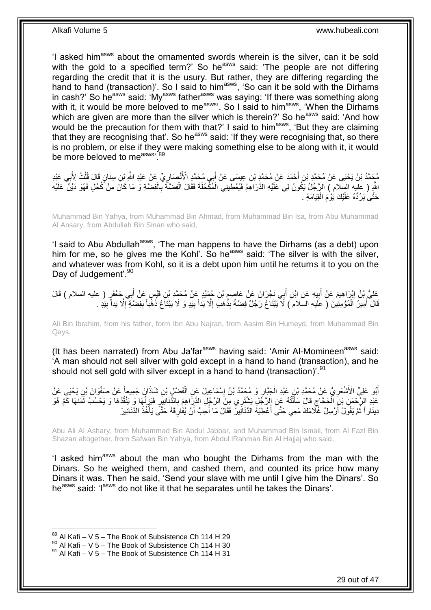'I asked him<sup>asws</sup> about the ornamented swords wherein is the silver, can it be sold with the gold to a specified term?' So he<sup>asws</sup> said: 'The people are not differing regarding the credit that it is the usury. But rather, they are differing regarding the hand to hand (transaction)'. So I said to him<sup>asws</sup>, 'So can it be sold with the Dirhams in cash?' So he<sup>asws</sup> said: 'My<sup>asws</sup> father<sup>asws</sup> was saying: 'If there was something along with it, it would be more beloved to me<sup>asws</sup>. So I said to him<sup>asws</sup>, 'When the Dirhams' which are given are more than the silver which is therein?' So he<sup>asws</sup> said: 'And how would be the precaution for them with that?' I said to him<sup>asws</sup>, 'But they are claiming that they are recognising that'. So he<sup>asws</sup> said: 'If they were recognising that, so there is no problem, or else if they were making something else to be along with it, it would be more beloved to measws, 89

مُحَمَّدُ بْنُ يَحْيَى عَنْ مُحَمَّدِ بْنِ أَحْمَدَ عَنْ مُحَمَّدٍ بْنِ عِيسَى عَنْ أَبِي مُحَمَّدٍ الْأَنْصَارِيِّ عَنْ عَبْدِ اللَّهِ بْنِ سِنَانٍ قَالَ قُلْتُ لِأَبِي عَبْدِ ِ َ َ ; ْ اللَّهِ ( عليه السِلام ) الرَّجُلُ يَكُونُ لِي عَلَيْهِ الذَّرَاهِمُ فَيُعْطِّينِي الْمُكْحُلَةَ فَقَالَ الْفِضَّةُ بِالْفِضَّةِ وَ مَا كَانَ مِنْ كُحْلٍ فَهُوَ دَيْنٌ عَلَيْهِ ْ ِ ْ ْ حَتَّى يَرُدَّهُ عَلَيْكَ يَوْمَ الْقِيَامَةِ . ْ

Muhammad Bin Yahya, from Muhammad Bin Ahmad, from Muhammad Bin Isa, from Abu Muhammad Al Ansary, from Abdullah Bin Sinan who said,

'I said to Abu Abdullah<sup>asws</sup>, 'The man happens to have the Dirhams (as a debt) upon him for me, so he gives me the Kohl'. So he<sup>asws</sup> said: 'The silver is with the silver, and whatever was from Kohl, so it is a debt upon him until he returns it to you on the Day of Judgement'.<sup>90</sup>

عَلِيُّ بْنُ إِبْرَاهِيمَ عَنْ أَبِيهِ عَنِ ابْنِ أَبِي نَجْرَانَ عَنْ عَاصِمٍ بْنِ جُهَيْدٍ عَنْ مُحَمَّدِ بْنِ قَيْسٍ عَنْ أَبِي جَعْفَرٍ ( عليه السلام ) قَالَ **∶** َ ِ َ َ قَالَ أَمِيرُ اَلْمُؤْمِنِينَ ( عَليه السَلام ) لَا يَبْتَاعُ رَجُلٌ فِضَّةً بِذَّهَبَ إِلَّا يَداً بِيَدٍ وَ لَا يَبْتَاعُ ذَهَّباً بِفِضَّةٍ إِلَّا يَداً بِيَدٍ . ْ َ ِ ِ ِ ِ ِ

Ali Bin Ibrahim, from his father, form Ibn Abu Najran, from Aasim Bin Humeyd, from Muhammad Bin Qays,

(It has been narrated) from Abu Ja'far<sup>asws</sup> having said: 'Amir Al-Momineen<sup>asws</sup> said: 'A man should not sell silver with gold except in a hand to hand (transaction), and he should not sell gold with silver except in a hand to hand (transaction)<sup>'.91</sup>

اَبُو عَلِيٍّ الْأَشْعَرِ يُ عَنْ مُحَمَّدِ بْنِ عَبْدِ الْجَبَّارِ وَ مُحَمَّدُ بْنُ إِسْمَاعِيلَ عَنِ الْفَضْلِ بْنِ شَاذَانَ جَمِيعاً عَنْ صَفْوَانَ بْنِ يَحْيَى عَنْ ْ ∣l<br>∶ ِ ْ **∶** عَبْدِ الرَّحْمَنِ بْنِ الْحَجَّاجِ قَالَ سَأَلْتُهُ عَنِ الرَّجُلِ يَشْتَرِي مِنَ الرَّجُلِ الذَّرِّ امِعَ بِالذَّنَانِيِّرِ فَيَزِنُهَا وَ يَنْقُدُهَا وَ يَحْسُبُ ثَمَنَهَا كَمْ هُوَ<br>وَأَيْضُلُونَ الْمَسْئَمَرِ الْمَسْئ ْ َ ِ ْ َ ِ ِ ِ دِينَار أَ ثُمَّ يَقُولُ أَرْسِلْ غُلَّامَكَ مَعِي حَتَّى أَعْطِيَهُ الدَّنَانِيرُ ۚ فَقَالَ مَا أَحِبُّ أَنْ يُفَارِفَهُ حَتَّى يَأْخُذَ الدَّنَانِيرَ ِ َ j j َ į .<br>أ

Abu Ali Al Ashary, from Muhammad Bin Abdul Jabbar, and Muhammad Bin Ismail, from Al Fazl Bin Shazan altogether, from Safwan Bin Yahya, from Abdul lRahman Bin Al Hajjaj who said,

'I asked him<sup>asws</sup> about the man who bought the Dirhams from the man with the Dinars. So he weighed them, and cashed them, and counted its price how many Dinars it was. Then he said, 'Send your slave with me until I give him the Dinars'. So he<sup>asws</sup> said: 'I<sup>asws</sup> do not like it that he separates until he takes the Dinars'.

 $89$  Al Kafi – V 5 – The Book of Subsistence Ch 114 H 29

 $90$  Al Kafi – V 5 – The Book of Subsistence Ch 114 H 30

 $91$  Al Kafi – V 5 – The Book of Subsistence Ch 114 H 31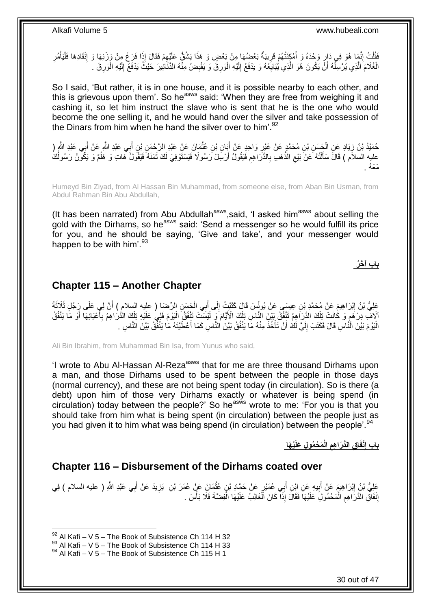فَقُلْتُ إِنَّمَا هُوَ فِي دَارٍ وَحْدَهُ وَ أَمْكَنَتُهُمْ قَرِيبَةٌ بَعْضُهَا مِنْ بَعْضٍ وَ هَذَا يَشُقُّ عَلَيْهِمْ فَقَالَ إِذَا فَرَغَ مِنْ وَرْنِهَا وَ إِنْقَادِهَا فَلْيَأْمُرِ ِ ْ ِ **∶** َ ِ ْ ْ ِ لَ ِ الْغُلَامَ الَّذِي يُرْسِلُهُ أَنَّ يَكُونَ هُوَ الَّذِي يُبَايِعُهُ وَ يَدْفَعُ إِلَيْهِ الْوَرِقَ وَ يَقْبِضُ مِنْهُ الذَّنَانِيرَ حَيْثُ يَدْفَعُ إِلَيْهِ الْوَرِقَ . ِ اُ اً ļ َّ ْ ِ ْ لَ ِ ِ ِ ْ

So I said, 'But rather, it is in one house, and it is possible nearby to each other, and this is grievous upon them'. So he<sup>asws</sup> said: 'When they are free from weighing it and cashing it, so let him instruct the slave who is sent that he is the one who would become the one selling it, and he would hand over the silver and take possession of the Dinars from him when he hand the silver over to him'.<sup>92</sup>

حُمَيْدُ بْنُ زِيَادٍ عَنِ الْجَسَنِ بْنِ مُحَمَّدٍ عَنْ غَيْرٍ وَاحِدٍ عَنْ أَبَانِ بْنِ عُثْمَانَ عَنْ عَبْدِ الرَّحْمَنِ بْنِ أَبِي عَبْدِ اللَّهِ عَنْ أَبِي عَبْدِ الثَّهِ ( ِ َ ْ َ ِ ْ َ عليه السلاَمُ ) قَالََ سَأَلْتُهُ عَنْ بَيْعِ الذَّهَبِ بِالذَّرَ اهِمِ فَيَقُولُ أَرْسَلْ رَسُولًا ۖ زَسَلولًا مَنْ النَّوْسَ وَيَكُونُ رَسُولُكَ مَنْ تَسَوَّلَا وَجَمَعَ الذَّهَبَ بِالذَّرَ اهِمِ فَيَقُولُ أَرْسَلْ رَسُو ِ ِ ِ ֺ֦֦֪֦֧֦֦֖֦֦֪֦֧֦֪֦֧֦֪֪֦֧֦֪֦֪֪֦֧֦֪֦֧֦֧֦֪֦֧֦֧֦֪֪֦֧֪֦֧֪֦֧֦֧֦֧֝֟֟֟֟֟֟֟֟֟֟֟֟֟֟֟֟֟֟֟֟֟֟֓֕֬֟֓֡֟֓֟֓֞֟֟֓֞֟֟֟֟֟֟֟֩֓֞֟֟֟֟֟֟ ĺ į مَعَهُ

Humeyd Bin Ziyad, from Al Hassan Bin Muhammad, from someone else, from Aban Bin Usman, from Abdul Rahman Bin Abu Abdullah,

(It has been narrated) from Abu Abdullah<sup>asws</sup>, said, 'I asked him<sup>asws</sup> about selling the gold with the Dirhams, so he<sup>asws</sup> said: 'Send a messenger so he would fulfill its price for you, and he should be saying, 'Give and take', and your messenger would happen to be with him'. $93$ 

**باب آ َخ ُر**

### <span id="page-29-0"></span>**Chapter 115 – Another Chapter**

عَلِيُّ بْنُ إِبْرَاهِيمَ عَنْ مُحَمَّدٍ بْنِ عِيسَى عَنْ يُونُسَ قَالَ كَتَبْتُ إِلَى أَبِي الْحَسَنِ الرِّضَا ( عليه السلام ) أَنَّ لِي عَلَى رَِجُلٍ ثَلاَثَةَ<br>حَفِّ بَنُّ إِبْرَاهِيمَ عَنْ مُحَمَّدٍ بْنِ عِيسَى عَنْ يُو ْ َ ِ <u>֖֓</u> َ الَافَّ دِرْ هَمٍ وَ كَانَتْ تِلْكَ الذَّرَاهِمُ تَنْفُقُ بَيْنَ النَّاسِ تِلْكَ الْأَيَّامَ وَ لَيْسَتَ تَنْفُقُ الْيَوْمَ فَلِي عَلَيْهِ تِلْكَ الْذَرَاهِمُ بِأَعْيَانِهَا أَوْ مَا يَنْفُقُ ْ ْ ֧֧֧֝֝֓֝֓֝֓׆֧ َ َ ِ ْ ْ الْيَوْمَ بَيْنَ الْنَّاسِ قَالَ فَكَتَبَ إِلَيَّ لَكَ أَنْ تَأْخُذَ مِنْهُ مَا يَنْفُقُ بَيْنَ النَّاسِ كَمَا أَعْطَيْتَهُ مَا يَنْفُقُ بَيْنَ النَّاسِ . َ ْ َ لَ ِ :<br>ا

Ali Bin Ibrahim, from Muhammad Bin Isa, from Yunus who said,

'I wrote to Abu Al-Hassan Al-Reza<sup>asws</sup> that for me are three thousand Dirhams upon a man, and those Dirhams used to be spent between the people in those days (normal currency), and these are not being spent today (in circulation). So is there (a debt) upon him of those very Dirhams exactly or whatever is being spend (in circulation) today between the people?' So he<sup>asws</sup> wrote to me: 'For you is that you should take from him what is being spent (in circulation) between the people just as you had given it to him what was being spend (in circulation) between the people'.<sup>94</sup>

> **ْي َها َم ْح ُمو ِل َعلَ الْ ِق الَّدَرا ِهم ا ْنفَ باب إ ِ ِ**

### <span id="page-29-1"></span>**Chapter 116 – Disbursement of the Dirhams coated over**

عَلِيُّ بْنُ إِبْرَاهِيمَ عَنْ أَبِيهِ عَنِ اِبْنِ أَبِي عُمَيْرٍ عَنْ حَمَّادِ بْنِ عُثْمَانَِ عَنْ عُمَرَ بْنِ يَزِيدَ عَنْ أَبِي عَبْدِ اللَّهِ ( عليه السلام ) فِي **∶** َ ِ **ٔ** ِ َ ِ إِنْفَاقِ الدَّرَاهِمِ الْمَحْمُولِ عَلَيْهَا فَقَالَ إِذَا كَانَ اَلْغَالِبُ عَلَيْهَا الْفِضَّةَ فَلَا بَأْسَ ْ ْ ْ ِ ِ ْ

 $92$  Al Kafi – V 5 – The Book of Subsistence Ch 114 H 32

 $^{93}$  Al Kafi – V 5 – The Book of Subsistence Ch 114 H 33

 $94$  Al Kafi – V 5 – The Book of Subsistence Ch 115 H 1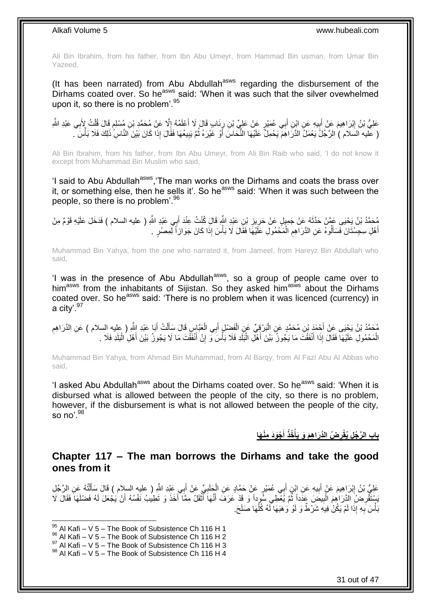Ali Bin Ibrahim, from his father, from Ibn Abu Umeyr, from Hammad Bin usman, from Umar Bin Yazeed,

(It has been narrated) from Abu Abdullah<sup>asws</sup> regarding the disbursement of the Dirhams coated over. So heasws said: 'When it was such that the silver ovewhelmed upon it, so there is no problem<sup>'.95</sup>

عَلِيُّ بْنُ إِبْرَاهِيمَ عَنْ أَبِيهِ عَنِ ابْنِ أَبِي عُمَيْرٍ عَنْ عَلِيٍّ بْنِ رِئَابٍ قَالَ لَا أَعْلَمُهُ إِلَّا عَنْ مُحَمَّدٍ بْنِ مُسْلِمٍ قَالَ قُلْتُ لِأَبِي عَبْدِ اللَّهِ ِ َ ₹, َ  $\frac{1}{2}$ َ ِ **∶** ْ م<br>وا ( عَليه السَلام ) الرَّجُلُ يَعْمَلُ الدَّرَاهِمَ يَحْمِلُ عَلَيْهَا النُّحَاسَ أَوْ غَيْرَهُ ثُمَّ يَبِيعُهَا فَقَالَ إِذَا كَانَ بَيْنَ النَّاسِ ذَلِكَ فَلَا بَأْسَ ِ  $\ddot{\cdot}$ َ ْ

Ali Bin Ibrahim, from his father, from Ibn Abu Umeyr, from Ali Bin Raib who said, 'I do not know it except from Muhammad Bin Muslim who said,

'I said to Abu Abdullah<sup>asws</sup>, 'The man works on the Dirhams and coats the brass over it, or something else, then he sells it'. So he<sup>asws</sup> said: 'When it was such between the people, so there is no problem'.<sup>96</sup>

مُحَمَّدُ بْنُ يَحْيَى عَمَّنْ حَدَّثَهُ عَنْ جَمِيلٍ عَنْ حَرِيزِ بْنِ عَبْدِ اللَّهِ قَالَ كُنْتُ عِنْدَ أَبِي عَبْدِ اللَّهِ ( عليه السلام ) فَدَخَلَ عَلَيْهِ قَوْمٌ مِنْ<br>بَيْتَ الْمَسْلام َ ِ ِ َ أَهْلِ سِجِسْتَانَ فَسَأَلُوهُ عَنِ الذَّرَاهِمِ الْمَحْمُولِ عَلَيْهَا فَقَالَ لَا بَأْسَ إِذَا كَانَ جَوَازاً لِمِصْرٍ . ْ **ُ** َ َ ْ

Muhammad Bin Yahya, from the one who narrated it, from Jameel, from Hareyz Bin Abdullah who said,

'I was in the presence of Abu Abdullah<sup>asws</sup>, so a group of people came over to himasws from the inhabitants of Sijistan. So they asked himasws about the Dirhams coated over. So he<sup>asws</sup> said: 'There is no problem when it was licenced (currency) in a city'.<sup>97</sup>

مُحَمَّدُ بْنُ يَجْنِى عَنْ أَجْمَدَ بْنِ مُحَمَّدٍ عَنِ الْبَرْقِيِّ عَنِ الْفَضْلِ أَبِي الْعَبَّاسِ قَالَ سَأَلْتُ أَبَا عَبْدِ اللَّهِ ( عِليهِ السلام ) عَنِ الدَّرَاهِمِ ْ َ ْ ْ َ ِ َ ْ َ الْمَحْمُولِ عَلَيْهَا فَقَالَ إِذَا أَنْفَقْتَ مَا يَجُوزُ بَيْنَ أَهْلِ الْبَلَدِ فَلَا بَأْسَ َوَ إِنْ أَنْفَقْتَ مَا لَا يَجُوزُ بَيْنَ أَهْلِ الْبَلَدِ فَلَا . ِ ْ ْ َ َ ْ ْ َ

Muhammad Bin Yahya, from Ahmad Bin Muhammad, from Al Barqy, from Al Fazl Abu Al Abbas who said,

'I asked Abu Abdullah<sup>asws</sup> about the Dirhams coated over. So he<sup>asws</sup> said: 'When it is disbursed what is allowed between the people of the city, so there is no problem, however, if the disbursement is what is not allowed between the people of the city, so no'.  $98$ 

> **ْجَوَد ِمْن َها أ ُخذُ ُض الَّدَرا ِه َم َو َيأ باب ال َّر ُج ِل ُيقْر َ ْ ِ**

### <span id="page-30-0"></span>**Chapter 117 – The man borrows the Dirhams and take the good ones from it**

عَلِيُّ بْنُ إِبْرَاهِيمَ عَنْ أَبِيهِ عَنِ إِبْنِ أَبِي عُمَيْرٍ عَنْ حَمَّادٍ عَنِ الْجَلَبِيِّ عَنْ أَبِي عَنْد أَبْي عَبْدِ الثَّهِ ( عليه السلام ) قَالَ سَأَلْتُهُ عَنِ الرَّجُلِ ِ ْ اً<br>أ َ ِ ْ َ **!** َ سَتَقْرِضُ الدَّرَاهِمَ الْبِيضَ عَدَداً ثُمَّ يُعْطِي سُوداً وَ قَدْ عَرَفَ أَنَّهَا أَثْقَلُ مِمَّا أَخَذَ وَ تَطِيبُ نَفْسُهُ أَنْ يَجْعَلَ لَهُ فَضْلَهَا فَقَالَ لَا َ **ٔ** َ َ  $\ddotsc$ **!** ْ **∶** َ بَأْسَ بِهِ إِذَا لَمْ يَكُنْ فِيهِ شَرْطٌ وَ لَوْ وَهَبَهَا لَّهُ كُلَّهَا صَلَحَ. َّ **∶ ٔ** 

 $95$  Al Kafi – V 5 – The Book of Subsistence Ch 116 H 1

<sup>96</sup> Al Kafi – V 5 – The Book of Subsistence Ch 116 H 2

 $^{97}$  Al Kafi – V 5 – The Book of Subsistence Ch 116 H 3

<sup>98</sup> Al Kafi – V 5 – The Book of Subsistence Ch 116 H 4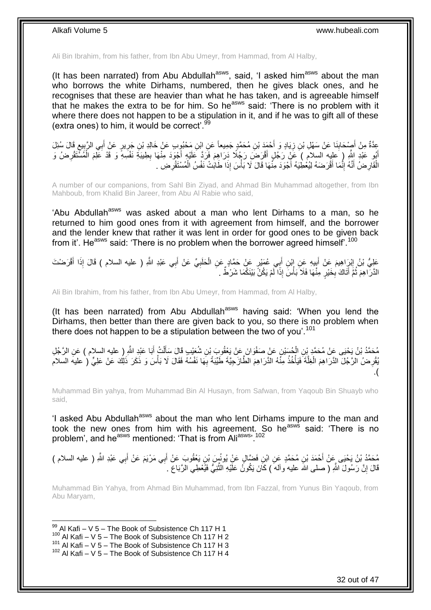Ali Bin Ibrahim, from his father, from Ibn Abu Umeyr, from Hammad, from Al Halby,

(It has been narrated) from Abu Abdullah<sup>asws</sup>, said, 'I asked him<sup>asws</sup> about the man who borrows the white Dirhams, numbered, then he gives black ones, and he recognises that these are heavier than what he has taken, and is agreeable himself that he makes the extra to be for him. So he<sup>asws</sup> said: 'There is no problem with it where there does not happen to be a stipulation in it, and if he was to gift all of these (extra ones) to him, it would be correct'. $99$ 

عِدَّةٌ مِنْ أَصِنْحَابِذَا عَنْ سَهْلِ بْنِ زِيَادٍ وَ أَحْمَدَ بْنِ مُحَمَّدٍ جَمِيعاً عَنِ ابْنِ مَحْبُوبِ عَنْ خَالِدِ بْنِ جَرِيرٍ عَنْ أَبِي الرَّبِيعِ قَالَ سُئِلَ<br>يَتَنَّذُ مِنْ أَصِنْحَابِذَا عَنْ سَهْلِ بْنِ زِيَ َ ِ ِ َ ્ર ِ َ ِ أَبُو عَبْدِ اللَّهِ ( عَلِيه السلام ) عَنِّ رَجُلٍ أَقْرَضَ رَجُلًا دَرَاهِمَ فَرَدَّ عَلَيْهِ أَجْوَدَ مِنْهَا بِطِيبَةِ نَفْسِهِ وَ قَدْ عَلِمَ الْمُسْتَقْرِضُ وَ ِ َ ِ ْ الْقَارِضُ أَنَّهُ إِنَّمَا أَقْرَضَهُ لِيُعْطِيَهُ أَجْوَدَ مِنَّهَا قَالَ لَا بَأْسَ إِذَا طَابَتْ نَفْسُ الْمُسْتَقْرِضِ . ْ ِ ْ **ٔ** َ ِ ֪֪֪֪֪֪֦֪֪֪֦֪֪֪֦֪֪֪֦֘֝֟֘֝֟֘֝֟֘֝֟֓֟֘֝֬֟֓֟֓֡֟֓֕֓֞֟֓֡֟֓֟֓֡֟֓֟֓֡֟֓֡֟֓֡֟֡֡֞֟֝֓֞֟֞֟֓֞֞֟֟ ِ

A number of our companions, from Sahl Bin Ziyad, and Ahmad Bin Muhammad altogether, from Ibn Mahboub, from Khalid Bin Jareer, from Abu Al Rabie who said,

'Abu Abdullah<sup>asws</sup> was asked about a man who lent Dirhams to a man, so he returned to him good ones from it with agreement from himself, and the borrower and the lender knew that rather it was lent in order for good ones to be given back from it'. He<sup>asws</sup> said: 'There is no problem when the borrower agreed himself'.<sup>100</sup>

عَلِيُّ بْنُ إِبْرِاهِيمَ عَنْ أَبِيهِ عَنِ إِبْنِ أَبِي عُمَيْرٍ عَنْ حَمَّادٍ عَنِ الْحَلَبِيِّ عَنْ أَبِي عَبْدِ اللَّهِ ( عليه السلام ) قَالَ إِذَا أَقْرَضْتَ َ ِ ْ َ **∣** َ ِ َ الذَّرَّ اهِمَ ثُمَّ أَثَاكَ بِخَيْرٍ ۖ مِئْهَا فَلَا ۖ بَأْسَ ۖ إِذَا لَّمْ يَكُنُّ بَيْنَكُمَا شَرْطٌ ۚ ـِ **∶** َ  $\ddot{\phantom{a}}$ 

Ali Bin Ibrahim, from his father, from Ibn Abu Umeyr, from Hammad, from Al Halby,

(It has been narrated) from Abu Abdullah<sup>asws</sup> having said: 'When you lend the Dirhams, then better than there are given back to you, so there is no problem when there does not happen to be a stipulation between the two of you'.<sup>101</sup>

َ مُحَمَّدُ بْنُ يَحْيَى عَنْ مُحَمَّدٍ بْنِ الْجُسَبْنِ عَنْ صَفْوَانَ عَنْ يَعْقُوبَ بْنِ شُعَيْبٍ قَالَ سَأَلْتُ أَبَا عَبْدِ اللَّهِ إِ عليه السلام ) عَنِ الرَّجُلِ ْ اً ا ْ يُّوْرِضُ الرَّجُلَ الدَّرَاهِمَ الْغِلَّةَ فَيَأْخُذُ مِنَّهُ الْذَرَاهِمَ الطَّازَجِيَّةَ طَيِّبَةً بِهَا نَفْسُهُ فَقَالَ لَا بَأْسَ وَ ذَكَرَ ذَلِكَ عَنْ عَلِيٍّ ( عليه السلام ِ ة<br>أ ْ ِ ْ .)

Muhammad Bin yahya, from Muhammad Bin Al Husayn, from Safwan, from Yaqoub Bin Shuayb who said,

'I asked Abu Abdullah<sup>asws</sup> about the man who lent Dirhams impure to the man and took the new ones from him with his agreement. So he<sup>asws</sup> said: 'There is no problem', and he<sup>asws</sup> mentioned: 'That is from Ali<sup>asws</sup>'.<sup>102</sup>

مُحَمَّدُ بْنُ يَحْيَى عَنْ أَحْمَدَ بْنِ مُحَمَّدٍ عَنِ ابْنِ فَضَّالٍ عَنِْ يُونُسٍّ بْنِ يَعْقُوبَ عَنْ أَبِي مَرْيَمَ عَنْ أَبِي عَبْدِ اللَّهِ ( عليه السلام ) َ َ َ قَالَ إِنَّ رَسُولَ اللَّهِ ( صلى الله عليه وآلمهَ ) كَانَ يَكُونُ عَلَيْهِ النَّنْبِيُّ فَيُعْطِي الرَّبَاعَ . ِ َّ

Muhammad Bin Yahya, from Ahmad Bin Muhammad, from Ibn Fazzal, from Yunus Bin Yaqoub, from Abu Maryam,

1  $99$  Al Kafi – V 5 – The Book of Subsistence Ch 117 H 1  $100$  Al Kafi – V 5 – The Book of Subsistence Ch 117 H 2 101 Al Kafi – V 5 – The Book of Subsistence Ch 117 H 3  $102$  Al Kafi – V 5 – The Book of Subsistence Ch 117 H 4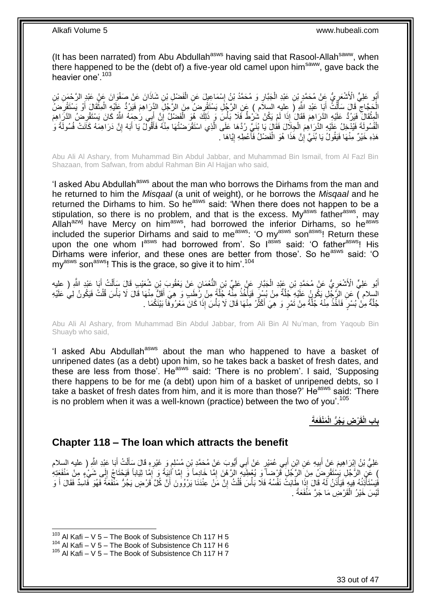(It has been narrated) from Abu Abdullah<sup>asws</sup> having said that Rasool-Allah<sup>saww</sup>, when there happened to be the (debt of) a five-year old camel upon him<sup>saww</sup>, gave back the heavier one<sup>' 103</sup>

أَبُو عَلِيٍّ الْأَشْعَرِيُّ عِنْ مُحَمَّدٍ بْنِ عَبْدِ الْجَبَّارِ وَ مُحَمَّدُ بْنُ إِسْمَاعِيلَ عَنِ الْفَضْلِ بْنِ شَاذَانَ عَنْ صَفْوَانَ عَنْ عَبْدِ الرَّحْمَنِ بْنِ ْ ِ ِ ْ Į. الْجَجَّاجِ قَالَ سَأَلْتُ أَبَا عَبْدِ اللَّهِ (َ عِليهِ السلاَمِ ) عَنِ الرَّجُلِ يَسْتَقْرِضُ مِنَ الرَّجُلِ الْإِرَاهِمَ فَيَرُدُّ عَلَيْهِ الْمِثْقَالَ أَوْ يَسْتَقْرِضُ ِ َ ْ َ ِ ِ َ **ٔ** ْ الْمِثْقَالَ ۚ فَيَرُدُّ عَلَيْهِ الدَّرَاهِمَ فَقَالَ ٰإِذَا لَمْ يَكُنُ شُزْطٌ فَلَا بَأْسٍ وَ ذَلِكَ هُوَ الْفَضْلُ إِنَّ أَبِي رَحْمَةُ اللَّهُ كَانَ يَسْتَقْرِضَ الذَّرِّاهِمَ ْ ْ ِ َ  $\frac{1}{2}$ ْ ْ الْفُسُولَةَ فَيُدْخِلُ عَلَيْهِ الذَّرَاهِمَ الْجِلَالَ فَقَالٍَ يَا بُنَيِّ رُدَّهَا عَلَى الَّذِي اسْتَقْرَضْتُهَا مِنْهُ فَأَقُولُ يَا أَبَهْ إِنَّ دَرَاهِمَهُ كَاَنَتْ فُسُولَةً وَ َّ ْ ْ ِ َ هَذِهِ خَيْرٌ مِنْهَا فَيَقُولُ يَا بُنَيَّ إِنَّ هَذَا هُوَ الْفَضْلُ فَأَعْطِهِ إِيَّاهَا . **ְן** ۔<br>ا ْ ِ

Abu Ali Al Ashary, from Muhammad Bin Abdul Jabbar, and Muhammad Bin Ismail, from Al Fazl Bin Shazaan, from Safwan, from abdul Rahman Bin Al Hajjan who said,

'I asked Abu Abdullah<sup>asws</sup> about the man who borrows the Dirhams from the man and he returned to him the *Misqaal* (a unit of weight), or he borrows the *Misqaal* and he returned the Dirhams to him. So he<sup>asws</sup> said: 'When there does not happen to be a stipulation, so there is no problem, and that is the excess. My<sup>asws</sup> father<sup>asws</sup>, may Allah<sup>azwj</sup> have Mercy on him<sup>asws</sup>, had borrowed the inferior Dirhams, so he<sup>asws</sup> included the superior Dirhams and said to me<sup>asws</sup>: 'O my<sup>asws</sup> son<sup>asws</sup>! Return these upon the one whom lasws had borrowed from'. So lasws said: 'O father<sup>asws</sup>! His Dirhams were inferior, and these ones are better from those'. So he<sup>asws</sup> said: 'O  $mv<sup>asws</sup>$  son<sup>asws</sup>! This is the grace, so give it to him<sup>'.104</sup>

أَبُو عَلِيٍّ الْأَشْعَرِيُّ عَنْ مُحَمَّدٍ بْنِ عَبْدِ الْجَبَّارِ عَنْ عَلِيٍّ بْنِ النُّعْمَانِ عَنْ يَعْقُوبَ بْنِ شُعَيْبِ قَالَ سَأَلْتُ أَبَا عَبْدِ اللَّهِ ( عليه **∶** ْ ِ َ ْ اً<br>أ السلام ) عَنِ الرَّجْلِ يَكُونُ عَلَيْهِ جُلَّةٌ مِنْ بُسْرٍ فَيَأْخُذُ مِثَّهُ جُلَّةً مِنْ رُطَبٍ وَ هِيَ أَقَلُّ مِنْهَا قَالَ لَا بَأْسَ قُلْتُ فَيَكُونُ لِي عَلَيْهِ َّ ا<br>ا َّ ْ ْ َ جُلَّةٌ مِنْ بُسْرٍ ۖ فَاَخَذُ مِنْهُ جُلَّةً مِنْ نَمْرٍ وَ هِيَ أَكْثَرُ مِنْهَا قَالَ لَا بَأْسَ إِذَا كَانَ مَعْرُوفًا بَيْنَكُمَا . ْ َ َّ

Abu Ali Al Ashary, from Muhammad Bin Abdul Jabbar, from Ali Bin Al Nu'man, from Yaqoub Bin Shuayb who said,

'I asked Abu Abdullah<sup>asws</sup> about the man who happened to have a basket of unripened dates (as a debt) upon him, so he takes back a basket of fresh dates, and these are less from those'. He<sup>asws</sup> said: 'There is no problem'. I said, 'Supposing there happens to be for me (a debt) upon him of a basket of unripened debts, so I take a basket of fresh dates from him, and it is more than those?' He<sup>asws</sup> said: 'There is no problem when it was a well-known (practice) between the two of you'.<sup>105</sup>

**َعةَ َمْنفَ ْر ِض َي ُج ُّر الْ باب الْقَ**

### <span id="page-32-0"></span>**Chapter 118 – The loan which attracts the benefit**

عَلِيُّ بْنُ إِبْرَاهِيمَ عَنْ أَبِيهِ عَنِ ابْنِ أَبِي عُمَيْرٍ عَنْ أَبِي أَيُّوبَ عَنْ مُحَمَّدِ بْنِ مُسْلِمٍ وَ غَيْرِهِ قَالَ سَأَلْتُ أَبَا عَبْدِ اللَّهِ ( عليه السلام ِ ֧֖֚֚֚֚֚֚֚֚֚֓֝֬ َ َ َ **!** ِ َ ْ َ ِ ) عَنِ الرَّجُلِ بَسْتَقْرِضُ مِنَ الرَّجُلِ قَرْضاً وَ يُعْطِيَهِ الرَّهْنَ إِمَّا خَادِماً وَ إِمَّا أَنِيَةً وَ إِمَّا نَيْباباً فَيَحْتَاجُ إِلَى شَيْءٍ مِنْ مَنْفَعَتِهِ ِ ِ ِ ِ فَيَسْتَأْذِنُهُ فِيهٍ فَيَأْذَنُ لَهُ قَالَ إِذَا طَابَتْ نَفْسُهُ فَلَا بَأْسَ قُلْتُ إِنَّ مَنْ عِنْدَنَا يَرْوُونَ أَنَّ كُلَّ قَرْضٍ يَجُرُّ مَنْفَعَةً فَهُوَ فَاسِدٌ فَقَالَ أَ وَ ا:<br>ا ا<br>ا َ ِ ْ **ٔ** َ يْسَ خَيْرُ الْقَرْضِ مَا جَرَّ مَنْفَعَةً . ْ لَ

 $103$  Al Kafi – V 5 – The Book of Subsistence Ch 117 H 5

<sup>104</sup> Al Kafi – V 5 – The Book of Subsistence Ch 117 H 6

 $105$  Al Kafi – V 5 – The Book of Subsistence Ch 117 H 7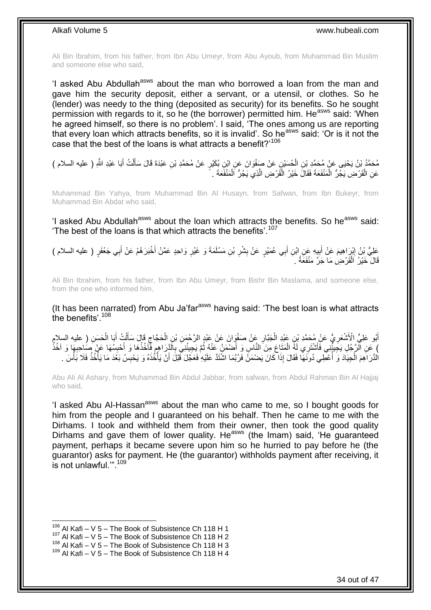Ali Bin Ibrahim, from his father, from Ibn Abu Umeyr, from Abu Ayoub, from Muhammad Bin Muslim and someone else who said,

'I asked Abu Abdullah<sup>asws</sup> about the man who borrowed a loan from the man and gave him the security deposit, either a servant, or a utensil, or clothes. So he (lender) was needy to the thing (deposited as security) for its benefits. So he sought permission with regards to it, so he (the borrower) permitted him. He<sup>asws</sup> said: 'When he agreed himself, so there is no problem'. I said, 'The ones among us are reporting that every loan which attracts benefits, so it is invalid'. So he<sup>asws</sup> said: 'Or is it not the case that the best of the loans is what attracts a benefit?'<sup>106</sup>

َوا َن َع ِن َع ْن َصفْ ح َسْي ِن ال َبا َعْبِد ََّّللا م َح َّم د ْب ن َي ْحَيى َع ْن م َح َّمِد ْب ِ ) عليه السالم ( ت أ ل ِن َعْبَدَة َقا َل َسأ ٍر َع ْن م َح َّمِد ْب ِن ب َكْي ِن اْب ْ َ ْ َ عَنِ الْقَرْضِ يَجُرُّ الْمَنْفَعَةَ فَقَالَ خَيْرُ الْقَرْضِ الَّذِي يَجُرُّ اَلْمَنْفَعَةَ . ْ َّ ֺ֦֦֦֦֦֦֦֦֦֩֝֟֝֟֘֝֟֝֟֟֟֟֟֟֜֟֟֜֟֟֟֓֞֞ ْ ْ

Muhammad Bin Yahya, from Muhammad Bin Al Husayn, from Safwan, from Ibn Bukeyr, from Muhammad Bin Abdat who said,

'I asked Abu Abdullah<sup>asws</sup> about the loan which attracts the benefits. So he<sup>asws</sup> said: 'The best of the loans is that which attracts the benefits'.<sup>107</sup>

ِي ب ِن أ ي ِه َع ِن اْب ب َم َع ْن أ ْب َرا ِهي ٍر َعلِ ُّي ْب ن إ ) عليه السالم ( ِي َج ْعَف ب ْخَب َر ه ْم َع ْن أ َوا ِحٍد َع َّم ْن أ َمَة َو َغْير ِن َم ْسلَ ْب ْشر ٍر َع ْن ب ع َمْي َ **!** َ ِ َ َ ِ **∶ ∣** قَالَ خَيْرُ اَلْقَرْضِ مَا جَرَّ مَنْفَعَةً . ْ

Ali Bin Ibrahim, from his father, from Ibn Abu Umeyr, from Bishr Bin Maslama, and someone else, from the one who informed him,

(It has been narrated) from Abu Ja'far<sup>asws</sup> having said: 'The best loan is what attracts the benefits'.<sup>108</sup>

أَبُو عَلِيٍّ الْأَشْعَرِيُّ عَنْ مُحَمَّدِ بْنِ عَنْدِ الْجَبَّارِ عَنْ صَفْوَانَ عَنْ عَبْدٍ الرَّحْمَنِ بْنِ الْحَجَّاجِ قَالَ سَأَلْتُ أَبَا الْحَسَنِ ( عليه السلامِ ْ **ٍ** ْ **∶** ْ َ ْ ĺ  $\zeta$ ) عَنِ الْزَّجُلِ يَجِيئُنِي فَأَشْتَرِي لَهُ الْمَتَاعَ مِنَ النَّاسِ وَ أَضْمَنُ عَنْهُ ثُمَّ يَجِيئُنِيَّ بِالَّذِرَاهِمِ فَأَخُذُهَا وَ أَخِسِبُهَا عَنْ صَاحِبِهَا وَ آخُذُ<br>نَقَّتْ الْزَجُلِ يَجِيئُنِي فَأَشْتَرِي بَع ِ ِ  $\ddot{\phantom{a}}$ ْ َ ِ **∶** َ الدَّرَ اَهِمَ الْجِيَادَ وَ أُعْطِي دُونَهَا فَقَالَ إِذَا كَانَ يَضْمَنَۢ فَرُبَّمَا اشْتَدَّ عَلَيْهِ فَعَجَّلَ قَبْلَ أَنْ يَأْخُذَهُ وَ يَحْبِسُ بَعْدَ مَا يَأْخُذُ فَلَا بَأْسَ . j ْ ِ ْ َ **ٔ ٔ** 

Abu Ali Al Ashary, from Muhammad Bin Abdul Jabbar, from safwan, from Abdul Rahman Bin Al Hajjaj who said,

'I asked Abu Al-Hassan<sup>asws</sup> about the man who came to me, so I bought goods for him from the people and I guaranteed on his behalf. Then he came to me with the Dirhams. I took and withheld them from their owner, then took the good quality Dirhams and gave them of lower quality. He<sup>asws</sup> (the Imam) said, 'He guaranteed payment, perhaps it became severe upon him so he hurried to pay before he (the guarantor) asks for payment. He (the guarantor) withholds payment after receiving, it is not unlawful.'". 109

 $106$  Al Kafi – V 5 – The Book of Subsistence Ch 118 H 1

 $107$  Al Kafi – V 5 – The Book of Subsistence Ch 118 H 2

 $108$  Al Kafi – V 5 – The Book of Subsistence Ch 118 H 3

 $109$  Al Kafi – V 5 – The Book of Subsistence Ch 118 H 4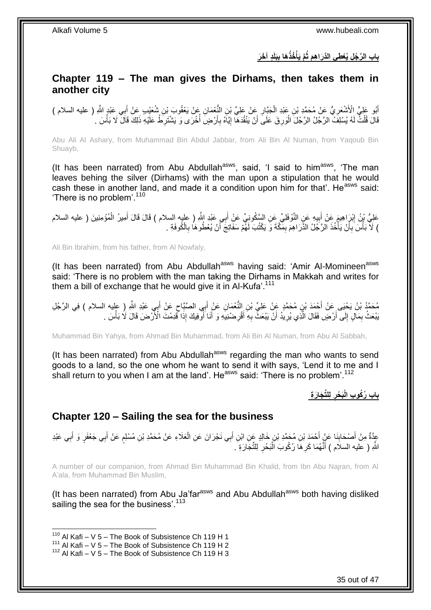**َبلَ باب ال ٍد آ َخ َر َها ب ُخذُ َّم َيأ َّر ُج ِل ُيْع ِطي الَّدَرا ِه َم ثُ ِ ْ**

### <span id="page-34-0"></span>**Chapter 119 – The man gives the Dirhams, then takes them in another city**

أَبُو عَلِيٍّ الْأَشْعَرِيُّ عَنْ مُحَمَّدِ بْنِ عَبْدِ الْجَبَّارِ عَنْ عَلِيِّ بْنِ النُّعْمَانِ عَنْ يَعْقُوبَ بْنِ شُعَيْبِ عَنْ أَبِي عَبْدٍ الشَّهِ ( عليه السلام )<br>وَأَبُو يَبْلَى الْأَشْعَرِيُّ عَنْ مُحَمَّدِ بْنِ **∶** ْ ِ َ َ قَالَ قُلْتٌ لَهُ يُسْلِفُ الرَّجُلُ الرَّجُلَ الْوَرِ قَ عَلَى أَنْ يَنْقُدَهَا إِيَّاهُ بِأَرْضٍ أُخْرَى وَ يَشْتَرِطُ عَلَيْهِ ذَلِكَ قَالَ لَا بَأْسَ . ِ j َ **∶** ِ اُ ِ ْ ْ ْ

Abu Ali Al Ashary, from Muhammad Bin Abdul Jabbar, from Ali Bin Al Numan, from Yaqoub Bin Shuayb,

(It has been narrated) from Abu Abdullah<sup>asws</sup>, said, 'I said to him<sup>asws</sup>, 'The man leaves behing the silver (Dirhams) with the man upon a stipulation that he would cash these in another land, and made it a condition upon him for that'. He<sup>asws</sup> said: 'There is no problem'.<sup>110</sup>

عَلِيُّ بْنُ إِبْرَاهِيمَ عَنْ أَبِيهِ عَنِ النَّوْفَلِيِّ عَنِ السَّكُونِيِّ عَنْ أَبِي عَنْدِ اللَّهِ ( عليه<br>عَلِيُّ بْنُ إِبْرَاهِيمَ عَنْ أَبِيهِ عَنِ النَّوْفَلِيِّ عَنِ السَّكُونِيِّ عَنْ أَبِي عَنْدِ اللَّهِ ( عليه َ ِ َ ِ ْ ) لَاَّ بَأْسَ بِأَنْ يَأْخُذَ الرَّجُلُ الذَّرَاهِمَ بِمَكَّةَ وَ يَكْتُبَ لَهُمْ سَفَاتِجَ أَنْ يُعْطُوهَا بِالْكُوفَةِ . ِ َ ِ ا<br>ا ز<br>ا **∶** .<br>ا

Ali Bin Ibrahim, from his father, from Al Nowfaly,

(It has been narrated) from Abu Abdullah<sup>asws</sup> having said: 'Amir Al-Momineen<sup>asws</sup> said: 'There is no problem with the man taking the Dirhams in Makkah and writes for them a bill of exchange that he would give it in  $Al-Kufa'$ .<sup>111</sup>

مُحَمَّدُ بْنُ يَحْيَى عَنْ أَحْمَدَ بْنِ مُحَمَّدٍ عَنْ عَلِيِّ بْنِ النُّعْمَانِ عَنْ أَبِي الصَّنَّاحِ عَنْ أَبِي عَبْدِ اللَّهِ ( عليه السلام ) فِي الرَّجُلِ َ ્ َ َبْعَثُ بِمَالٍ إِلَى أَرْضٍ فَقَالَ الَّذِي يُرِيدُ أَنْ يَبْعَثُ بِهِ أَقْرِضنْنِيَهِ وَ أَنَا أَوْفِيكَ إِذَا قَدِمْتَ الْأَرْضَ قَالَ لَا بَأْسَ . Ĩ َ ِ َ ِ َ **∶** َّ اً  $\frac{1}{2}$ ِ ْ

Muhammad Bin Yahya, from Ahmad Bin Muhammad, from Ali Bin Al Numan, from Abu Al Sabbah,

(It has been narrated) from Abu Abdullah<sup>asws</sup> regarding the man who wants to send goods to a land, so the one whom he want to send it with says, 'Lend it to me and I shall return to you when I am at the land'. He<sup>asws</sup> said: 'There is no problem'.<sup>112</sup>

> **لِلِّت َجا َر ِة َب ْحر باب ُر ُكو ِب الْ ِ**

### <span id="page-34-1"></span>**Chapter 120 – Sailing the sea for the business**

عِدَّةٌ مِنْ أَصْحَابِنَا عَنٍْ أَحْمَدَ بْنِ مُحَمَّدِ بْنِ خَالِدٍ عَنِ ابْنِ أَبِي نَجْرَانَ عَنِ الْعَلَاءِ عَنْ مُحَمَّدِ بْنِ مُسْلِمٍ عَنْ أَبِي جَعْفَرٍ وَ أَبِي عَبْدِ ْ َ َ **∣** َ ِ َ َ ֧֖֖֖֧֧֖֧֧֧֧֧ׅ֧֧֧֧֧֚֚֚֚֓֝֝֝֝֟֓֟֓֝֬֝֓֝֓֝֬֟֓֟֓֟֓֟֓֝֬֝֬֝֓֝֬֜֓֝֬֝֓֝֬֝֬֝ اللَّهِ ( عليه السلام ) أَنَّهُمَا كَرِ هَا رُكُوبَ اَلْبَحْرِ لِلتِّجَارَةِ ۖ. ِ :<br>ا ِ

A number of our companion, from Ahmad Bin Muhammad Bin Khalid, from Ibn Abu Najran, from Al A'ala, from Muhammad Bin Muslim,

(It has been narrated) from Abu Ja'far<sup>asws</sup> and Abu Abdullah<sup>asws</sup> both having disliked sailing the sea for the business'.<sup>113</sup>

 $110$  Al Kafi – V 5 – The Book of Subsistence Ch 119 H 1

 $111$  Al Kafi – V 5 – The Book of Subsistence Ch 119 H 2

 $112$  Al Kafi – V 5 – The Book of Subsistence Ch 119 H 3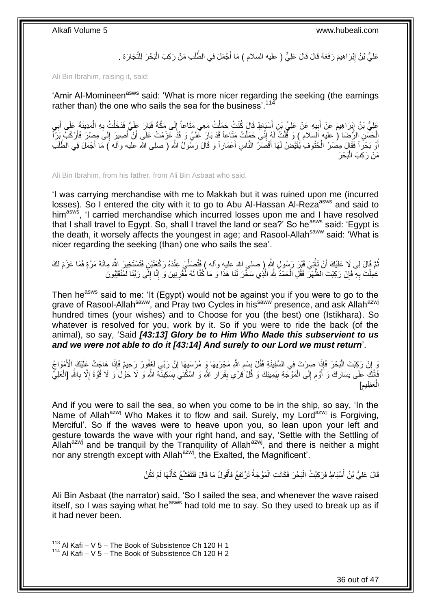عَلِيُّ بْنُ إِبْرَاهِيمَ رَفَعَهُ قَالَ قَالَ عَلِيٌّ ( عليه السلام ) مَا أَجْمَلَ فِي الطَّلَبِ مَنْ رَكِبَ الْبَحْرَ لِلثَّجَارَةِ . ْ َ ِ

Ali Bin Ibrahim, raising it, said:

'Amir Al-Momineen<sup>asws</sup> said: 'What is more nicer regarding the seeking (the earnings rather than) the one who sails the sea for the business'.<sup>114</sup>

عَلِيُّ بْنُ إِبْرَاهِيمَ عَنْ أَبِيهِ عَنْ عَلِيٍّ بْنِ أَسْبَاطٍ قَالَ كُنْتُ حَمَلْتُ مَعِي مَثَاعاً إِلَى مَكَّةَ فَبَارَ عَلَيَّ فَدَخَلْتُ بِهِ الْمَدِينَةَ عَلَى أَبِي  $\frac{1}{2}$ ْ َ **!** َ ِ ِ َ ْ **∶** ْ الْحَسَنِ الرِّحْمَا ( عليه السلام ) وَ قُلْتُ لَهُ إِنِّي حَمَلْتُ مَنَاعاً قَدْ بَارَ عَلَيَّ وَ قَذْ عَزَمْتُ عَلَى أَنْ أُصِيرَ إِلَى مِصْرَ فَأَرْكَبُ بَرَّأَ ْ ِ ْ ْ أ ِ َ َ أَوْ بَحْراً فَقَالَ مِصْرُ الْحُتُوف ٰ يُقَيَّصْ لَهَا أَقْصَدُ النَّاسِ أَعْمَاراً وَ قَالَ رَسُولُ اللَّهِ ( صلى الله عليه وألَه ) مَا أَجْمَلَ فِي الطَّلَبِ َ َ َ َ ْ مَنْ رَكِبَ الْبَحْرَ

Ali Bin Ibrahim, from his father, from Ali Bin Asbaat who said,

'I was carrying merchandise with me to Makkah but it was ruined upon me (incurred losses). So I entered the city with it to go to Abu Al-Hassan Al-Reza<sup>asws</sup> and said to him<sup>asws</sup>, 'I carried merchandise which incurred losses upon me and I have resolved that I shall travel to Egypt. So, shall I travel the land or sea?' So he<sup>asws</sup> said: 'Egypt is the death, it worsely affects the youngest in age; and Rasool-Allah<sup>saww</sup> said: 'What is nicer regarding the seeking (than) one who sails the sea'.

نُّمَّ قَالَ لِي لَا عَلَيْكَ أَنْ تَأْتِيَ قَيْرَ رَسُولِ إِللَّهِ رِاحسلي اللهِ عليهِ وآله ) فَتُصَلِّيَ عِنْدَهُ رَكْعَتَيْنِ فَتَسْتَخِيرَ اللَّهَ مِائَةَ مَرَّةٍ فَمَا عَزَمَ لَكَ ِّ ْ اُ عَمِلْتَ بِهِ ۖ فَإِنْ رَكِبْتَ الظَّهْرَ فَقُلِ الْحَمْدُ شَّهِ الَّذِي سَخَّرَ لَنَا هَذَا وَ مَا كُنَّا لَهُ مِّقْرِنِينَ وَ إِنَّا إِلَى رَبِّنَا لَمُنْقَلِبُونَ **ٍ** َّ ْ ِ **∶** ِ ِ

Then he<sup>asws</sup> said to me: 'It (Egypt) would not be against you if you were to go to the grave of Rasool-Allah<sup>saww</sup>, and Pray two Cycles in his<sup>saww</sup> presence, and ask Allah<sup>azwj</sup> hundred times (your wishes) and to Choose for you (the best) one (Istikhara). So whatever is resolved for you, work by it. So if you were to ride the back (of the animal), so say, 'Said *[43:13] Glory be to Him Who Made this subservient to us and we were not able to do it [43:14] And surely to our Lord we must return*'.

وَ إِنْ رَكِبْتَ الْبَحْرَ فَإِذَا صِرْتَ فِي السَّفِيذَةِ فَقُلْ بِسْمِ اللَّهِ مَجْرَيهَا وَ مُرْسَيهَا إِنَّ رَبِّي لَغَفُورٌ رَحِيمٌ فَإِذَا هَاجَتْ عَلَيْكَ الْأَمْوَاجُ ِ ِ **∣** :<br>ا ِ فَاتَّكِ عَلَى يَسَارِكَ وَ أَوْم إِلَى الْمَوْجَةِ بِيَمِينِكَ وَ قُلْ قِرِّي بِقَرَارِ اللَّهِ وَ اسْكُنِيَ بِسَكِينَةِ اللَّهِ وَ لَا حَوْلَ وَ لَا قُوَّةَ إِلَّا بِاللَّهِ [الْعَلِي ِ **∶** ِ ْ ِ ِ ِ ْ ِ ِ العَظِيم] ْ **ُ** 

And if you were to sail the sea, so when you come to be in the ship, so say, 'In the Name of Allah<sup>azwj</sup> Who Makes it to flow and sail. Surely, my Lord<sup>azwj</sup> is Forgiving, Merciful'. So if the waves were to heave upon you, so lean upon your left and gesture towards the wave with your right hand, and say, 'Settle with the Settling of Allah $a^{2x}$  and be tranquil by the Tranquility of Allah $a^{2x}$ , and there is neither a might nor any strength except with Allah<sup>azwj</sup>, the Exalted, the Magnificent'.

> قَالَ عَلِيُّ بْنُ أَسْبَاطٍ فَرَكِبْتُ الْبَحْرَ فَكَانَتِ الْمَوْجَةُ تَرْتَفِعُ فَأَقُولُ مَا قَالَ فَتَتَقَشَّعُ كَأَنَّهَا لَمْ تَكُنْ َ َ ْ ْ اُ،

Ali Bin Asbaat (the narrator) said, 'So I sailed the sea, and whenever the wave raised itself, so I was saying what he<sup>asws</sup> had told me to say. So they used to break up as if it had never been.

 $113$  Al Kafi – V 5 – The Book of Subsistence Ch 120 H 1  $114$  Al Kafi – V 5 – The Book of Subsistence Ch 120 H 2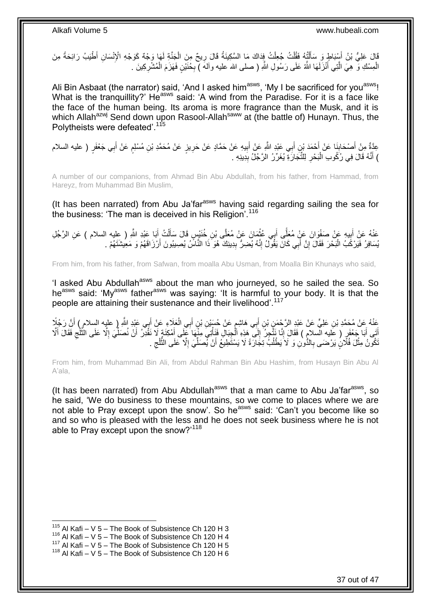قَالَ عَلِيُّ بْنُ أَسْبَاطٍ وَ سَأَلْتُهُ فَقُلْتُ جُعِلْتُ فِذَاكَ مَا السَّكِينَةُ قَالَ رِيحٌ مِنَ الْجَنَّةِ لَهَا وَجْهٌ كَوَجْهِ الْإِنْسَانِ أَطْيَبُ رَائِحَةً مِنَ<br>أَمْرِ دَوْيَةٍ مِنْ أَسْبَاطٍ وَ سَأَلْتُهُ فَق ْ **∶** ْ ْ ْ َ الْمِسْكِ وَّ هِيَ الَّذِي أَنْزَلَهَا اللَّهُ عَلَى رَسُولِ اللَّهِ ( صلى الله عليه وألهَ ) بِخُنَيْنٍ فَهَزَمَ الْمُشْرِكِينَ . ْ ِ ْ ِ َ َّ

Ali Bin Asbaat (the narrator) said, 'And I asked him<sup>asws</sup>, 'My I be sacrificed for you<sup>asws</sup>! What is the tranquillity?' He<sup>asws</sup> said: 'A wind from the Paradise. For it is a face like the face of the human being. Its aroma is more fragrance than the Musk, and it is which Allah<sup>azwj</sup> Send down upon Rasool-Allah<sup>saww</sup> at (the battle of) Hunayn. Thus, the Polytheists were defeated'.<sup>115</sup>

عِدَّةٌ مِنْ أَصْحَابِذَا عَنْ أَحْمَدَ بْنِ أَبِي عَبْدِ اللَّهِ عَنْ إِيهِ عَنْ حَمَّادٍ عَنْ حَرِيزٍ عَنْ مُحَمَّدِ بْنِ مُسْلِمٍ عَنْ أَبِي جَعْفَرٍ ( عليه السلام َ **∶** َ ٍ ِ ِ َ **∣** ) أَنَّهُ قَالَ فِي رُكُوبِ الْبَحْرِ لِلثَّجَارَةِ يُغَرِّرُ الرَّجُلُ بِدِينِهِ . **∣** ِ ْ َ

A number of our companions, from Ahmad Bin Abu Abdullah, from his father, from Hammad, from Hareyz, from Muhammad Bin Muslim,

(It has been narrated) from Abu Ja'far<sup>asws</sup> having said regarding sailing the sea for the business: 'The man is deceived in his Religion'.<sup>116</sup>

عَنْهُ عَنْ أَبِيهِ عَنْ صَفْوَانَ عَنْ مُعَلَّى أَبِي عُثْمَانَ عَنْ مُعَلَّى بْنِ خُنَيْسٍ قَالَ سَأَلْتُ أَبَا عَبْدِ اللَّهِ ( عِليه السلام ) عَنِ الرَّجُلِ َ ْ َ ْ َ  $-63$ Î ِ َ يُسَافِرُ فَيَرْكَبُ الْبَحْرَ فَقَالَ إِنَّ أَبِي كَانَ يَقُولُ إِنَّهُ يُضِرُّ بِدِينِكَ هُوَ ذَا النَّاسُ يُصِيبُونَ أَرْزَاقَهُمْ وَ مَعِيشَتَهُمْ . ِ ِ َ ِ <u>ّا</u> َ

From him, from his father, from Safwan, from moalla Abu Usman, from Moalla Bin Khunays who said,

'I asked Abu Abdullah<sup>asws</sup> about the man who journeyed, so he sailed the sea. So he<sup>asws</sup> said: 'My<sup>asws</sup> father<sup>asws</sup> was saying: 'It is harmful to your body. It is that the people are attaining their sustenance and their livelihood'.<sup>117</sup>

ِي ب َعَالِء َع ْن أ ِي ال ب ِن أ ِن ْب َع ْن ح َسْي ِي َها ِشم ب ِن أ ِن ْب ِن َعلِ ٍّي َع ْن َعْبِد ال َّر ْح َم ه َع ْن م َح َّمِد ْب َّن َر جًال َعن َعْبِد ْ ََّّللاِ ) عليه السالم ( أ َ ْ َ ֧֚֚֚֚֚֚֚֚֚֝֝֘֝֘֝׆֧ َ َ اَّتَى أَبَا جَعْفَرٍ ( عَليه الْسلامِ ) فَقَالَ إِنَّا نَتَّجِزُ إِلَى هَذِهِ الْجِبَالِ فَنَأْتِيَ مِنْهَا غَلَى أَمْكِنَةٍ لَا نَقْدَرُ أَنْ نُصَلِّيَ إِلَّا عَلَى النَّلْج فَقَالَ أَلَّا َ **ٔ** ْ ِ ِ َ َ ِ َّ ِ ِّ َ ْكُونُ مِثْلَ فُلَانٍ يَرْضَى بِالذُّونِ وَ لَا يَطْلُبُ تِجَارَةَ لَا يَسْتَطِيعُ أَنْ يُصَلِّيَ إِلَّا عَلَى الثَّلْجِ . **ٔ** ِ ة<br>-ا<br>ا ِّ َ ĺ **∶** 

From him, from Muhammad Bin Ali, from Abdul Rahman Bin Abu Hashim, from Husayn Bin Abu Al A'ala,

(It has been narrated) from Abu Abdullah<sup>asws</sup> that a man came to Abu Ja'far<sup>asws</sup>, so he said, 'We do business to these mountains, so we come to places where we are not able to Pray except upon the snow'. So he<sup>asws</sup> said: 'Can't you become like so and so who is pleased with the less and he does not seek business where he is not able to Pray except upon the snow?'<sup>118</sup>

 $115$  Al Kafi – V 5 – The Book of Subsistence Ch 120 H 3

 $116$  Al Kafi – V 5 – The Book of Subsistence Ch 120 H 4

<sup>117</sup> Al Kafi – V 5 – The Book of Subsistence Ch 120 H 5

 $118$  Al Kafi – V 5 – The Book of Subsistence Ch 120 H 6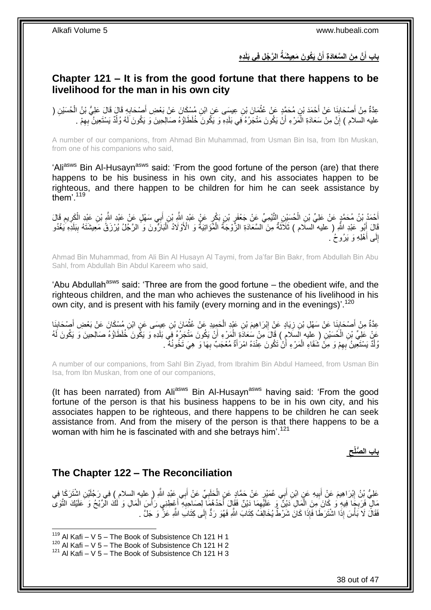بِابِ أَنَّ مِنَ السَّعَادَةِ أَنْ يَكُونَ مَعِيشَةُ الرَّجُلِ فِى بَلَدِهِ **َ َ** 

### <span id="page-37-0"></span>**Chapter 121 – It is from the good fortune that there happens to be livelihood for the man in his own city**

عِدَّةٌ مِنْ أَصْحَابِذَا عَنْ أَحْمَدَ بْنِ مُحَمَّدٍ عَنْ عُثْمَانَ بْنِ عِيسَى عَنِ ابْنِ مُسْكَانَ عَنْ بَعْضِ أَصْحَابِهِ قَالَ قَالَ عَلِيُّ بْنُ الْحُسَيْنِ ( **∶** َ ْ **∣** َ ْ عليه السلام ) إِنَّ مِنْ سَعَادَةِ الْمَرْءِ أَنْ يَكُونَ مَتْجَرُهُ فَبِي بَلَدِهِ وَ يَكُونَ خُلَطَاؤُهُ صَالِحِينَ وَ يَكُونَ لَهُ وُلْدٌ يَسْتَعِينُ بِهِمْ . ِ ْ ِ

A number of our companions, from Ahmad Bin Muhammad, from Usman Bin Isa, from Ibn Muskan, from one of his companions who said,

'Ali<sup>asws</sup> Bin Al-Husayn<sup>asws</sup> said: 'From the good fortune of the person (are) that there happens to be his business in his own city, and his associates happen to be righteous, and there happen to be children for him he can seek assistance by them'. $119$ 

أَحْمَدُ بْنُ مُحَمَّدٍ عَنْ عَلِيِّ بْنِ الْحُسِنِيْنِ التَّئِمِيِّ عَنْ جَعْفَرٍ بْنِ بَكْرٍ عَنْ عَبْدٍ الْق<br>يَجْمَدُ بْنُ مُحَمَّدٍ عَنْ عَلِيِّ بْنِ الْحُسِنِيْنِ التَّئِمِيِّ عَنْ جَعْفَرٍ بْنِ بَكْرٍ عَنْ عَبْدٍ اس َ ِ ْ  $\ddot{\phantom{a}}$ ِ ْ قَالَ أَبُو عَبْدِ اللَّهِ ( عليه السلَّام ) ثَلَاَّتُهُ مِنَ السَّعَادَةِ الزَّوْجَةُ الْمُؤَانِيَةُ وَ الْأَوْلَادُ اَلْبَارَٰوَنَ وَ الزَّجْلُ يُرْزَقُ مَعِيشَتَهُ بِبَلَدِهِ يَغْدُو َ ِ ْ ْ إِلَى أَهْلِهِ وَ يَرُوحُ . ا<br>ا ِ

Ahmad Bin Muhammad, from Ali Bin Al Husayn Al Taymi, from Ja'far Bin Bakr, from Abdullah Bin Abu Sahl, from Abdullah Bin Abdul Kareem who said,

'Abu Abdullah<sup>asws</sup> said: 'Three are from the good fortune  $-$  the obedient wife, and the righteous children, and the man who achieves the sustenance of his livelihood in his own city, and is present with his family (every morning and in the evenings)'.<sup>120</sup>

عِدَّةٌ مِنْ أَصْحَابِنَا عَنْ سَهْلِ بْنِ زِيَادٍ عَنْ إِبْرَاهِيمَ بْنِ عَبْدِ الْحَمِيدِ عَنْ عُثْمَانَ بْنِ عِيسَى عَنِ ابْنِ مُسْكَانَ عَنْ بَعْضِ أَصْحَابِنَا **ٔ** ْ ِ **∶ ∣** َ ِ َ عَنْ عَلِيِّ بْنِ الْكُسَيْنِ ( عِلَيْه السَلامِ ) قَالَ مِنْ سُعَادَةِ الْمَرْءِ أَنْ يَكُونَ مَتْجَرُهُ فِي بَلَدِهِ وَ يَكُونَ خُلَطَاؤُهُ صَالِحِينَ وَ يَكُونَ لَهُ<br>وَقَدَّ جَمِيعَ اللَّهُ عَلَيْهِ إِسْلامِ إِلَيْهِ ا ْ اُ ْ وُلْدٌ يَسْتَعِينُ بِهِمْ وَ مِنْ شَقَاءِ الْمَرْءِ أَنْ تَكُونَ عِنْدَهُ امْرَأَةٌ مُعْجَبٌ بِهَا وَ هِيَ تَخُونُهُ ـ ِ َ ْ ِ ْ

A number of our companions, from Sahl Bin Ziyad, from Ibrahim Bin Abdul Hameed, from Usman Bin Isa, from Ibn Muskan, from one of our companions,

(It has been narrated) from Ali<sup>asws</sup> Bin Al-Husayn<sup>asws</sup> having said: 'From the good fortune of the person is that his business happens to be in his own city, and his associates happen to be righteous, and there happens to be children he can seek assistance from. And from the misery of the person is that there happens to be a woman with him he is fascinated with and she betrays him'.<sup>121</sup>

> **ِ باب ال ُّصلْح**

### <span id="page-37-1"></span>**The Chapter 122 – The Reconciliation**

عَلِيُّ بِنُ إِبْرَاهِيمَ عَنْ أَبِيهِ عَنٍ ابْنِ أَبِي عُمَيْرٍ عَنْ حَمَّادٍ عَنِ الْحَلَبِيِّ عَنْ أَبِي عَبْدِ اللَّهِ ( عليه السلام ) فِي رَجُلَيْنِ اشْتَرَكَا فِي َ **∶** ْ َ ِ َ ِ ْ مَالٍ فَرَبِجَا فِيهِ وَ كَانَ مِنَ الْمَالِ دَيْنٌ وَ عَلَيْهِمَا دَيْنٌ فَقَالَ أَحَدُهُمَا لِصَاحِبِهِ أَعْطِنِي رَأْسَ الْمَالِ وَ لَكَ الْرَّبْحُ وَ عَلَيْكَ التَّوَى **المعلمات** َ ِ َ ِ ْ **∶** فَقَالَ لَا بَأْسَ إِذَا الْشُتَرَطَا فَإِذَا كَانَ شَرْطٌ يُخَالِفُ كِتَابَ اللَّهِ فَهُوَ رَدٍّ إِلَى كِتَابَ اللَّهِ عَنَّ ۖ وَ جَلَّ . ،<br>ا ِ

 $119$  Al Kafi – V 5 – The Book of Subsistence Ch 121 H 1

 $120$  Al Kafi – V 5 – The Book of Subsistence Ch 121 H 2

 $121$  Al Kafi – V 5 – The Book of Subsistence Ch 121 H 3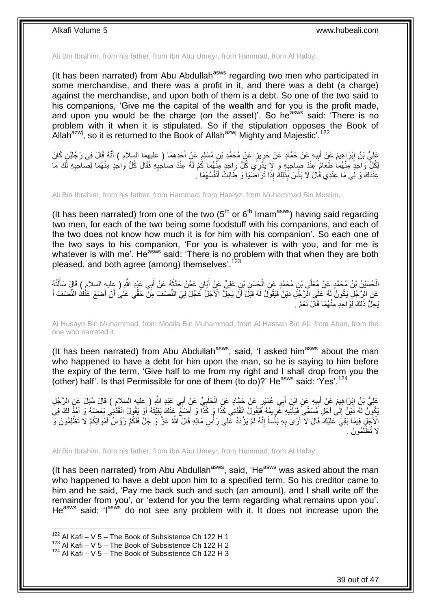Ali Bin Ibrahim, from his father, from Ibn Abu Umeyr, from Hammad, from Al Halby,

(It has been narrated) from Abu Abdullah<sup>asws</sup> regarding two men who participated in some merchandise, and there was a profit in it, and there was a debt (a charge) against the merchandise, and upon both of them is a debt. So one of the two said to his companions, 'Give me the capital of the wealth and for you is the profit made, and upon you would be the charge (on the asset)'. So he<sup>asws</sup> said: 'There is no problem with it when it is stipulated. So if the stipulation opposes the Book of Allah $a^{2xy}$ , so it is returned to the Book of Allah $a^{2xy}$  Mighty and Majestic'.<sup>122</sup>

عَلِيُّ بْنُ إِبْرَاهِيمَ عَنْ أَبِيهِ عَنْ حَمَّادٍ عَنْ حَرِيزٍ عَنْ مُحَمَّدِ بْنِ مُسْلِمٍ عَنْ أَجَدِهِمَا ( عليهما السلام ) أَنَّهُ قَالَ فِي رَجُلَيْنٍ كَانَ َ ֧׆֧ ្ន **!** َ َ لِكُلِّ وَاحِدٍ مِنْهُمَا طَعَامٍّ عِنْدَ صَاحِبِهِ وَ لَا يَذْرِي كُلُّ وَاحِدٍ مِنْهُمَا كُمْ لَهُ عِنْدَ صَاحِبِهِ فَقَالَ كُلُّ وَاحِدٍ مِنْهُمَا لِصَاحِبِهِ لَكَ مَا<br>- منذ العاملة **∶** ِ ِ عِنْدَكَ وَ لِي مَا عِنْدِي قَالَ لَا بَأْسَ بِذَلِكَ إِذَا تَرَاضَيَا وَ طَابَتْ أَنْفُسُهُمَا ۚ. َ **ٔ** 

Ali Bin Ibrahim, from his father, from Hammad, from Hareyz, from Muhammad Bin Muslim,

(It has been narrated) from one of the two  $5<sup>th</sup>$  or  $6<sup>th</sup>$  Imam<sup>asws</sup>) having said regarding two men, for each of the two being some foodstuff with his companions, and each of the two does not know how much it is for him with his companion'. So each one of the two says to his companion, 'For you is whatever is with you, and for me is whatever is with me'. He<sup>asws</sup> said: 'There is no problem with that when they are both pleased, and both agree (among) themselves'.<sup>123</sup>

الْحُسَيْنُ بْنُ مُحَمَّدٍ عَنْ مُعَلَّى بْنِ مُحَمَّدٍ عَنِ الْحَسَنِ بْنِ عَلِيٍّ عَنْ أَبَانٍ عَمَّنْ حَدَّثَهُ عَنْ أَبِي عَيْدِ اللَّهِ ( عِليهِ السلام ) قَالَ سَأَلْتُهُ َ َ ْ ْ َ عَنِ الْزِّجُلِّ يَكُونُ لَهُ عَلَى الْزَّجُلِ دَيْنٌ فَيَقُولُ لَهُ قَبْلَ أَنْ يَحِلُّ الْأَجَلُ عَجِّلْ لِيَ النِّصْفَ مِنْ حَقِّي عَلَى أَنْ أَضَعَ عَنْكَ النِّصْفَ أَ َ َ َ َ يَجِلَّ ذَٰلِكَ لِوَاحِدٍ مِنْهُمَا قَالَ نَعَمْ .

Al Husayn Bin Muhammad, from Moalla Bin Muhammad, from Al Hassan Bin Ali, from Aban, from the one who narrated it,

(It has been narrated) from Abu Abdullah<sup>asws</sup>, said, 'I asked him<sup>asws</sup> about the man who happened to have a debt for him upon the man, so he is saying to him before the expiry of the term, 'Give half to me from my right and I shall drop from you the (other) half'. Is that Permissible for one of them (to do)?' He<sup>asws</sup> said: 'Yes'.<sup>124</sup>

عَلِيُّ بْنُ إِبْرَاهِيمَ عَنْ أَبِيهِ عَنِ ابْنِ أَبِي عُمَيْرٍ عَنْ حَمَّادٍ عَنِ الْحَلَبِيِّ عَنْ أَبِي عَبْدِ اللَّهِ إِ عليه السلام ) قَالَ سُئِلَ عَنِ الرَّجُلِ َ **∶** ْ َ **!** َ ∣l<br>∶ يَكُوِنُ لَّهُ دَيْنٌ إِلَى أَجَلٍ مُسَمَّىٍ فَيَأْتِيَهِ غَرِيمُهُ فَيَقُولُ انْقُدْنِي كَذَا وَ أَصَعَ عَنْكَ بِقِيَّتَهُ أَوْ يَقُولُ انْقُدْنِي وَمَحْبَهُ وَ أَمَدُّ لَكَ فِي َ  $\frac{1}{2}$ َ َ َ ្រុ لَ الْأَجَلِّ فِيمَا بَقِيَ عَلَيْكَ قَالَ لَا أَرَى بِهِ بَأْساً إِنَّهُ لَمْ يَزْدَدْ عَلَى رَأْسِ مَالِّهِ قَالَ اللَّهُ عَزَّ وَ جَلَّ فَلَكُمْ رُؤُسُ أَمْوالِكُمْ لَا تَظْلِمُونَ وَّ ْ **ְוּ** ر<br>ا **∶** َ َ مو َن . لا تُظْلَ

Ali Bin Ibrahim, from his father, from Ibn Abu Umeyr, from Hammad, from Al Halby,

(It has been narrated) from Abu Abdullah $a<sup>asws</sup>$ , said, 'He $a<sup>asws</sup>$  was asked about the man who happened to have a debt upon him to a specified term. So his creditor came to him and he said, 'Pay me back such and such (an amount), and I shall write off the remainder from you', or 'extend for you the term regarding what remains upon you'. He<sup>asws</sup> said: 'l<sup>asws</sup> do not see any problem with it. It does not increase upon the

 $122$  Al Kafi – V 5 – The Book of Subsistence Ch 122 H 1

 $123$  Al Kafi – V 5 – The Book of Subsistence Ch 122 H 2

 $124$  Al Kafi – V 5 – The Book of Subsistence Ch 122 H 3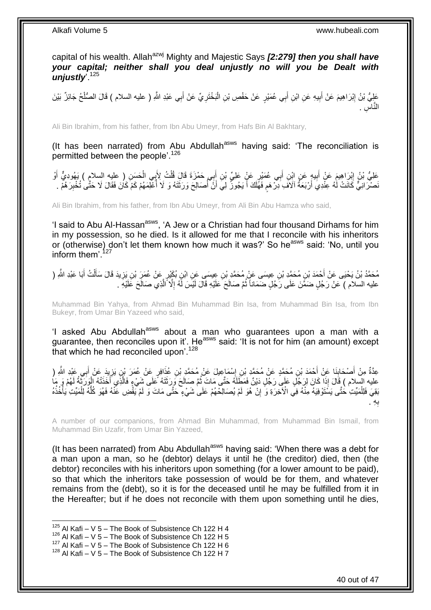capital of his wealth. Allah<sup>azwj</sup> Mighty and Majestic Says *[2:279] then you shall have your capital; neither shall you deal unjustly no will you be Dealt with unjustly*'.<sup>125</sup>

عَلِيُّ بْنُ إِبْرَاهِيمَ عَنْ أَبِيهِ عَنِ ابْنِ أَبِي عُمَيْرٍ عَنْ حَفْصِ بْنِ الْبَخْتَرِيِّ عَنْ أَبِي عَبْدِ اللَّهِ ( عليه السلام ) قَالَ الصُّلْحُ جَائِزٌ بَيْنَ َ ِ ْ َ ِ َ ِ ْ ِس . ا النَّ

Ali Bin Ibrahim, from his father, from Ibn Abu Umeyr, from Hafs Bin Al Bakhtary,

(It has been narrated) from Abu Abdullah<sup>asws</sup> having said: 'The reconciliation is permitted between the people'.<sup>126</sup>

عَلِيُّ بْنُ إِبْرَاهِيمَ عَنْ أَبِيهٍ عَنِ اِبْنِ أَبِي عُمَيْرٍ عَنٍْ عَلِيِّ بْنِ أَبِي حَمْزَةَ قَالَ قُلْتُ لِأَبِي الْحَسَنِ ( عليه السلام ) يَهُودِيٌّ أَوْ ْ ْ َ َ **!** َ ِ َ َنصْرَ انِيٌّ كَانَتْ لَٰهُ عِنْدِيَ أَرْبَعَةُ آلاَفَ ِدِرْهَم فَهَّلَكَ أَ يَجُوزُ لِيَ أَنَّ أُصَالِحَ وَرَثَتَهُ وَ لَا أُعْلِمَهُمْ كَمْ كَانَ فَقَالَ لَا حَتَّى تُخْبِرَهُمْ . ĺ َ ĺ َ َ ٍ ِ

Ali Bin Ibrahim, from his father, from Ibn Abu Umeyr, from Ali Bin Abu Hamza who said,

'I said to Abu Al-Hassan<sup>asws</sup>, 'A Jew or a Christian had four thousand Dirhams for him in my possession, so he died. Is it allowed for me that I reconcile with his inheritors or (otherwise) don't let them known how much it was?' So he<sup>asws</sup> said: 'No, until you inform them<sup>' 127</sup>

مُحَمَّدُ بْنُ يَحْيَى عَنْ أَحْمَدَ بْنِ مُحَمَّدِ بْنِ عِيسَى عَنْ مُحَمَّدِ بْنِ عِيسَى عَنِ ابْنِ بُكَيْرٍ عَنْ عُمَرَِ بْنِ يَزِيدَ قَالَ سَأَلْتُ أَبَا عَبْدِ اللَّهِ ( َ ْ ĺ ِ عليه السلام ) عَنْ رَجُلٍ ضَمَّنَ عَلَى رَّجُلٍ ضَمَاناً ثُمَّ صَالَحَ عَلَيْهِ قَالَ لَيْسَ لَّهُ إِلَّا أَلَذِي صَالَحَ عَلَيْهِ ۚ َّ ِ

Muhammad Bin Yahya, from Ahmad Bin Muhammad Bin Isa, from Muhammad Bin Isa, from Ibn Bukeyr, from Umar Bin Yazeed who said,

'I asked Abu Abdullah<sup>asws</sup> about a man who guarantees upon a man with a guarantee, then reconciles upon it'. He<sup>asws</sup> said: 'It is not for him (an amount) except that which he had reconciled upon'.<sup>128</sup>

عِدَّةٌ مِنْ أَصْحَابِنَا عَنْ أَحْمَدَ بْنِ مُحَمَّدٍ عَنْ مُحَمَّدٍ بْنِ إِسْمَاعِيلَ عَنْ مُحَمَّدٍ بْنِ عُذَافِرٍ عَنْ عُمَرَ بْنِ يَزِيدَ عَنْ أَبِي عَبْدِ اللَّهِ ( ∣∣<br>; ِ َ َ ِ عليه السلام ) قَالَ إِذَا كَانَ لِرَجُلٍ عَلَى رَجُلٍ دَيْنٌ فَمَطَلَهُ حَتَّى مَاتَ ثُمَّ صِبَالَحَ وَرِزَثَتَهُ عَلَى شَيْءٍ فَالَّذِي أَخَذَتْهُ الْوَرَثَةُ لَهُمْ وَ مَا<br>وَرَثَتَهُ عَلَيْهِ مِنْ يَفْسَلَ الْمَرْضَةُ فَ َ  $\ddot{\phantom{0}}$ ز ْ َ َّ ْ بَقِيَ فَلِلْمَيِّتِ ٰحَتَّى يَسْتَوْفِيَهُ مِنْهُ فِي الْآخِرَةِ وَ ۗ إِنْ هُوَ لَمْ يُصَالِّحْهُمْ عَلَى شَيْءٍ حَتَّى مَاتَ وَ لَمْ يَّقُضِ عَنْهُ فَهُوَ كُلُّهُ لِلْمَيِّتِ يَأْخُذُهُ ِ ْ ْ ُّ ِه . ب **∶** 

A number of our companions, from Ahmad Bin Muhammad, from Muhammad Bin Ismail, from Muhammad Bin Uzafir, from Umar Bin Yazeed,

(It has been narrated) from Abu Abdullah<sup>asws</sup> having said: 'When there was a debt for a man upon a man, so he (debtor) delays it until he (the creditor) died, then (the debtor) reconciles with his inheritors upon something (for a lower amount to be paid), so that which the inheritors take possession of would be for them, and whatever remains from the (debt), so it is for the deceased until he may be fulfilled from it in the Hereafter; but if he does not reconcile with them upon something until he dies,

 $125$  Al Kafi – V 5 – The Book of Subsistence Ch 122 H 4

 $126$  Al Kafi – V 5 – The Book of Subsistence Ch 122 H 5

 $127$  Al Kafi – V 5 – The Book of Subsistence Ch 122 H 6

 $128$  Al Kafi – V 5 – The Book of Subsistence Ch 122 H 7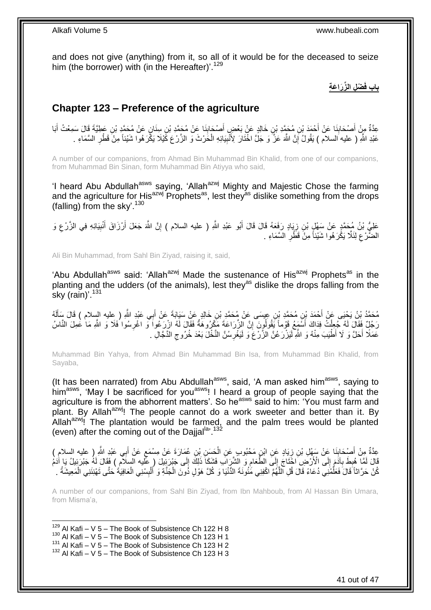and does not give (anything) from it, so all of it would be for the deceased to seize him (the borrower) with (in the Hereafter)'.<sup>129</sup>

**ْض ِل ال ِّز َرا َع ِة باب فَ**

## <span id="page-40-0"></span>**Chapter 123 – Preference of the agriculture**

عِدَّةٌ مِنْ أَصْحَابِنَا عَنْ أَحْمَدَ بْنِ مُحَمَّدِ بْنِ خَالِدٍ عَنْ بَعْضٍ أَصْحَابِذَا عَنْ مُحَمَّدِ بْنِ سِنَانٍ عَنْ مُحَمَّدٍ بْنِ عَطِيَّةَ قَالَ سَمِعْتُ أَبَا **!** َ َ **∣** َ َ عَبْدِ اللَّهِ ( عليه السلام ) يَقُولُ إِنَّ اللَّهَ عَزَّ وَ جَلَّ اخْتَارَ لِأُنْبِيَائِهِ الْحَرْثَ وَ الزَّرْعَ كََيْلَا يَكَّرَهُوا شَيْئاً مِنْ قَطْرِ السَّمَاءِ . ِ ֧<u>׀</u> ِ ْ

A number of our companions, from Ahmad Bin Muhammad Bin Khalid, from one of our companions, from Muhammad Bin Sinan, form Muhammad Bin Atiyya who said,

'I heard Abu Abdullah<sup>asws</sup> saying, 'Allah<sup>azwj</sup> Mighty and Majestic Chose the farming and the agriculture for His<sup>azwj</sup> Prophets<sup>as</sup>, lest they<sup>as</sup> dislike something from the drops (falling) from the sky'.<sup>130</sup>

عَلِيُّ بْنُ مُحَمَّدٍ عَنْ سَفْلٍ بْنِ زِيَادٍ رَفَعَهُ قَالَ قَالَ أَبُو عَبْدِ اللَّهِ ( عليه السلام ) إِنَّ اللَّهَ جَعَلَ أَرْزَاقَ أَنْبِيَائِهِ فِي الزَّرْعِ وَ ِ ِ ِ َ اُ ِ الضَّرْعَ لِئَلَّا يَكُْرَ هُوِا شَيْئاً مِنَّ قَطِّرٍ السَّمَاءِ . ِ ِ

Ali Bin Muhammad, from Sahl Bin Ziyad, raising it, said,

'Abu Abdullah<sup>asws</sup> said: 'Allah<sup>azwj</sup> Made the sustenance of His<sup>azwj</sup> Prophets<sup>as</sup> in the planting and the udders (of the animals), lest they<sup>as</sup> dislike the drops falling from the sky (rain)'. $131$ 

مُحَمَّدُ بِنُ يَحْيَى عَنْ أَحْمَدَ بْنِ مُحَمَّدِ بْنِ عِيسَى عَنْ مُحَمَّدِ بْنِ خَالِدٍ عَنْ سَيَابَةَ عَنْ أَبِي عَبْدِ اللَّهِ ( ِعليه السلام ) قَالَ سَأَلَهُ<br>مُحَمَّدُ تَبِنُ يَحْيَى عَنْ أَحْمَدَ بْنِ مُحَمَّدِ بْ َ لَ ĺ رَجُلٌ فَقَالَ لَهُ جُعِلْتُ فِدَاكَ أَسْمَعُ قَوْماً يَقُولُونَ إِنَّ الزِّرَاعَةَ مَكْرُوهَةٌ فَقَالَ لَهُ ازْرَعُواً وَ اغْرِسُوا فَلَا وَ اللّهِ مَا عَمِلَ النَّاسُ ِ َ ْ ِ عَمَلًا أَحَلَّ وَ لَا أَطْيَبَ مِنْهُ وَ اللَّهِ لَيَزْرَعُنَّ الزَّرْغَ وَ لَيَغْرِسُنَّ النَّخْلَ بَعْدَ خُرُوجِ الذَّجَّالِ . َ ِ ِ

Muhammad Bin Yahya, from Ahmad Bin Muhammad Bin Isa, from Muhammad Bin Khalid, from Sayaba,

(It has been narrated) from Abu Abdullah<sup>asws</sup>, said, 'A man asked him<sup>asws</sup>, saying to him<sup>asws</sup>, 'May I be sacrificed for you<sup>asws</sup>! I heard a group of people saying that the agriculture is from the abhorrent matters'. So he<sup>asws</sup> said to him: 'You must farm and plant. By Allah<sup>azwi</sup>! The people cannot do a work sweeter and better than it. By Allah $a^{2x}$ , The plantation would be farmed, and the palm trees would be planted (even) after the coming out of the Dajjal<sup>la, 132</sup>

عِدَّةٌ مِنْ أَصْحَابِنَا عَنْ سَهْلِ بْنِ زِيَادٍ عَنِ ابْنِ مَحْبُوبٍ عَنِ الْحَسَنِ بْنِ عُمَارَةَ عَنْ مِسْمَعٍ عَنْ أَبِي عَبْدِ اللَّهِ ( عليه السلام ) ٍ ْ ِ ِ َ َ قَالَ لَمَّا هُبِطَ بِآدَمَ إِلَى الْأَرْضِ اجْتَاجَ إِلَى الطَّعَامِ وَ الشَّرَابَ فَشَكَأَ ذَلِكَ إِلَى جَبْرَئِيلَ ( عَليه السِلَامِ ) فَقَالَ لَهُ جَبْرَئِيلُ يَا أَدُمْ  $\frac{1}{6}$ ِ  $\frac{1}{2}$ י<br>י **∶** ِ كُنْ حَرَّاثاً قَالَ فَعَلَّمْنِي دُعَاءً قَالَ قُلِ اللَّهُمَّ اكْفِنِي مَّنُونَةَ الدُّنْيَا وَ كُلَّ هَوْلٍ ذُونَ الْجَنَّةِ وَ أَلْبِسْنِي الْعَافِيَةُ حَتَّى تَهْنِئَنِي الْمَعِيشَةُ . ِّ ْ ْ ِ ْ َ ْ

A number of our companions, from Sahl Bin Ziyad, from Ibn Mahboub, from Al Hassan Bin Umara, from Misma'a,

1  $129$  Al Kafi – V 5 – The Book of Subsistence Ch 122 H 8

 $130$  Al Kafi – V 5 – The Book of Subsistence Ch 123 H 1

 $131$  Al Kafi – V  $5$  – The Book of Subsistence Ch 123 H 2

 $132$  Al Kafi – V 5 – The Book of Subsistence Ch 123 H 3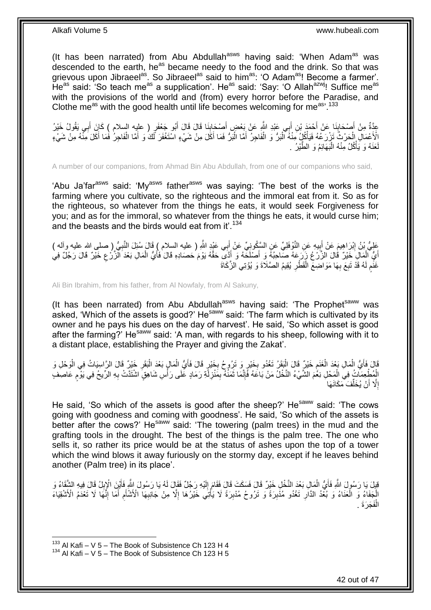(It has been narrated) from Abu Abdullah $a<sup>asws</sup>$  having said: 'When Adam $a<sup>as</sup>$  was descended to the earth, he<sup>as</sup> became needy to the food and the drink. So that was grievous upon Jibraeel<sup>as</sup>. So Jibraeel<sup>as</sup> said to him<sup>as</sup>: 'O Adam<sup>as</sup>! Become a farmer'. He<sup>as</sup> said: 'So teach me<sup>as</sup> a supplication'. He<sup>as</sup> said: 'Say: 'O Allah<sup>azwj</sup>! Suffice me<sup>as</sup> with the provisions of the world and (from) every horror before the Paradise, and Clothe me<sup>as</sup> with the good health until life becomes welcoming for me<sup>as, 133</sup>

عَدَّةٌ مِنْ أَصْحَابِذَا عَنْ أَحْمَدَ بْنِ أَبِي عَبْدِ اللَّهِ عَنْ بَعْضٍ أَصْحَابِذَا قَالَ قَالَ أَبُو جَعْفَو ( عليه السلام ) كَإِنَ أَبِي يَقُولُ خَيْرُ َ ِ َ َ **∫** َ َ الْأَعْمَالِ الْحَرْثُ تَزْرَعُهُ فَيَأْكُلُ مِّنْهُ ٱلْبَرُّ وَ الْفَاجِرُ أَمَّا الْبَرُّ فَمَا أَكَلَ مِنْ شَيْءٍ اسْتَغْفَرَ لَّكَ وَ أَمَّا الْفَاجِرُ فَمَا أَكَلَ مِنْ شَيْءٍ َ ْ َ ْ :<br>ا ْ ْ َ ْ عَذَهُ وَ يَأْكُلُ مِنْهُ الْبَهَائِمُ وَ الطَّيْرُ . :<br>ا **ٔ** لَ

A number of our companions, from Ahmad Bin Abu Abdullah, from one of our companions who said,

'Abu Ja'far<sup>asws</sup> said: 'My<sup>asws</sup> father<sup>asws</sup> was saying: 'The best of the works is the farming where you cultivate, so the righteous and the immoral eat from it. So as for the righteous, so whatever from the things he eats, it would seek Forgiveness for you; and as for the immoral, so whatever from the things he eats, it would curse him; and the beasts and the birds would eat from it'.<sup>134</sup>

عَلِيُّ بْنُ إِبْرَاهِيمَ عَنْ أَبِيهِ عَنِ النَّوْفَلِيِّ عَنِ السَّكُونِيِّ عَنْ أَبِي عَيْدٍ اللَّهِ ( عليه السلام ) قَالَ سُئِلَ النَّبِيُّ ( صلى الله عليه وآله )<br>-َ **!** َ ِ ِ أَيُّ الْمِالِ خَيْرٌ قَالَ الزَّرْعُ زِرَدَعَهُ صَاحِبُهُ وَ أَصَلْحَهُ وَ أَدَّى حَقَّهُ يَوْمَ حَصَادِهِ قَالَ فَأَيُّ الْمَالِ بَعْدَ الْزَّرْعِ خَيْرٌ قَالَ رَجُلٌ فِي ْ َ َ َ ْ ِ غَفَم لَهُ قَدْ تَبِعَ بِهَا مَوَاضِعَ الْقَطْرِ يُقِيمُ الصَّلَاةَ وَ يُؤْتِي الزَّكَاةَ **∶** ْ ِ ِ لَ ٍ

Ali Bin Ibrahim, from his father, from Al Nowfaly, from Al Sakuny,

(It has been narrated) from Abu Abdullah<sup>asws</sup> having said: 'The Prophet<sup>saww</sup> was asked, 'Which of the assets is good?' He<sup>saww</sup> said: 'The farm which is cultivated by its owner and he pays his dues on the day of harvest'. He said, 'So which asset is good after the farming?' He<sup>saww</sup> said: 'A man, with regards to his sheep, following with it to a distant place, establishing the Prayer and giving the Zakat'.

قَالَ فَأَيُّ الْمَالِ بَعْدَ الْغَنَمِ خَيْرٌ قَالَ الْبَقَرُ تَغْدُو بِخَيْرٍ وَ تَرِرُوحُ بِخَيْرٍ قَالَ فَأَيُّ الْمَالِ بَعْدَ الْبَقَرِ خَيْرٌ قَالَ الرَّاسِيَاتُ فِي الْوَحْلِ وَ<br>فَقَالَ فَأَيُّ الْمَالِ بِحْدَدِ ا ْ َ ِ ِ ْ ֧׆<br>׆ ْ ْ اً<br>ا ْ ِ ْ الْمُطْعِمَاتُ فِيَ الْمَحْلِ نِغْمَ الشَّيْءُ النَّخْلُ مَنْ بَاعَهُ فَّإِنَّمَا ثَمَنْهُ بِمَنْزِلَّةِ رَمَادٍ عَلَى رَأْسِ شَاهِقٍ اشْتَذَّتْ بِهِ الرِّيحُ فِي يَوْمٍ عَاصِفٍ ْ ْ م<br>وا **∶ ٔ** لَ ِ ِ َ ׀ו<br>ِי إِلَّا أَنْ يُخَلِّفَ مَكَانَهَا ِّ اً ِ

He said, 'So which of the assets is good after the sheep?' He<sup>saww</sup> said: 'The cows going with goodness and coming with goodness'. He said, 'So which of the assets is better after the cows?' He<sup>saww</sup> said: 'The towering (palm trees) in the mud and the grafting tools in the drought. The best of the things is the palm tree. The one who sells it, so rather its price would be at the status of ashes upon the top of a tower which the wind blows it away furiously on the stormy day, except if he leaves behind another (Palm tree) in its place'.

لَفِيلَ يَا رَسُولَ اللَّهِ فَأَيُّ الْمَالِ بَعْدَ النَّخْلِ خَيْرٌ قَالَ فَسَكَتَ قَالَ فَقَامَ إِلَيْهِ رَجُلٌ فَقَالَ لَهُ يَا رَسُولَ اللَّهِ فَأَيْنَ الْإِبِلُ قَالَ فِيهِ الشَّقَاءُ وَ ْ َ ِ َ لَ ِ ِ الْجَفَاءُ وَ الْعَنَاءُ وَ بُعْدُ الدَّارِ تَغْدُو مُذْبِرَةً وَ تَرُوحُ مُدْبِرَةً لَا يَأْتِي خَيْرُهَا إِلَّا مِنْ جَانِبِهَا الْأَشْأَمِ أَمَا إِنَّهَا لَا تَعْدَمُ الْأَشْقِيَاءَ ا<br>ا ْ ِ ِ **∶** ْ ِ َ ِ َ الْفَجَرَةَ . ْ

 $133$  Al Kafi – V 5 – The Book of Subsistence Ch 123 H 4

 $134$  Al Kafi – V 5 – The Book of Subsistence Ch 123 H 5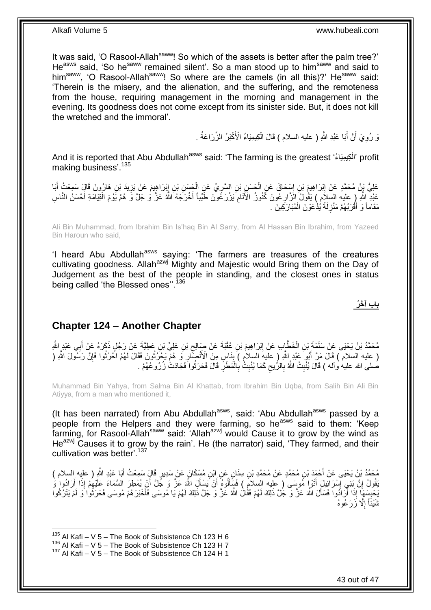It was said, 'O Rasool-Allah<sup>saww</sup>! So which of the assets is better after the palm tree?' He<sup>asws</sup> said, 'So he<sup>saww</sup> remained silent'. So a man stood up to him<sup>saww</sup> and said to him<sup>saww</sup>, 'O Rasool-Allah<sup>saww</sup>! So where are the camels (in all this)?' He<sup>saww</sup> said: 'Therein is the misery, and the alienation, and the suffering, and the remoteness from the house, requiring management in the morning and management in the evening. Its goodness does not come except from its sinister side. But, it does not kill the wretched and the immoral'.

> وَ رُوِيَ أَنَّ أَبَا عَبْدِ اللَّهِ ( عليه السلام ) قَالَ الْكِيمِيَاءُ الْأَكْبَرُ الزِّرَاعَةُ . ْ َ َ ِ

And it is reported that Abu Abdullah<sup>asws</sup> said: 'The farming is the greatest 'الْكِيمِيَاءُ' profit ْ making business'.<sup>135</sup>

عَلِيُّ بِنُ مُحَمَّدٍ عَنْ إِبْرَاهِيمَ بْنِ إِسْحَاقَ عَنِ الْحَسَنِيِّ بْنِ السَّرِيِّ عَنِ الْجَسَنِ بْنِ إِبْرَاهِيمَ عَنْ يَزِيدَ بْنِ هَارُونَ قَالٍَ سَمِعْتُ أَبَا ِ ْ ِ ْ **∶** ِ َ ِ عَبْدِ ۖ اِللَّهِ ۖ إِرْ عليه السِّلاَمِ ۖ ) يَقُولُ الْأَرَارِ عُونَ كَنُورُ الْأَنَامِ يَزْرَ عُونَ طَّيِّباً أَخْرَجَهُ اللَّهُ عَزَّ وَ جَلَّ وَ هُمْ يَوْمَ الْقِيَامَةِ أَحْسَنُ النَّاسِ ِ َ ْ َ ِ مَقَاماً وَ أَقُرَبُهُمْ مَنْزِلَةً يُذْعَوْنَ الْمُبَارَكِينَ . ْ ِ ֪֪֦֪֪֪֪֦֪֪֦֪֪֦֪֪֦֪֪֦֪֪֦֝֟֝֟֓֕֝֟֟֝֬֟֓֡֟֓֟֓֟֟֓֟֡֟֟֓֟֡֟֟֓֞֟֟֓֞֟֟֓֞֟֟֞֟֞

Ali Bin Muhammad, from Ibrahim Bin Is'haq Bin Al Sarry, from Al Hassan Bin Ibrahim, from Yazeed Bin Haroun who said,

'I heard Abu Abdullah<sup>asws</sup> saying: 'The farmers are treasures of the creatures cultivating goodness. Allah<sup>azwj</sup> Mighty and Majestic would Bring them on the Day of Judgement as the best of the people in standing, and the closest ones in status being called 'the Blessed ones".<sup>136</sup>

**باب آ َخ ُر**

### <span id="page-42-0"></span>**Chapter 124 – Another Chapter**

مُحَمَّدُ بْنُ يَحْيَى عَنْ سَلَمَةَ بْنِ الْخَطَّإِبِ عَنْ إِبْرَاهِيمَ بْنِ عُقْبَةَ عَنْ صَالِحِ بْنِ عَلِيٍّ بْنِ عَطِيَّةَ عَنْ رَجُلٍ ذَكَرَهُ عَنْ أَبِي عَبْدٍ الثَّمِ ِ ِ ْ َ ( عليه السلام ) قَالَ مَرَّ أَبُو َعَبْدِ اللَّهِ ( عليهِ السلام ) بِنَاسٍ مِنَ الْأَنْصَكِّارِ وَ هُمّْ يَحْرُثُونَ فَقَالَ لَهُمُ احْرُثُوا فَإِنَّ رَسَوْلَ اللَّهِ (  $\ddot{\phantom{0}}$ ِ  $\frac{1}{2}$ َ ∣ٍ إ i **∶** صلى الله عليه وآله ) قَالَ يُنْبِتُ اللَّهُ بِالرُّيحِ كَمَا يُنْبِتُ بِالْمَطَرِّ قَالَ فَحَرَثُوا َفَجَادَتْ زُرُوعُهُمْ . **ِ** ِ **∶ ِ** ْ

Muhammad Bin Yahya, from Salma Bin Al Khattab, from Ibrahim Bin Uqba, from Salih Bin Ali Bin Atiyya, from a man who mentioned it,

(It has been narrated) from Abu Abdullah<sup>asws</sup>, said: 'Abu Abdullah<sup>asws</sup> passed by a people from the Helpers and they were farming, so he<sup>asws</sup> said to them: 'Keep farming, for Rasool-Allah<sup>saww</sup> said: 'Allah<sup>azwj</sup> would Cause it to grow by the wind as He<sup>azwj</sup> Causes it to grow by the rain'. He (the narrator) said, 'They farmed, and their cultivation was better'.<sup>137</sup>

مُحَمَّدُ بْنُ يَحْيَى عَنْ أَحْمَدَ بْنِ مُحَمَّدٍ عَنْ مُحَمَّدِ بْنِ سِنَانٍ عَنِ ابْنِ مُسْكَانَ عَنْ سَدِيرٍ قَالَ سَمِعْتُ أَبَا عَبْدِ اللَّهِ ( عليه السلام )<br>مُسْكَنِّدُ بِنُ يَحْيَى عَنْ أَحْمَدَ بْنِ مُحَمَّدٍ عَ َ ْبَقُولُ إِنَّ بَنِي إِسْرَائِيلَ أَتَوْإٍ مُوسَى ( عليه السلامِ ) فَسَأَلُوهُ أَنْ يَسْأَلَ اللَّه عَزَّ وَ جَلَّ أَنْ يُمْطِرَ السَّمَاءَ عَلَيْهِمْ إِذَا أَرَادُوا وَ َ َ َ َ ֧֦֦֧֦֧֦֧֦֦֧֦֧֦֧֦֦֧֦֦֦֦֦֦֦֦֦֦֦֦֧֦֦֚֚֚֝֝֝֟֜֡֟֓֡֟֓֡ יֲ<br>י َ ِ َ يَحْبِسَهَا إِذَا أَرَادُوا فَسَأَلَ اللَّهَ عَزَّ وَ جُلَّ ذَلِكَ لَهُمْ فَقُالَ اللَّهُ عَزَّ وَ جَلَّ ذَلِكَ لَهُمْ يَا مُوسَى فَأَخْبَرَ هُمْ مُوسَى فَحَرَثُوا وَ لَمْ يَتْرُكُوا َ َ **ِ**  $\ddot{\phantom{0}}$ َ ثَنْيئَاً إِلَّا زَرَعُوهُ ِ

 $135$  Al Kafi – V 5 – The Book of Subsistence Ch 123 H 6

 $136$  Al Kafi – V 5 – The Book of Subsistence Ch 123 H 7

 $137$  Al Kafi – V 5 – The Book of Subsistence Ch 124 H 1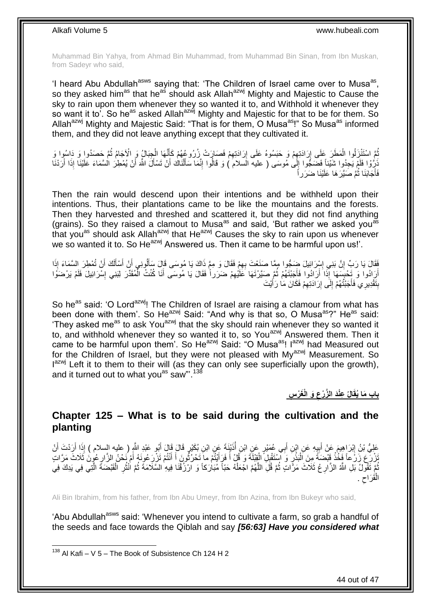Muhammad Bin Yahya, from Ahmad Bin Muhammad, from Muhammad Bin Sinan, from Ibn Muskan, from Sadeyr who said,

'I heard Abu Abdullah<sup>asws</sup> saying that: 'The Children of Israel came over to Musa<sup>as</sup>, so they asked him<sup>as</sup> that he<sup>as</sup> should ask Allah<sup>azwj</sup> Mighty and Majestic to Cause the sky to rain upon them whenever they so wanted it to, and Withhold it whenever they so want it to<sup>'</sup>. So he<sup>as</sup> asked Allah<sup>azwj</sup> Mighty and Majestic for that to be for them. So Allah<sup>azwj</sup> Mighty and Majestic Said: "That is for them, O Musa<sup>as</sup>!" So Musa<sup>as</sup> informed them, and they did not leave anything except that they cultivated it.

نُّمَّ اسْتَنْزِلُوا الْمَطَرَ عَلَى إِرَادَتِهِمْ وَ حَبَسُوهُ عَلَى إِرَادَتِهِمْ فَصَارَتْ زُرُوعُهُمْ كَإِنَّهَا الْجِبَالُ وَ الْأَجَامُ ثُمَّ حَصَدُوا وَ دَاسُوا وَ ْ اً ِ ِ ِ ِ ْ  $\ddot{\phantom{0}}$ َنْزِرُّوْا فَلَمْ يَجِدُوا شَيْئاً فَضَجُوا إِلَىٰ مُوسَى ( عليه السلام ) وَ قَالُوا إِنَّمَا سَأَلْنَاكَ أَنْ تَسْأَلَ اللَّهَ أَنْ يُمْطِرُ السَّمَاءَ عَلَيْنَا إِذَا أَرَدْنَا َ َ ْ َ ِ ِ :<br>نا َ َ فَأَجَابَنَا ثُمَّ صَيَّرَ هَا عَلَيْنَا ضَرَر اً Ì

Then the rain would descend upon their intentions and be withheld upon their intentions. Thus, their plantations came to be like the mountains and the forests. Then they harvested and threshed and scattered it, but they did not find anything (grains). So they raised a clamout to Musa<sup>as</sup> and said, 'But rather we asked you<sup>as</sup> that you<sup>as</sup> should ask Allah<sup>azwj</sup> that He<sup>azwj</sup> Causes the sky to rain upon us whenever we so wanted it to. So He<sup>azwj</sup> Answered us. Then it came to be harmful upon us!'.

ْفَقَالَ يَا رَبِّ إِنَّ بَنِي إِسْرَائِيلَ ضَخُوا مِمَّا صَنَعْتَ بِهِمْ فَقَالَ وَ مِمَّ ذَاكَ يَا مُوسَى قَالَ سَأَلُونِي أَنْ أَسْأَلَكَ أَنْ تُمْطِرَ السَّمَاءَ إِذَا لَ ĺ َ َ َ ِ ِ ا َ أَرَادُوا وَ تَحْبِسَهَا إِذَا أَرَادُوا فَأَجَبْتَهُمْ ثُمَّ صَيَّرْتَهَا كَلَّيْهِمْ ضَرَراً فَقَالَ يَا مُوسَى أَنَا كُنْتُ الْمُقَدِّرَ لِبَنِي إِسْرَائِيلَ فَلَمْ يَرْضَوُا ِ  $\ddot{\phantom{0}}$ َ َ ا<br>پو َ ِ ْ َ بِنَقْدِيرِي فَأَجَبْتُهُمْ إِلَى إِرَادَتِهِمْ فَكَانَ مَا رَأَيْتَ َ ِ יֲ<br>י ِ َ **ِ** 

So he<sup>as</sup> said: 'O Lord<sup>azwj</sup>! The Children of Israel are raising a clamour from what has been done with them'. So He<sup>azwj</sup> Said: "And why is that so, O Musa<sup>as</sup>?" He<sup>as</sup> said: 'They asked me<sup>as</sup> to ask You<sup>azwj</sup> that the sky should rain whenever they so wanted it to, and withhold whenever they so wanted it to, so You<sup>azwj</sup> Answered them. Then it came to be harmful upon them'. So He<sup>azwj</sup> Said: "O Musa<sup>as</sup>! I<sup>azwj</sup> had Measured out for the Children of Israel, but they were not pleased with My<sup>azwj</sup> Measurement. So l<sup>azwj</sup> Left it to them to their will (as they can only see superficially upon the growth), and it turned out to what you<sup>as</sup> saw"'.<sup>138</sup>

> **َو الْ َغْر ِس ِعْنَد ال َّز ْرع الُ باب َما ُيقَ ِ**

### <span id="page-43-0"></span>**Chapter 125 – What is to be said during the cultivation and the planting**

عَلِيُّ بْنُ إِبْرَاهِيمَ عَنْ أَبِيهِ عَنِ ابْنِ أَبِي عُمَيْرٍ عَنِ ابْنِ أُذَنِّنَةَ عَنِ ابْنِ بُكَيْرٍ قَالَ قَالَ أَبُو عَبْدِ اللَّهِ ( عليه السلام ) إِذَا أَرَدْتَ أَنْ َ Í َ ِ ِ َ َ َنْزُرَ عَ زَرَعًا فَخُذْ قَبْضَةً مِِنَ اَلْبَذْرِ وَ آَسْتَقْلِلَ الْقِلْلَةَ وَ قُلْ أَ فَرَأَلْتُمْ ما َتَحْرُثُونَ أَ أَنْتُمْ تَزْرِعُونَهُ أَمْ نَحْنُ الزَّارِعُونَ ثَلَاثَ مَرَّاتٍ َ َ  $\ddot{\phantom{a}}$ َ َ ْ ِ **ٔ** ْ **ٔ** ِ َ نُّمَ تَقُولُ بَلِ اللَّهُ الزَّارِ عُ ثَلَاثَ مَرَّاتٍ ثُمَّ قُلِّ اللَّهُمَّ اجْعَلْهُ حَبّاً مُبَارَكاً وَ ارْزُقْنَا فِيهِ السَّلَامَةَ ثُمَّ انْثُرِ الْقَبْضَةَ الَّتِي فِي يَذِكَ فِي į  $\ddot{\cdot}$ ْ َّ  $\ddot{\phantom{a}}$ ِ َّ ْ ِ  $\ddot{\phantom{0}}$ الْقَرَاحِ .  $\zeta$ ْ

Ali Bin Ibrahim, from his father, from Ibn Abu Umeyr, from Ibn Azina, from Ibn Bukeyr who said,

'Abu Abdullah<sup>asws</sup> said: 'Whenever you intend to cultivate a farm, so grab a handful of the seeds and face towards the Qiblah and say *[56:63] Have you considered what* 

1

44 out of 47

 $138$  Al Kafi – V 5 – The Book of Subsistence Ch 124 H 2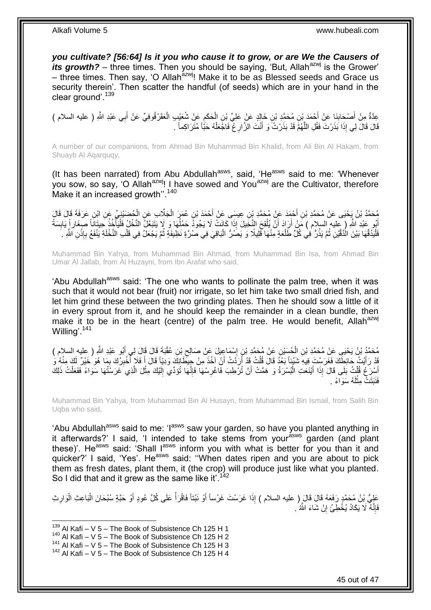*you cultivate? [56:64] Is it you who cause it to grow, or are We the Causers of its growth?* – three times. Then you should be saying, 'But, Allah<sup>azwj</sup> is the Grower' – three times. Then say, 'O Allah<sup>azwj</sup>! Make it to be as Blessed seeds and Grace us security therein'. Then scatter the handful (of seeds) which are in your hand in the clear ground'.<sup>139</sup>

عِدَّةٌ مِنْ أَصْحَابِذَا عَنْ أَحْمَدَ بْنِ مُحَمَّدِ بْنِ خَالِدٍ عَنْ عَلِيِّ بْنِ الْحَكَمِ عَنْ شُعَيْبِ الْعَقَرْقُوفِيِّ عَنْ أَبِي عَبْدِ اللَّهِ ( عليه السلام )<br>حَدَّةٌ مِنْ أَصْحَابِذَا عَنْ أَحْمَدَ بْنِ مُحَمَّ ْ ِ ْ َ ِ َ َ قَالَ قَالَ لِي إِذَا بَذَرْتَ فَقُلِ اللَّهُمَّ قَدْ بَذَرْتُ َو أَنْتَ الزَّارِ غُ فَاجَّعَلْهُ حَبَّاً مُتَرَاكِماً . ْ ِ َّ

A number of our companions, from Ahmad Bin Muhammad Bin Khalid, from Ali Bin Al Hakam, from Shuayb Al Aqarquqy,

(It has been narrated) from Abu Abdullah<sup>asws</sup>, said, 'He<sup>asws</sup> said to me: 'Whenever you sow, so say, 'O Allah<sup>azwj</sup>! I have sowed and You<sup>azwj</sup> are the Cultivator, therefore Make it an increased growth".<sup>140</sup>

مُحَمَّدُ بْنُ يَجْيَى عَنْ مُحَمَّدِ بْنِ أَحْمَدَ عَنْ مُحَمَّدِ بْنِ عِيسَى عَنْ أَحْمَدَ بْنِ عُمَرَ الْجَلَّابِ عَنِ الْحُضَيْنِيِّ عَنِ ابْنِ عَرَفَةَ قَالَ قَالَ<br>نُبِّ مَا يَوْسُ عَنْ مُحَمَّدِ بْنِ خَفَرَ عَنِّ بِ ْ ْ َ اُبُو عَبْدِ اللَّهِ ( عِليهِ السلام ) مَنْ أَرَادَ أَنْ يُلْقِحَ النَّخِيلَ إِذَا كَانَتْ لَا يَجُودُ حَمْلُهَا وَ لَا يَتَبَعَّلُ النَّخْلُ فَلْيَأْخُذْ حَيِتَانَاً صِغَار إِّ يَابِسَةً<br>أَوْ عَبْدِ اللَّهِ ( عَيْدُ يُرَ  $\overline{a}$ ْ َ َ ْ ِ **ٔ** ة<br>أ فَلْيَدُقَّهَا بَيْنَ الْدَّقَّيْنِ ثُمَّ يَذُرُّ فِي كُلِّ طَلْعَةٍ مِنْهَا فَلِيلًا وَ يَصَمُرُّ الْبَاقِيَ فِي صُرِّةٍ نَظِيفَةٍ ثُمَّ يَجْعَلُ فِي قَلْبِ النَّخْلَةِ يَنْفَعُ بِإِذْنِ اللَّهِ ـ ْ ْ  $\ddot{\phantom{a}}$ :<br>ا **ٔ** ِ ْ  $\ddot{\phantom{0}}$ 

Muhammad Bin Yahya, from Muhammad Bin Ahmad, from Muhammad Bin Isa, from Ahmad Bin Umar Al Jallab, from Al Huzayni, from Ibn Arafat who said,

'Abu Abdullah<sup>asws</sup> said: 'The one who wants to pollinate the palm tree, when it was such that it would not bear (fruit) nor irrigate, so let him take two small dried fish, and let him grind these between the two grinding plates. Then he should sow a little of it in every sprout from it, and he should keep the remainder in a clean bundle, then make it to be in the heart (centre) of the palm tree. He would benefit, Allah $a^{z}$ Willing'.<sup>141</sup>

مُحَمَّدُ بْنُ يَحْيَي عَنْ مُحَمَّدِ بْنِ الْحُسَيْنِ عَنْ مُحَمَّدِ بْنِ إِسْمَاعِيلَ عَنْ صَالِحٍ بْنِ عُقْبَةَ قَالَ قَالَ لِي أَبُو عَبْدِ اللَّهِ ( عليه السلام )<br>يَمْسَمَّذُ بْنُ يَحْيَي عَنْ مُحَمَّدِ بْنِ ايْمَسَم  $\zeta$ ِ ْ َ قَدْ رَأَيْتُ حَائِطَكَ فَغَرَسْتَ فِيهِ شَيْئاً بَعْدُ قَالَ قُلْتُ قَدْ أَرَدْتُ أَنْ آخُذَ مِنْ حِيطَانِكَ وَدِيّاً قَالَ أَ فَلَا أُخْبِرُكَ بِمَا هُوَ خَيْرٌ لَكَ مِنْهُ وَ َ ِ ِ j َ َ ْ لَ ِ أَسْرَعُ قُلْتُ بَلَى قَالَ إِذَا أَيْنَعَتِ الْبُسْرَةُ وَ هَمَّتْ أَنْ تُرْطِبَ فَاغْرِسْهَا فَإِنَّهَا تُؤَدِّي إِلَيْكَ مِثْلَ الَّذِي َغَرَسْتُهَا سَوَاءً فَفَعَلْتُ ذَلِكَ ا∣<br>ِ∘ِ ِ اُ :<br>ا َ ْ ْ َّ ْ فَنَبَتَتْ مِثْلَهُ سَوَاءً . لَ ْ

Muhammad Bin Yahya, from Muhammad Bin Al Husayn, from Muhammad Bin Ismail, from Salih Bin Uqba who said,

'Abu Abdullah<sup>asws</sup> said to me: 'I<sup>asws</sup> saw your garden, so have you planted anything in it afterwards?' I said, 'I intended to take stems from yourasws garden (and plant these)'. He<sup>asws</sup> said: 'Shall I<sup>asws</sup> inform you with what is better for you than it and quicker?' I said, 'Yes'. He<sup>asws</sup> said: "When dates ripen and you are about to pick them as fresh dates, plant them, it (the crop) will produce just like what you planted. So I did that and it grew as the same like it.<sup>142</sup>

عَلِيُّ بْنُ مُحَمَّدٍ رَفَعَهُ قَالَ قَالَ إِن عليه السلام ) إِذَا غَرَسْتَ غَرْساً أَوْ نَبْتاً فَاقْرَأْ عَلَى كُلِّ عُودٍ أَوْ حَبَّةٍ سُبْحَانَ الْبَاعِثِ الْوَارِثِ ِ ْ ْ َ ْ فَإِنَّهُ لَا يَكَادُ يُخْطِئُ إِنْ شَاءَ الثَّهُ ۢ **׀** ِ

 $139$  Al Kafi – V 5 – The Book of Subsistence Ch 125 H 1

 $140$  Al Kafi – V 5 – The Book of Subsistence Ch 125 H 2

 $141$  Al Kafi – V 5 – The Book of Subsistence Ch 125 H 3

 $142$  Al Kafi – V 5 – The Book of Subsistence Ch 125 H 4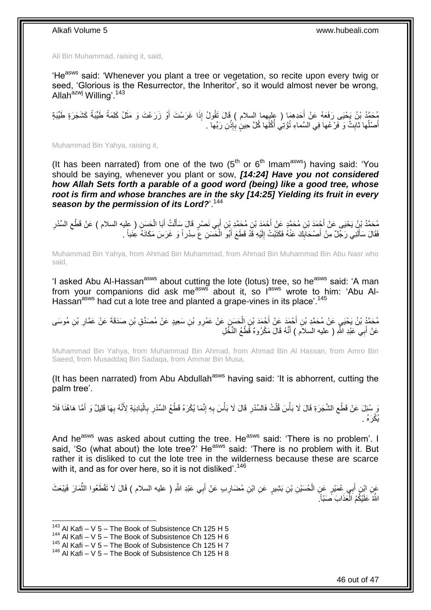Ali Bin Muhammad, raising it, said,

'He<sup>asws</sup> said: 'Whenever you plant a tree or vegetation, so recite upon every twig or seed, 'Glorious is the Resurrector, the Inheritor', so it would almost never be wrong, Allah<sup>azwj</sup> Willing'.<sup>143</sup>

مُحَمَّدُ بْنُ يَحْيَى رَفَعَهُ عَنْ أَحَدِهِمَا ( عليهما السلام ) قَالَ تَقُولُ إِذَا غَرَسْتَ أَوْ زَرَعْتَ وَ مَثَلُ كَلِمَةً طَيِّبَةً كَشَجَرَةٍ طَيِّبَةٍ<br>نَبِيهِ َ َ َ أَصْلُها ثابِثٌ وَ فَرْعُها فِي السَّماءِ تُؤْتِي أَكُلَها كُلَّ حِينٍ بِإِذْنِ رَبِّها . **ٔ** ِ Í **∣**  $\overline{a}$ َ

Muhammad Bin Yahya, raising it,

(It has been narrated) from one of the two  $(5<sup>th</sup>$  or  $6<sup>th</sup>$  Imam<sup>asws</sup>) having said: 'You should be saying, whenever you plant or sow, *[14:24] Have you not considered how Allah Sets forth a parable of a good word (being) like a good tree, whose root is firm and whose branches are in the sky [14:25] Yielding its fruit in every*  season by the permission of its Lord?<sup>144</sup>

مُحَمَّدُ بْنُ يَحْيَى عَنْ أَجْمَدَ بْنِ مُحَمَّدٍ عَنْ أَحْمَدَ بْنِ مُحَمَّدِ بْنِ أَبِي نَصْرٍ قَالَ سَأَلْتُ أَبَا الْحَسِنِ ( عِليه السلام ) عَنْ قَطْعِ السَّدْرِ<br>سَمَّدُ بْنُ يَحْيَى عَنْ أَجْمَدَ بْنِ مُحَمَّدٍ عَ ْ َ ْ َ َ ِ ِ فَقَالَ سَأَلَنِي رَجُلٌ مِنْ أَصْحَابِكَ عَنْهُ فَكَتَبْتُ إِلَيْهِ قَذْ قَطَعَ أَبُو الْحَسَنِ عَ سِدْراً وَ غَرَسَ مَكَانَهُ عِنَباً . لَ  $\frac{1}{2}$ **!** َ لَ َ ْ

Muhammad Bin Yahya, from Ahmad Bin Muhammad, from Ahmad Bin Muhammad Bin Abu Nasr who said,

'I asked Abu Al-Hassan<sup>asws</sup> about cutting the lote (lotus) tree, so he<sup>asws</sup> said: 'A man from your companions did ask me<sup>asws</sup> about it, so last wrote to him: 'Abu Al-Hassan<sup>asws</sup> had cut a lote tree and planted a grape-vines in its place'.<sup>145</sup>

مُحَمَّدُ بْنُ يَحْيَيِ عَنْ مُحَمَّدِ بْنِ أَحْمَدَ عَنْ أَحْمَدَ بْنِ الْحَسَنِ عَنْ عَمْرِو بْنِ سَعِيدٍ عَنْ مُصَدِّقِ بْنِ صَدَقَةَ عَنْ عَمَّارِ بْنِ مُوسَى ْ َ َ ِ عَنْ أَبِي عَبْدِ اللَّهِ ( عليه السلاَّم ) أَنَّهُ قَالَ مَكْرُوهٌ قَمْلُعُ النَّخَّلِ َ َ

Muhammad Bin Yahya, from Muhammad Bin Ahmad, from Ahmad Bin Al Hassan, from Amro Bin Saeed, from Musaddaq Bin Sadaqa, from Ammar Bin Musa,

(It has been narrated) from Abu Abdullah<sup>asws</sup> having said: 'It is abhorrent, cutting the palm tree'.

ِ وَ سُئِلَ عَنْ قَطْعِ الشَّجَرَةِ قَالَ لَا بَأْسَ قُلْتُ فَالسِّدْرِ قَالَ لَا بَأْسَ بِهِ إِنَّمَا يُكْرَهُ قَطْعُ السِّدْرِ بِالْبَادِيَةِ لِأَنَّهُ بِهَا قَلِيلٌ وَ أَمَّا هَاهُنَا فَلَا ِ ِ **ٔ** ِ ْ  $\ddot{\zeta}$ َ ِ ْ ِ يُكْرَهُ .

And he<sup>asws</sup> was asked about cutting the tree. He<sup>asws</sup> said: 'There is no problem'. I said. 'So (what about) the lote tree?' He<sup>asws</sup> said: 'There is no problem with it. But rather it is disliked to cut the lote tree in the wilderness because these are scarce with it, and as for over here, so it is not disliked'.<sup>146</sup>

عَنِ ابْنِ أَبِي عُمَيْرٍ عَنِ الْحُسَيْنِ بْنِ بَشِيرٍ عَنِ ابْنِ مُضَارِبٍ عَنْ أَبِي عَبْدِ اللَّهِ ( عليه السلام ) قَالَ لَا تَقْطَعُوا الثَّمَارَ فَيَبْعَثَ َ **ٍ** ْ َ ِّ اللَّهُ عَلَيْكُمُ الْعَذَابَ صَبِّاً َ ֡֡֡֬֟֟֟֟֟֟֟֟֟֟֟֟֟֡֟

 $143$  Al Kafi – V 5 – The Book of Subsistence Ch 125 H 5

 $144$  Al Kafi – V 5 – The Book of Subsistence Ch 125 H 6

<sup>145</sup> Al Kafi – V 5 – The Book of Subsistence Ch 125 H 7

 $146$  Al Kafi – V 5 – The Book of Subsistence Ch 125 H 8